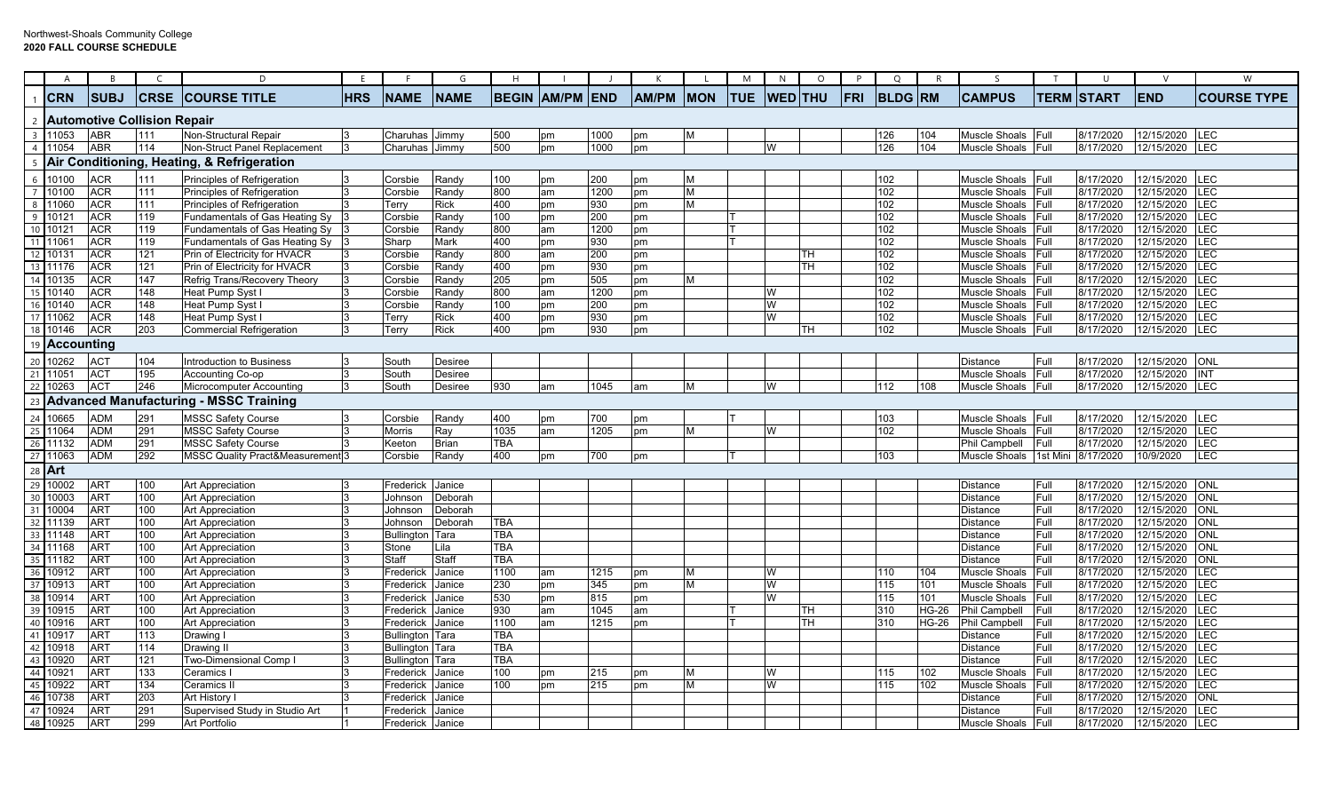|    | A                     | B                             |                  |                                               | F.         | -F                | G            | H          |                        |      | К            |            | M          | N              | $\circ$ | P   | Q              | R            | S                    |              | U             | V          | W                       |
|----|-----------------------|-------------------------------|------------------|-----------------------------------------------|------------|-------------------|--------------|------------|------------------------|------|--------------|------------|------------|----------------|---------|-----|----------------|--------------|----------------------|--------------|---------------|------------|-------------------------|
|    | <b>ICRN</b>           | <b>SUBJ</b>                   | CRSE             | <b>ICOURSE TITLE</b>                          | <b>HRS</b> | <b>NAME</b>       | <b>NAME</b>  |            | <b>BEGIN AM/PM END</b> |      | <b>AM/PM</b> | <b>MON</b> | <b>TUE</b> | <b>WED</b> THU |         | FRI | <b>BLDG RM</b> |              | <b>CAMPUS</b>        | <b>TERM</b>  | <b>ISTART</b> | <b>END</b> | <b>COURSE TYPE</b>      |
|    |                       | 2 Automotive Collision Repair |                  |                                               |            |                   |              |            |                        |      |              |            |            |                |         |     |                |              |                      |              |               |            |                         |
|    | $3 \mid 11053$        | <b>ABR</b>                    | 111              | Non-Structural Repair                         |            | Charuhas          | Jimmy        | 500        | pm                     | 1000 | pm           | M          |            |                |         |     | 126            | 104          | Muscle Shoals Full   |              | 8/17/2020     | 12/15/2020 | <b>LEC</b>              |
|    | 4 11054               | <b>ABR</b>                    | 114              | Non-Struct Panel Replacement                  |            | Charuhas          | Jimmy        | 500        | pm                     | 1000 | pm           |            |            | W              |         |     | 126            | 104          | Muscle Shoals Full   |              | 8/17/2020     | 12/15/2020 | LEC                     |
|    |                       |                               |                  | 5 Air Conditioning, Heating, & Refrigeration  |            |                   |              |            |                        |      |              |            |            |                |         |     |                |              |                      |              |               |            |                         |
|    | 6 10100               | <b>ACR</b>                    | 111              | Principles of Refrigeration                   |            | Corsbie           | Randy        | 100        | pm                     | 200  | pm           | м          |            |                |         |     | 102            |              | Muscle Shoals        | <b>IFull</b> | 8/17/2020     | 12/15/2020 | LEC                     |
|    | 7 10100               | <b>ACR</b>                    | 111              | Principles of Refrigeration                   |            | Corsbie           | Randy        | 800        | am                     | 1200 | pm           | М          |            |                |         |     | 102            |              | Muscle Shoals Full   |              | 8/17/2020     | 12/15/2020 | LEC                     |
|    | 8 11060               | ACR                           | 111              | Principles of Refrigeration                   |            | Terry             | Rick         | 400        | pm                     | 930  | pm           | м          |            |                |         |     | 102            |              | Muscle Shoals Full   |              | 8/17/2020     | 12/15/2020 | LEC                     |
|    | $9$ 1012              | <b>ACR</b>                    | 119              | Fundamentals of Gas Heating Sy                |            | Corsbie           | Randy        | 100        | pm                     | 200  | pm           |            |            |                |         |     | 102            |              | Muscle Shoals        | Full         | 8/17/2020     | 12/15/2020 | LEC                     |
|    | 10 10121              | <b>ACR</b>                    | 119              | Fundamentals of Gas Heating Sy                |            | Corsbie           | Randy        | 800        | am                     | 1200 | pm           |            |            |                |         |     | 102            |              | Muscle Shoals        | Full         | 8/17/2020     | 12/15/2020 | LEC                     |
|    | 11 11061              | ACR                           | 119              | Fundamentals of Gas Heating Sy                |            | Sharp             | Mark         | 400        | pm                     | 930  | pm           |            |            |                |         |     | 102            |              | Muscle Shoals        | Full         | 8/17/2020     | 12/15/2020 | LEC                     |
|    | 12 10131              | ACR                           | 121              | Prin of Electricity for HVACR                 |            | Corsbie           | Randy        | 800        | am                     | 200  | pm           |            |            |                | TH.     |     | 102            |              | Muscle Shoals        | Full         | 8/17/2020     | 12/15/2020 | LEC                     |
|    | 13 11176              | ACR                           | 121              | Prin of Electricity for HVACR                 |            | Corsbie           | Randy        | 400        | pm                     | 930  | pm           |            |            |                | ГH.     |     | 102            |              | Muscle Shoals        | Full         | 8/17/2020     | 12/15/2020 | LEC                     |
|    | 14 10135              | ACR                           | 147              | Refrig Trans/Recovery Theory                  |            | Corsbie           | Randy        | 205        | pm                     | 505  | pm           | м          |            |                |         |     | 102            |              | Muscle Shoals Full   |              | 8/17/2020     | 12/15/2020 | LEC                     |
|    | 15 10140              | <b>ACR</b>                    | $\overline{148}$ | Heat Pump Syst I                              |            | Corsbie           | Randy        | 800        | am                     | 1200 | pm           |            |            | W              |         |     | 102            |              | Muscle Shoals        | Full         | 8/17/2020     | 12/15/2020 | LEC                     |
|    | 16 10140              | <b>ACR</b>                    | 148              | Heat Pump Syst                                |            | Corsbie           | Randy        | 100        | pm                     | 200  | pm           |            |            | W              |         |     | 102            |              | Muscle Shoals        | Full         | 8/17/2020     | 12/15/2020 | LEC                     |
|    | 17 11062              | <b>ACR</b>                    | 148              | Heat Pump Syst I                              |            | Terry             | Rick         | 400        | pm                     | 930  | pm           |            |            | W              |         |     | 102            |              | Muscle Shoals        | Full         | 8/17/2020     | 12/15/2020 | LEC                     |
|    | 18 10146              | ACR                           | 203              | <b>Commercial Refrigeration</b>               |            | Terry             | Rick         | 400        | pm                     | 930  | pm           |            |            |                | TH      |     | 102            |              | Muscle Shoals        | Full         | 8/17/2020     | 12/15/2020 | LEC                     |
| 19 | <b>Accounting</b>     |                               |                  |                                               |            |                   |              |            |                        |      |              |            |            |                |         |     |                |              |                      |              |               |            |                         |
|    | 20 10262              | <b>ACT</b>                    | 104              | <b>Introduction to Business</b>               | l3         | South             | Desiree      |            |                        |      |              |            |            |                |         |     |                |              | <b>Distance</b>      | Full         | 8/17/2020     | 12/15/2020 | ONL                     |
|    | 21 11051              | ACT                           | 195              | Accounting Co-op                              | 3          | South             | Desiree      |            |                        |      |              |            |            |                |         |     |                |              | Muscle Shoals        | Full         | 8/17/2020     | 12/15/2020 | INT                     |
| 22 | 10263                 | <b>ACT</b>                    | 246              | Microcomputer Accounting                      |            | South             | Desiree      | 930        | am                     | 1045 | am           | M          |            | W              |         |     | 112            | 108          | Muscle Shoals        | Full         | 8/17/2020     | 12/15/2020 | LEC                     |
| 23 |                       |                               |                  | <b>Advanced Manufacturing - MSSC Training</b> |            |                   |              |            |                        |      |              |            |            |                |         |     |                |              |                      |              |               |            |                         |
|    | 24 10665              | ADM                           | 291              | <b>MSSC Safety Course</b>                     |            | Corsbie           | Randy        | 400        | pm                     | 700  | pm           |            |            |                |         |     | 103            |              | Muscle Shoals        | Full         | 8/17/2020     | 12/15/2020 | LEC                     |
|    | 25 11064              | ADM                           | 291              | <b>MSSC Safety Course</b>                     |            | Morris            | Ray          | 1035       | am                     | 1205 | pm           | M          |            | W              |         |     | 102            |              | Muscle Shoals        | Full         | 8/17/2020     | 12/15/2020 | LEC                     |
|    | 26 11132              | <b>ADM</b>                    | 291              | <b>MSSC Safety Course</b>                     |            | Keeton            | <b>Brian</b> | <b>TBA</b> |                        |      |              |            |            |                |         |     |                |              | <b>Phil Campbell</b> | Full         | 8/17/2020     | 12/15/2020 | LEC                     |
|    | $\overline{27}$ 11063 | <b>ADM</b>                    | 292              | MSSC Quality Pract&Measurement 3              |            | Corsbie           | Randy        | 400        | pm                     | 700  | pm           |            |            |                |         |     | 103            |              | Muscle Shoals        | 1st Mini     | 8/17/2020     | 10/9/2020  | LEC                     |
|    | 28 Art                |                               |                  |                                               |            |                   |              |            |                        |      |              |            |            |                |         |     |                |              |                      |              |               |            |                         |
|    | 29 10002              | <b>ART</b>                    | 100              | Art Appreciation                              |            | Frederick         | Janice       |            |                        |      |              |            |            |                |         |     |                |              | <b>Distance</b>      | Full         | 8/17/2020     | 12/15/2020 | ONL                     |
|    | 30 10003              | <b>ART</b>                    | 100              | <b>Art Appreciation</b>                       |            | Johnson           | Deborah      |            |                        |      |              |            |            |                |         |     |                |              | <b>Distance</b>      | Full         | 8/17/2020     | 12/15/2020 | $\overline{\text{ONL}}$ |
|    | 31 10004              | <b>ART</b>                    | 100              | <b>Art Appreciation</b>                       |            | Johnson           | Deborah      |            |                        |      |              |            |            |                |         |     |                |              | <b>Distance</b>      | Full         | 8/17/2020     | 12/15/2020 | <b>ONL</b>              |
|    | 32 11139              | <b>ART</b>                    | 100              | <b>Art Appreciation</b>                       |            | Johnson           | Deborah      | TBA        |                        |      |              |            |            |                |         |     |                |              | <b>Distance</b>      | Full         | 8/17/2020     | 12/15/2020 | <b>ONL</b>              |
|    | 33 11148              | ART                           | 100              | Art Appreciation                              |            | <b>Bullington</b> | Tara         | TBA        |                        |      |              |            |            |                |         |     |                |              | <b>Distance</b>      | Full         | 8/17/2020     | 12/15/2020 | $\overline{\text{ONL}}$ |
|    | 34 11168              | ART                           | 100              | Art Appreciation                              |            | Stone             | ∟ila         | TBA        |                        |      |              |            |            |                |         |     |                |              | <b>Distance</b>      | Full         | 8/17/2020     | 12/15/2020 | ONL                     |
|    | 35 11182              | ART                           | 100              | Art Appreciation                              |            | <b>Staff</b>      | Staff        | <b>TBA</b> |                        |      |              |            |            |                |         |     |                |              | <b>Distance</b>      | Full         | 8/17/2020     | 12/15/2020 | $\overline{\text{ONL}}$ |
|    | 36 10912              | <b>ART</b>                    | 100              | <b>Art Appreciation</b>                       |            | Frederick         | Janice       | 1100       | am                     | 1215 | pm           | м          |            | W              |         |     | 110            | 104          | Muscle Shoals        | Full         | 8/17/2020     | 12/15/2020 | LEC                     |
|    | 37 10913              | ART                           | 100              | Art Appreciation                              |            | Frederick         | Janice       | 230        | pm                     | 345  | pm           | M          |            | W              |         |     | 115            | 101          | Muscle Shoals        | Full         | 8/17/2020     | 12/15/2020 | LEC                     |
|    | 38 10914              | ART                           | 100              | <b>Art Appreciation</b>                       |            | Frederick         | Janice       | 530        | pm                     | 815  | pm           |            |            | W              |         |     | 115            | 101          | Muscle Shoals        | Full         | 8/17/2020     | 12/15/2020 | LEC                     |
|    | 39 10915              | ART                           | 100              | <b>Art Appreciation</b>                       |            | Frederick         | Janice       | 930        | am                     | 1045 | am           |            |            |                | TH      |     | 310            | <b>HG-26</b> | Phil Campbell        | Full         | 8/17/2020     | 12/15/2020 | LEC                     |
|    | 40 10916              | ART                           | 100              | <b>Art Appreciation</b>                       |            | Frederick         | Janice       | 1100       | am                     | 1215 | pm           |            |            |                | ГH.     |     | 310            | <b>HG-26</b> | <b>Phil Campbell</b> | Full         | 8/17/2020     | 12/15/2020 | LEC                     |
| 41 | 10917                 | ART                           | 113              | Drawing                                       |            | <b>Bullington</b> | Tara         | <b>TBA</b> |                        |      |              |            |            |                |         |     |                |              | Distance             | Full         | 8/17/2020     | 12/15/2020 | LEC                     |
|    | 42 10918              | ART                           | 114              | Drawing II                                    |            | <b>Bullington</b> | Tara         | <b>TBA</b> |                        |      |              |            |            |                |         |     |                |              | <b>Distance</b>      | Full         | 8/17/2020     | 12/15/2020 | LEC                     |
|    | 43 10920              | ART                           | 121              | Two-Dimensional Comp I                        |            | Bullington        | Гara         | TBA        |                        |      |              |            |            |                |         |     |                |              | <b>Distance</b>      | Full         | 8/17/2020     | 12/15/2020 | LEC                     |
| 44 | 10921                 | <b>ART</b>                    | 133              | Ceramics                                      |            | Frederick         | Janice       | 100        | pm                     | 215  | pm           | м          |            | W              |         |     | 115            | 102          | Muscle Shoals        | Full         | 8/17/2020     | 12/15/2020 | LEC                     |
|    | 45 10922              | ART                           | 134              | Ceramics II                                   |            | Frederick         | Janice       | 100        | pm                     | 215  | pm           | м          |            | W              |         |     | 115            | 102          | Muscle Shoals Full   |              | 8/17/2020     | 12/15/2020 | LEC                     |
| 46 | 10738                 | ART                           | 203              | Art History                                   |            | Frederick         | Janice       |            |                        |      |              |            |            |                |         |     |                |              | <b>Distance</b>      | Full         | 8/17/2020     | 12/15/2020 | ONL                     |
|    | 47 10924              | <b>ART</b>                    | 291              | Supervised Study in Studio Art                |            | Frederick         | Janice       |            |                        |      |              |            |            |                |         |     |                |              | <b>Distance</b>      | Full         | 8/17/2020     | 12/15/2020 | LEC                     |
|    | 48 10925              | <b>ART</b>                    | 299              | Art Portfolio                                 |            | Frederick         | Janice       |            |                        |      |              |            |            |                |         |     |                |              | Muscle Shoals        | Full         | 8/17/2020     | 12/15/2020 | LEC                     |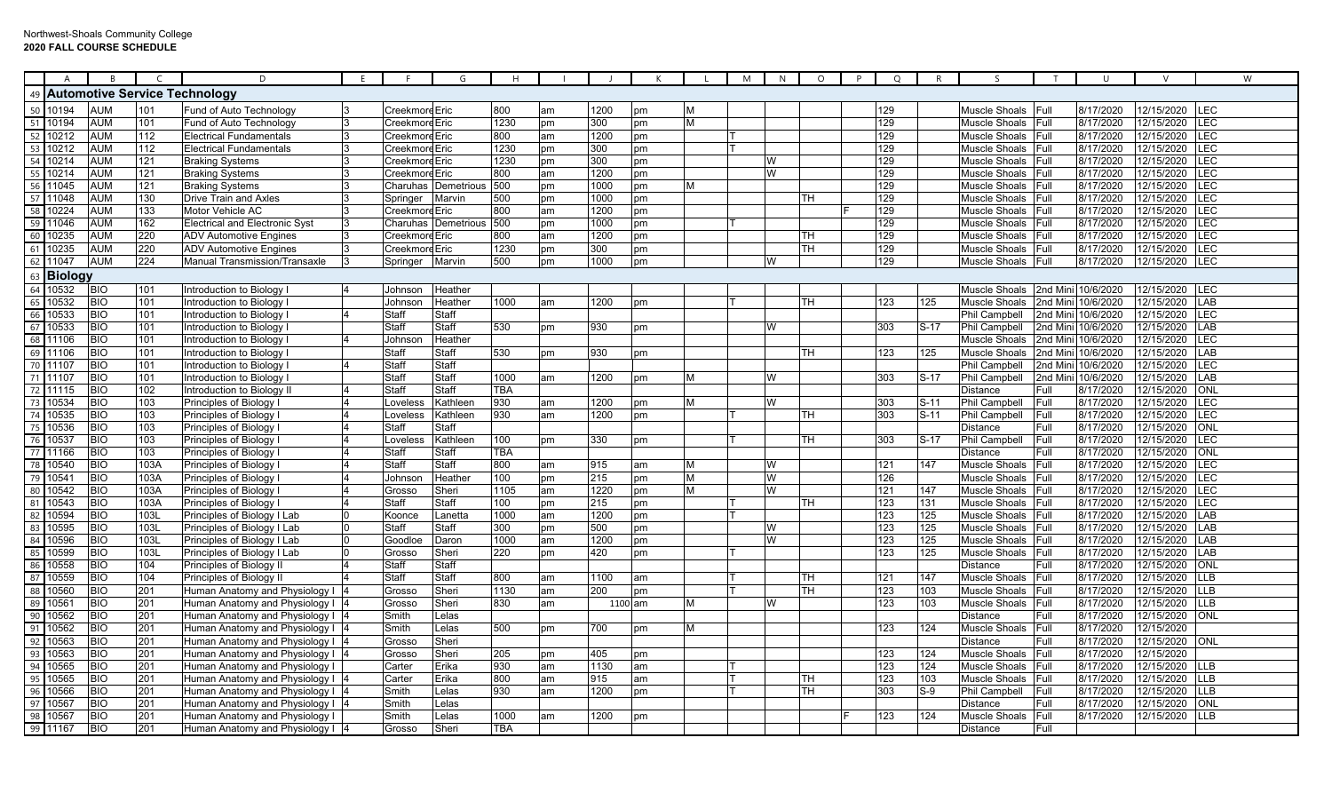|    | A                    | R.                       |             | D                                                                   | F. |                  | G              | H           |          |         |          |   | M | N  | $\circ$  | P | Q          | R          | ς.                        |              | U                      | $\vee$                   | W                 |
|----|----------------------|--------------------------|-------------|---------------------------------------------------------------------|----|------------------|----------------|-------------|----------|---------|----------|---|---|----|----------|---|------------|------------|---------------------------|--------------|------------------------|--------------------------|-------------------|
|    |                      |                          |             | 49  Automotive Service Technology                                   |    |                  |                |             |          |         |          |   |   |    |          |   |            |            |                           |              |                        |                          |                   |
|    | 50 10194             | AUM                      | 101         | Fund of Auto Technology                                             |    | Creekmore Eric   |                | 800         | am       | 1200    | pm       | M |   |    |          |   | 129        |            | Muscle Shoals             | Full         | 8/17/2020              | 12/15/2020               | LEC               |
|    | 51 10194             | AUM                      | 101         | Fund of Auto Technology                                             |    | Creekmore Eric   |                | 1230        | pm       | 300     | pm       | M |   |    |          |   | 129        |            | Muscle Shoals             | Full         | 8/17/2020              | 12/15/2020 LEC           |                   |
|    | 52 10212             | <b>AUM</b>               | 112         | <b>Electrical Fundamentals</b>                                      |    | Creekmore Eric   |                | 800         | am       | 1200    | pm       |   |   |    |          |   | 129        |            | Muscle Shoals             | Full         | 8/17/2020              | 12/15/2020               | LEC               |
|    | 53 10212             | <b>AUM</b>               | 112         | <b>Electrical Fundamentals</b>                                      |    | Creekmore Eric   |                | 1230        | pm       | 300     | pm       |   |   |    |          |   | 129        |            | Muscle Shoals             | Full         | 8/17/2020              | 12/15/2020               | LEC               |
|    | 54 10214             | <b>AUM</b>               | 121         | <b>Braking Systems</b>                                              |    | Creekmore Eric   |                | 1230        | pm       | 300     | pm       |   |   | W  |          |   | 129        |            | Muscle Shoals             | Full         | 8/17/2020              | 12/15/2020               | LEC               |
|    | 55 10214             | <b>AUM</b>               | 121         | <b>Braking Systems</b>                                              |    | Creekmore Eric   |                | 800         | am       | 1200    | pm       |   |   | W  |          |   | 129        |            | Muscle Shoals             | Full         | 8/17/2020              | 12/15/2020               | LEC               |
|    | 56 11045             | AUM                      | 121         | <b>Braking Systems</b>                                              |    | Charuhas         | Demetrious     | 500         | pm       | 1000    | pm       | M |   |    |          |   | 129        |            | Muscle Shoals             | Full         | 8/17/2020              | 12/15/2020               | LEC               |
|    | 57 11048             | AUM                      | 130         | <b>Drive Train and Axles</b>                                        |    | Springer         | Marvin         | 500         | pm       | 1000    | pm       |   |   |    | TН       |   | 129        |            | Muscle Shoals             | Full         | 8/17/2020              | 12/15/2020               | <b>LEC</b>        |
|    | 58 10224             | <b>AUM</b>               | 133         | Motor Vehicle AC                                                    |    | Creekmo          | Eric           | 800         | am       | 1200    | pm       |   |   |    |          |   | 129        |            | Muscle Shoals             | Full         | 8/17/2020              | 12/15/2020               | LEC               |
|    | 59 11046             | <b>AUM</b>               | 162         | <b>Electrical and Electronic Syst</b>                               |    | Charuhas         | Demetrious     | 500         | pm       | 1000    | pm       |   |   |    |          |   | 129        |            | Muscle Shoals             | Full         | 8/17/2020              | 12/15/2020               | LEC               |
|    | 60 10235             | <b>AUM</b>               | 220         | <b>ADV Automotive Engines</b>                                       |    | Creekmore Eric   |                | 800         | am       | 1200    | pm       |   |   |    | TН       |   | 129        |            | Muscle Shoals             | Full         | 8/17/2020              | 12/15/2020               | LEC               |
|    | 61 10235             | <b>AUM</b>               | 220         | <b>ADV Automotive Engines</b>                                       |    | Creekmore Eric   |                | 1230        | pm       | 300     | pm       |   |   |    | TН       |   | 129        |            | Muscle Shoals             | Full         | 8/17/2020              | 12/15/2020               | <b>LEC</b>        |
|    | 62 11047             | <b>AUM</b>               | 224         | <b>Manual Transmission/Transaxle</b>                                |    | Springer         | Marvin         | 500         | pm       | 1000    | pm       |   |   | IW |          |   | 129        |            | Muscle Shoals             | Full         | 8/17/2020              | 12/15/2020               | LEC               |
|    | 63 Biology           |                          |             |                                                                     |    |                  |                |             |          |         |          |   |   |    |          |   |            |            |                           |              |                        |                          |                   |
|    | 64 10532             | <b>BIO</b>               | 101         | Introduction to Biology I                                           |    | Johnsor          | Heather        |             |          |         |          |   |   |    |          |   |            |            | Muscle Shoals             |              | 2nd Mini 10/6/2020     | 12/15/2020 LEC           |                   |
|    | 65 10532             | <b>BIO</b>               | 101         | Introduction to Biology                                             |    | Johnsor          | Heather        | 1000        | am       | 1200    | pm       |   |   |    | TH       |   | 123        | 125        | <b>Muscle Shoals</b>      |              | 2nd Mini 10/6/2020     | 12/15/2020               | LAB               |
|    | 66 10533             | <b>BIO</b>               | 101         | Introduction to Biology                                             |    | Staff            | Staff          |             |          |         |          |   |   |    |          |   |            |            | <b>Phil Campbell</b>      | 2nd Mini     | 10/6/2020              | 12/15/2020               | LEC               |
|    | 67 10533             | <b>BIO</b>               | 101         | Introduction to Biology                                             |    | Staff            | Staff          | 530         | pm       | 930     | pm       |   |   | W  |          |   | 303        | $S-17$     | <b>Phil Campbell</b>      | 2nd Mini     | 10/6/2020              | 12/15/2020               | LAB               |
|    | 68 11106             | <b>BIO</b>               | 101         | Introduction to Biology                                             |    | Johnsor          | Heather        |             |          |         |          |   |   |    |          |   |            |            | Muscle Shoals             |              | 2nd Mini 10/6/2020     | 12/15/2020               | LEC               |
|    | 69 11106             | <b>BIO</b>               | 101         | Introduction to Biology I                                           |    | Staff            | Staff          | 530         | pm       | 930     | pm       |   |   |    | ГΗ       |   | 123        | 125        | Muscle Shoals             |              | 2nd Mini 10/6/2020     | 12/15/2020               | LAB               |
|    | 70 11107             | <b>BIO</b>               | 101         | Introduction to Biology                                             |    | Staff            | Staff          |             |          |         |          |   |   |    |          |   |            |            | <b>Phil Campbell</b>      |              | 2nd Mini 10/6/2020     | 12/15/2020               | LEC               |
|    | 71 11107             | <b>BIO</b>               | 101         | Introduction to Biology                                             |    | Staff            | Staff          | 1000        | am       | 1200    | pm       | M |   | W  |          |   | 303        | $S-17$     | Phil Campbell             | 2nd Min      | 10/6/2020              | 12/15/2020               | LAB               |
|    | 72 11115             | <b>BIO</b>               | 102         | Introduction to Biology II                                          |    | Staff            | Staff          | TBA         |          |         |          |   |   |    |          |   |            |            | Distance                  | Full         | 8/17/2020              | 12/15/2020               | ONI               |
|    | 73 10534             | <b>BIO</b>               | 103         | Principles of Biology I                                             |    | Loveless         | Kathleen       | 930         | am       | 1200    | pm       | М |   | W  |          |   | 303        | $S-11$     | Phil Campbell             | Full         | 8/17/2020              | 12/15/2020               | LEC               |
|    | 74 10535             | <b>BIO</b>               | 103         | Principles of Biology                                               |    | Loveless         | Kathleen       | 930         | am       | 1200    | pm       |   |   |    | гн       |   | 303        | $S-11$     | Phil Campbell             | Full         | 8/17/2020              | 12/15/2020               | LEC               |
|    | 75 10536             | <b>BIO</b>               | 103         | Principles of Biology                                               |    | Staff            | Staff          |             |          |         |          |   |   |    |          |   |            |            | Distance                  | Full         | 8/17/2020              | 12/15/2020               | <b>ONI</b>        |
|    | 76 10537             | <b>BIO</b>               | 103         | Principles of Biology                                               |    | Loveless         | Kathleen       | 100         | pm       | 330     | pm       |   |   |    | TН       |   | 303        | $S-17$     | Phil Campbell             | Full         | 8/17/2020              | 12/15/2020               | LEC               |
|    | 77 11166             | <b>BIO</b>               | 103         | Principles of Biology                                               |    | <b>Staff</b>     | Staff          | TBA         |          |         |          |   |   |    |          |   |            |            | Distance                  | Full         | 8/17/2020              | 12/15/2020               | ONI               |
|    | 78 10540             | <b>BIO</b>               | 103A        | Principles of Biology I                                             |    | <b>Staff</b>     | Staff          | 800         | am       | 915     | am       | M |   |    |          |   | 121        | 147        | Muscle Shoals             | Full         | 8/17/2020              | 12/15/2020               | <b>LEC</b>        |
|    | 79 10541             | $\overline{BIO}$         | 103A        | Principles of Biology I                                             |    | Johnsor          | Heather        | 100         | pm       | 215     | pm       | M |   | W  |          |   | 126        |            | Muscle Shoals             | Full         | 8/17/2020              | 12/15/2020               | <b>ILEC</b>       |
|    | 80 10542             | <b>BIO</b>               | 103A        | Principles of Biology I                                             |    | Grosso           | Sheri          | 1105        | am       | 1220    | pm       | M |   | W  |          |   | 121        | 147        | Muscle Shoals             | Full         | 8/17/2020              | 12/15/2020               | <b>LEC</b>        |
|    | 81 10543             | <b>BIO</b>               | 103A        | Principles of Biology                                               |    | Staff            | Staff          | 100         | pm       | 215     | pm       |   |   |    | TН       |   | 123        | 131        | Muscle Shoals             | Full         | 8/17/2020              | 12/15/2020               | <b>LEC</b>        |
| 82 | 10594                | <b>BIO</b>               | 103L        | Principles of Biology I Lab                                         |    | Koonce           | _anetta        | 1000        | am       | 1200    | pm       |   |   |    |          |   | 123        | 125        | Muscle Shoals             | Full         | 8/17/2020              | 12/15/2020               | LAB               |
|    | 83 10595             | <b>BIO</b>               | 103L        | Principles of Biology I Lab                                         |    | Staff            | Staff          | 300         | pm       | 500     | pm       |   |   | W  |          |   | 123        | 125        | Muscle Shoals             | Full         | 8/17/2020              | 12/15/2020               | <b>LAB</b>        |
|    | 84 10596             | <b>BIO</b>               | 103L        | Principles of Biology I Lab                                         |    | Goodloe          | Daron          | 1000        | am       | 1200    | pm       |   |   | W  |          |   | 123        | 125        | Muscle Shoals             | Full         | 8/17/2020              | 12/15/2020               | LAB               |
| 85 | 10599<br>86 10558    | <b>BIO</b><br><b>BIO</b> | 103L<br>104 | Principles of Biology I Lab                                         |    | Grosso           | Sheri<br>Staff | 220         | pm       | 420     | pm       |   |   |    |          |   | 123        | 125        | Muscle Shoals<br>Distance | Full<br>Full | 8/17/2020<br>8/17/2020 | 12/15/2020<br>12/15/2020 | LAB<br><b>NO</b>  |
|    |                      |                          |             | Principles of Biology II                                            |    | Staff            |                |             |          |         |          |   |   |    |          |   |            |            |                           |              |                        |                          |                   |
| 87 | 10559                | <b>BIO</b><br><b>BIO</b> | 104         | Principles of Biology II                                            |    | Staff            | Staff          | 800         | am       | 1100    | am       |   |   |    | TН<br>ΓН |   | 121        | 147        | Muscle Shoals             | Full<br>Full | 8/17/2020              | 12/15/2020               | LLB<br><b>LLB</b> |
|    | 88 10560<br>89 1056  | <b>BIO</b>               | 201<br>201  | Human Anatomy and Physiology I  4<br>Human Anatomy and Physiology I |    | Grosso<br>Grosso | Sheri<br>Sheri | 1130<br>830 | am<br>am | 200     | pm       |   |   | W  |          |   | 123<br>123 | 103<br>103 | Muscle Shoals             | Full         | 8/17/2020<br>8/17/2020 | 12/15/2020<br>12/15/2020 | LLB               |
| 90 | 10562                | <b>BIO</b>               | 201         | Human Anatomy and Physiology I                                      |    | Smith            | Lelas          |             |          | 1100 am |          | М |   |    |          |   |            |            | Muscle Shoals<br>Distance | Full         | 8/17/2020              | 12/15/2020               | ONL               |
|    |                      | <b>BIO</b>               | 201         |                                                                     |    |                  |                |             |          |         |          | M |   |    |          |   |            |            |                           | Full         |                        |                          |                   |
|    | 91 10562<br>92 10563 | <b>BIO</b>               | 201         | Human Anatomy and Physiology I<br>Human Anatomy and Physiology I    |    | Smith<br>Grosso  | Lelas<br>Sheri | 500         | pm       | 700     | pm       |   |   |    |          |   | 123        | 124        | Muscle Shoals<br>Distance | Full         | 8/17/2020<br>8/17/2020 | 12/15/2020<br>12/15/2020 | ONL               |
|    | 93 10563             | <b>BIO</b>               | 201         | Human Anatomy and Physiology I 4                                    |    | Grosso           | Sheri          | 205         |          | 405     |          |   |   |    |          |   | 123        | 124        | Muscle Shoals             | Full         | 8/17/2020              | 12/15/2020               |                   |
| 94 | 10565                | <b>BIO</b>               | 201         | Human Anatomy and Physiology I                                      |    | Carter           | Erika          | 930         | pm<br>am | 1130    | pm<br>am |   |   |    |          |   | 123        | 124        | Muscle Shoals             | Full         | 8/17/2020              | 12/15/2020               | <b>LLB</b>        |
| 95 | 10565                | <b>BIO</b>               | 201         | Human Anatomy and Physiology I                                      |    | Carter           | Erika          | 800         | am       | 915     | am       |   |   |    | TН       |   | 123        | 103        | <b>Muscle Shoals</b>      | Full         | 8/17/2020              | 12/15/2020               | LLB               |
|    | 96 10566             | <b>BIO</b>               | 201         | Human Anatomy and Physiology I                                      |    | Smith            | Lelas          | 930         | am       | 1200    | pm       |   |   |    | TH       |   | 303        | $S-9$      | Phil Campbell             | Full         | 8/17/2020              | 12/15/2020               | LLB               |
|    | 97 10567             | <b>BIO</b>               | 201         | Human Anatomy and Physiology I                                      |    | Smith            | Lelas          |             |          |         |          |   |   |    |          |   |            |            | Distance                  | Full         | 8/17/2020              | 12/15/2020               | ONI               |
|    | 98 10567             | <b>BIO</b>               | 201         | Human Anatomy and Physiology I                                      |    | Smith            | Lelas          | 1000        | am       | 1200    |          |   |   |    |          |   | 123        | 124        | Muscle Shoals             | Full         | 8/17/2020              | 12/15/2020               | <b>LLB</b>        |
|    | 99 11167             | <b>BIO</b>               | 201         | Human Anatomy and Physiology I 4                                    |    | Grosso           | Sheri          | TBA         |          |         | рm       |   |   |    |          |   |            |            | <b>Distance</b>           | Full         |                        |                          |                   |
|    |                      |                          |             |                                                                     |    |                  |                |             |          |         |          |   |   |    |          |   |            |            |                           |              |                        |                          |                   |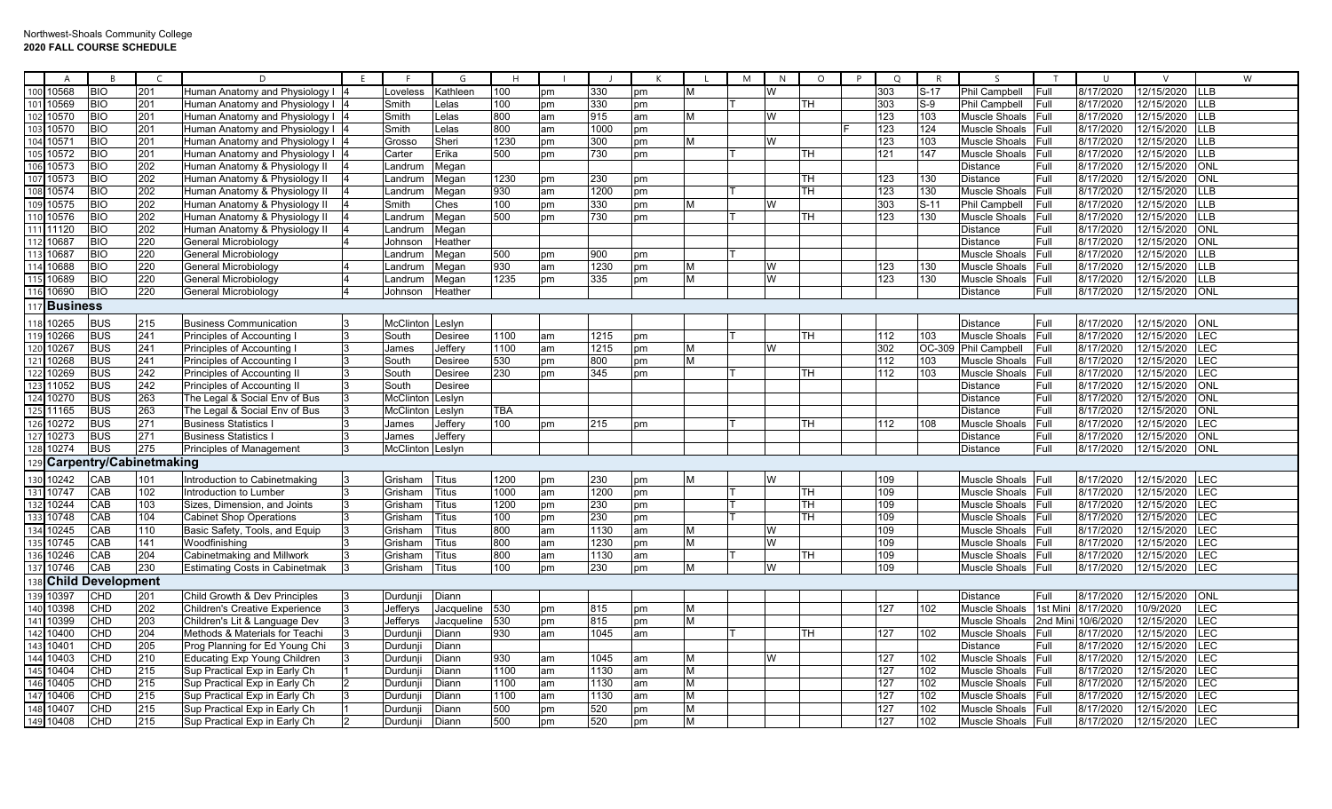|                   | $\overline{A}$        | B                       |                                | D                                     | F. |                  | G              | H    |    |      |    |   | M<br>N | $\circ$   | P | $\Omega$ | $\mathsf{R}$ | $\varsigma$          |             | $\mathbf{H}$ |            |             | W |
|-------------------|-----------------------|-------------------------|--------------------------------|---------------------------------------|----|------------------|----------------|------|----|------|----|---|--------|-----------|---|----------|--------------|----------------------|-------------|--------------|------------|-------------|---|
| 100               | 10568                 | <b>BIO</b>              | 201                            | Human Anatomy and Physiology I        |    | oveless          | Kathleen       | 100  | pm | 330  | pm |   | W      |           |   | 303      | $S-17$       | Phil Campbell        | Full        | 8/17/2020    | 12/15/2020 | LLB         |   |
| 101               | 10569                 | <b>BIO</b>              | 201                            | Human Anatomy and Physiology I        |    | Smith            | Lelas          | 100  | pm | 330  | pm |   |        | TH        |   | 303      | $S-9$        | Phil Campbell        | Full        | 8/17/2020    | 12/15/2020 | <b>LLB</b>  |   |
| 102               | 10570                 | <b>BIO</b>              | 201                            | Human Anatomy and Physiology I        |    | Smith            | Lelas          | 800  | am | 915  | am | M | W      |           |   | 123      | 103          | Muscle Shoals        | Full        | 8/17/2020    | 12/15/2020 | <b>LLB</b>  |   |
| 103               | 10570                 | <b>BIO</b>              | 201                            | Human Anatomy and Physiology I        |    | Smith            | Lelas          | 800  | am | 1000 | pm |   |        |           |   | 123      | 124          | Muscle Shoals        | Full        | 8/17/2020    | 12/15/2020 | <b>LLB</b>  |   |
| 104               | 10571                 | <b>BIO</b>              | 201                            | Human Anatomy and Physiology I        |    | Grosso           | Sheri          | 1230 | pm | 300  | pm | M | W      |           |   | 123      | 103          | Muscle Shoals        | Full        | 8/17/2020    | 12/15/2020 | <b>LLB</b>  |   |
| 105               | 10572                 | <b>BIO</b>              | 201                            | Human Anatomy and Physiology I        |    | Carter           | Erika          | 500  | pm | 730  | pm |   |        | TН        |   | 121      | 147          | Muscle Shoals        | Full        | 8/17/2020    | 12/15/2020 | <b>LLB</b>  |   |
| 106               | 10573                 | <b>BIO</b>              | 202                            | Human Anatomy & Physiology II         |    | _andrum          | Megan          |      |    |      |    |   |        |           |   |          |              | Distance             | Full        | 8/17/2020    | 12/15/2020 | ONL         |   |
| 107               | 10573                 | <b>BIO</b>              | 202                            | Human Anatomy & Physiology II         |    | .andrum          | Megan          | 1230 | pm | 230  | pm |   |        | <b>TH</b> |   | 123      | 130          | <b>Distance</b>      | Full        | 8/17/2020    | 12/15/2020 | ONL         |   |
| 108               | 10574                 | <b>BIO</b>              | 202                            | Human Anatomy & Physiology II         |    | .andrun          | Megan          | 930  | am | 1200 | pm |   |        | <b>TH</b> |   | 123      | 130          | Muscle Shoals        | Full        | 8/17/2020    | 12/15/2020 | <b>LLB</b>  |   |
|                   | 109 10575             | <b>BIO</b>              | 202                            | Human Anatomy & Physiology II         |    | Smith            | Ches           | 100  | pm | 330  | pm | M | W      |           |   | 303      | $S-11$       | Phil Campbell        | Full        | 8/17/2020    | 12/15/2020 | <b>LLB</b>  |   |
|                   | 110 10576             | <b>BIO</b>              | 202                            | Human Anatomy & Physiology II         |    | .andrum          | Megan          | 500  | pm | 730  | pm |   |        | <b>TH</b> |   | 123      | 130          | Muscle Shoals        | Full        | 8/17/2020    | 12/15/2020 | <b>LLB</b>  |   |
|                   | 111 11120             | <b>BIO</b>              | 202                            | Human Anatomy & Physiology II         |    | _andrum          | Megan          |      |    |      |    |   |        |           |   |          |              | Distance             | Full        | 8/17/2020    | 12/15/2020 | ONL         |   |
| 112               | 10687                 | <b>BIO</b>              | 220                            | General Microbiology                  |    | Johnson          | Heather        |      |    |      |    |   |        |           |   |          |              | <b>Distance</b>      | <b>Full</b> | 8/17/2020    | 12/15/2020 | ONL         |   |
| 113               | 10687                 | <b>BIO</b>              | 220                            | General Microbiology                  |    | .andrum          | Megan          | 500  | pm | 900  | pm |   |        |           |   |          |              | Muscle Shoals        | Full        | 8/17/2020    | 12/15/2020 | <b>LLB</b>  |   |
| 114               | 10688                 | <b>BIO</b>              | 220                            | General Microbiology                  |    | .andrum          | Megan          | 930  | am | 1230 | pm | M | W      |           |   | 123      | 130          | Muscle Shoals        | Full        | 8/17/2020    | 12/15/2020 | <b>LLB</b>  |   |
|                   | 115 10689             | <b>BIO</b>              | 220                            | General Microbiology                  |    | _andrum          | Megan          | 1235 | pm | 335  | pm | M | W      |           |   | 123      | 130          | Muscle Shoals        | Full        | 8/17/2020    | 12/15/2020 | LLB         |   |
|                   | 116 10690             | <b>BIO</b>              | 220                            | General Microbiology                  |    | Johnson          | Heather        |      |    |      |    |   |        |           |   |          |              | Distance             | Full        | 8/17/2020    | 12/15/2020 | ONL         |   |
|                   | 117 <b>Business</b>   |                         |                                |                                       |    |                  |                |      |    |      |    |   |        |           |   |          |              |                      |             |              |            |             |   |
|                   |                       |                         |                                |                                       |    |                  |                |      |    |      |    |   |        |           |   |          |              |                      |             |              |            |             |   |
|                   | 118 10265             | <b>BUS</b>              | 215                            | <b>Business Communication</b>         | B. | McClinton        | Leslyn         |      |    |      |    |   |        |           |   |          |              | Distance             | Full        | 8/17/2020    | 12/15/2020 | ONL         |   |
|                   | 119 10266             | <b>BUS</b>              | 241                            | Principles of Accounting              | 3  | South            | <b>Desiree</b> | 1100 | am | 1215 | pm |   |        | TН        |   | 112      | 103          | Muscle Shoals Full   |             | 8/17/2020    | 12/15/2020 | <b>ILEC</b> |   |
| 120               | 10267                 | <b>BUS</b>              | 241                            | Principles of Accounting              |    | James            | Jeffery        | 1100 | am | 1215 | pm | M | W      |           |   | 302      | OC-309       | <b>Phil Campbell</b> | <b>Full</b> | 8/17/2020    | 12/15/2020 | LEC         |   |
| 122               | 10268                 | <b>BUS</b>              | 241                            | Principles of Accounting              |    | South            | <b>Desiree</b> | 530  | pm | 800  | pm | M |        |           |   | 112      | 103          | Muscle Shoals        | Full        | 8/17/2020    | 12/15/2020 | LEC         |   |
|                   | 10269                 | <b>BUS</b>              | 242                            | Principles of Accounting II           | 3  | South            | <b>Desiree</b> | 230  | pm | 345  | pm |   |        | <b>TH</b> |   | 112      | 103          | Muscle Shoals        | Full        | 8/17/2020    | 12/15/2020 | LEC         |   |
| 123               | 11052                 | <b>BUS</b>              | 242                            | Principles of Accounting II           |    | South            | <b>Desiree</b> |      |    |      |    |   |        |           |   |          |              | Distance             | Full        | 8/17/2020    | 12/15/2020 | ONL         |   |
| $\frac{124}{125}$ | 10270                 | <b>BUS</b>              | 263                            | The Legal & Social Env of Bus         | 3  | McClinton        | Leslyn         |      |    |      |    |   |        |           |   |          |              | Distance             | Full        | 8/17/2020    | 12/15/2020 | ONL         |   |
|                   | 11165                 | <b>BUS</b>              | 263                            | The Legal & Social Env of Bus         |    | McClinton        | Leslyn         | TBA  |    |      |    |   |        |           |   |          |              | Distance             | Full        | 8/17/2020    | 12/15/2020 | ONL         |   |
| 126               | 10272                 | <b>BUS</b>              | 271                            | <b>Business Statistics</b>            |    | James            | Jeffery        | 100  | pm | 215  | pm |   |        | <b>TH</b> |   | 112      | 108          | Muscle Shoals        | Full        | 8/17/2020    | 12/15/2020 | <b>LEC</b>  |   |
| 127               | 10273                 | <b>BUS</b>              | 271                            | <b>Business Statistics</b>            |    | James            | Jeffery        |      |    |      |    |   |        |           |   |          |              | Distance             | Full        | 8/17/2020    | 12/15/2020 | ONL         |   |
| 128               | 10274                 | <b>BUS</b>              | 275                            | <b>Principles of Management</b>       | 3  | McClinton Leslyn |                |      |    |      |    |   |        |           |   |          |              | <b>Distance</b>      | Full        | 8/17/2020    | 12/15/2020 | ONL         |   |
|                   |                       |                         | <b>Carpentry/Cabinetmaking</b> |                                       |    |                  |                |      |    |      |    |   |        |           |   |          |              |                      |             |              |            |             |   |
| 130               | 10242                 | CAB                     | 101                            | Introduction to Cabinetmaking         | 3  | Grisham          | <b>Titus</b>   | 1200 | pm | 230  | pm | M | W      |           |   | 109      |              | Muscle Shoals        | Full        | 8/17/2020    | 12/15/2020 | LEC         |   |
| 131               | 10747                 | CAB                     | 102                            | Introduction to Lumber                |    | Grisham          | <b>Titus</b>   | 1000 | am | 1200 | pm |   |        | TН        |   | 109      |              | Muscle Shoals        | Full        | 8/17/2020    | 12/15/2020 | <b>LEC</b>  |   |
| 132               | 10244                 | CAB                     | 103                            | Sizes, Dimension, and Joints          |    | Grisham          | Titus          | 1200 | pm | 230  | pm |   |        | <b>TH</b> |   | 109      |              | Muscle Shoals        | Full        | 8/17/2020    | 12/15/2020 | LEC         |   |
|                   | 10748                 | CAB                     | 104                            | <b>Cabinet Shop Operations</b>        |    | Grisham          | Titus          | 100  | pm | 230  | pm |   |        | TН        |   | 109      |              | Muscle Shoals        | <b>Full</b> | 8/17/2020    | 12/15/2020 | <b>LEC</b>  |   |
| 134               | 10245                 | CAB                     | 110                            | Basic Safety, Tools, and Equip        |    | Grisham          | <b>Titus</b>   | 800  | am | 1130 | am | M | W      |           |   | 109      |              | Muscle Shoals        | <b>Full</b> | 8/17/2020    | 12/15/2020 | LEC         |   |
| 135               | 10745                 | CAB                     | 141                            | Woodfinishing                         |    | Grisham          | Titus          | 800  | am | 1230 | pm | M | W      |           |   | 109      |              | Muscle Shoals        | Full        | 8/17/2020    | 12/15/2020 | LEC         |   |
| 136               | 10246                 | CAB                     | 204                            | Cabinetmaking and Millwork            |    | Grisham          | <b>Titus</b>   | 800  | am | 1130 | am |   |        | <b>TH</b> |   | 109      |              | Muscle Shoals        | Full        | 8/17/2020    | 12/15/2020 | <b>LEC</b>  |   |
| 137               | 10746                 | CAB                     | 230                            | <b>Estimating Costs in Cabinetmak</b> |    | Grisham          | <b>Titus</b>   | 100  | pm | 230  | pm | M | W      |           |   | 109      |              | Muscle Shoals        | <b>Full</b> | 8/17/2020    | 12/15/2020 | <b>LEC</b>  |   |
|                   | 138 Child Development |                         |                                |                                       |    |                  |                |      |    |      |    |   |        |           |   |          |              |                      |             |              |            |             |   |
| 139               | 10397                 | CHD                     | 201                            | Child Growth & Dev Principles         |    | Durdun           | Diann          |      |    |      |    |   |        |           |   |          |              | Distance             | Full        | 8/17/2020    | 12/15/2020 | ONL         |   |
| 140               | 10398                 | $\overline{\text{CHD}}$ | 202                            | <b>Children's Creative Experience</b> |    | Jefferys         | Jacqueline     | 530  | pm | 815  | pm | M |        |           |   | 127      | 102          | Muscle Shoals        | 1st Min     | 8/17/2020    | 10/9/2020  | LEC         |   |
| 141               | 10399                 | CHD                     | 203                            | Children's Lit & Language Dev         |    | Jefferys         | Jacqueline     | 530  | pm | 815  | pm | M |        |           |   |          |              | Muscle Shoals        | 2nd Min     | 10/6/2020    | 12/15/2020 | <b>LEC</b>  |   |
| 142               | 10400                 | <b>CHD</b>              | 204                            | Methods & Materials for Teachi        |    | Durduni          | Diann          | 930  | am | 1045 | am |   |        | TH        |   | 127      | 102          | Muscle Shoals        | Full        | 8/17/2020    | 12/15/2020 | <b>LEC</b>  |   |
| 143               | 10401                 | CHD                     | 205                            | Prog Planning for Ed Young Chi        |    | Durdun           | Diann          |      |    |      |    |   |        |           |   |          |              | Distance             | <b>Full</b> | 8/17/2020    | 12/15/2020 | LEC         |   |
| 144               | 10403                 | CHD                     | 210                            | <b>Educating Exp Young Children</b>   |    | Durdun           | Diann          | 930  | am | 1045 | am | M | W      |           |   | 127      | 102          | Muscle Shoals Full   |             | 8/17/2020    | 12/15/2020 | LEC         |   |
| 145               | 10404                 | <b>CHD</b>              | 215                            | Sup Practical Exp in Early Ch         |    | Durdun           | Diann          | 1100 | am | 1130 | am | M |        |           |   | 127      | 102          | Muscle Shoals Full   |             | 8/17/2020    | 12/15/2020 | LEC         |   |
| 146               | 10405                 | CHD                     | 215                            | Sup Practical Exp in Early Ch         |    | Durdun           | Diann          | 1100 | am | 1130 | am | M |        |           |   | 127      | 102          | Muscle Shoals        | Full        | 8/17/2020    | 12/15/2020 | LEC         |   |
| 147               | 10406                 | CHD                     | 215                            | Sup Practical Exp in Early Ch         |    | Durdun           | Diann          | 1100 | am | 1130 | am | M |        |           |   | 127      | 102          | Muscle Shoals        | <b>Full</b> | 8/17/2020    | 12/15/2020 | <b>LEC</b>  |   |
|                   | 148 10407             | CHD                     | 215                            | Sup Practical Exp in Early Ch         |    | Durdun           | Diann          | 500  | pm | 520  | pm | M |        |           |   | 127      | 102          | Muscle Shoals        | Full        | 8/17/2020    | 12/15/2020 | <b>LEC</b>  |   |
|                   | 149 10408             | CHD                     | 215                            | Sup Practical Exp in Early Ch         |    | Durdunii         | Diann          | 500  | pm | 520  | pm | M |        |           |   | 127      | 102          | Muscle Shoals        | Full        | 8/17/2020    | 12/15/2020 | LEC         |   |
|                   |                       |                         |                                |                                       |    |                  |                |      |    |      |    |   |        |           |   |          |              |                      |             |              |            |             |   |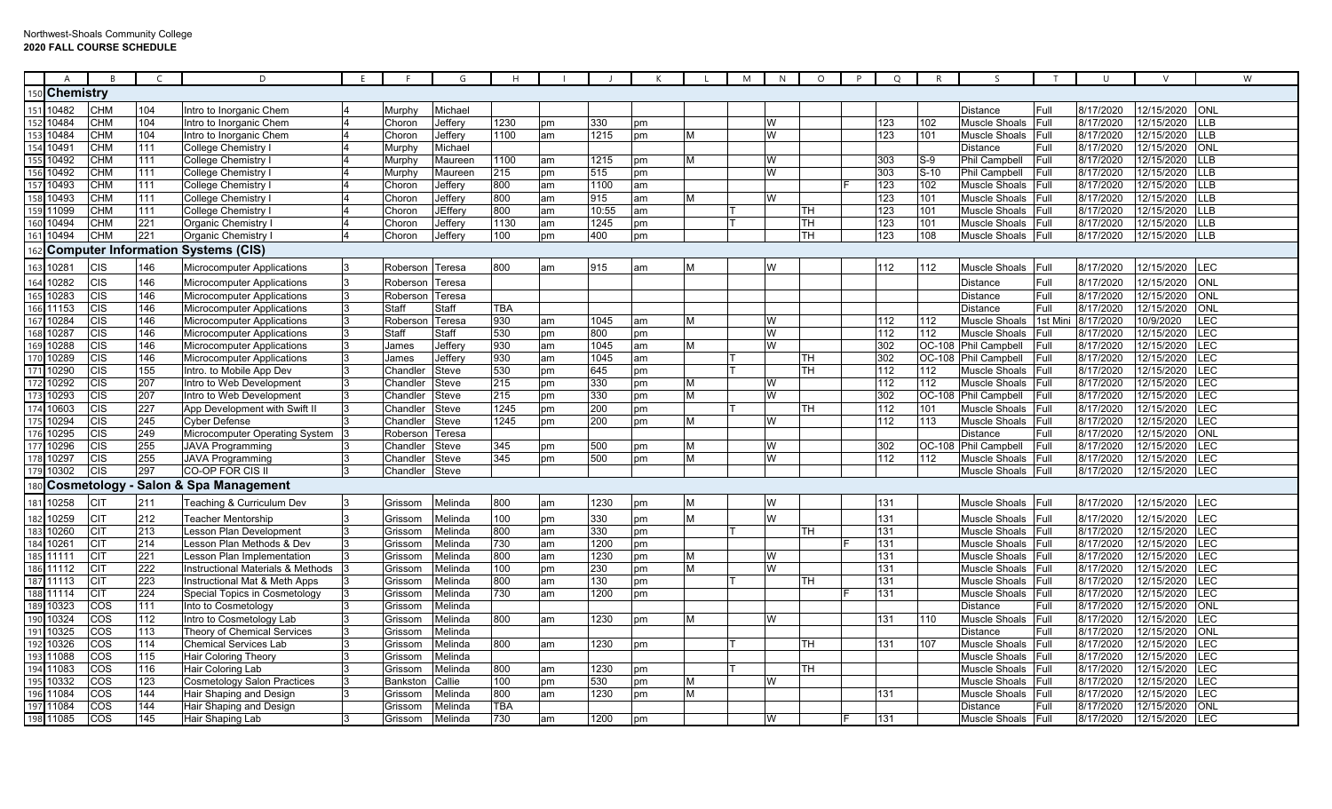|                 | $\overline{A}$ | $\overline{B}$    | $\epsilon$       | D                                         |                 | G              |                  |    |       |    |   | M | N              | $\circ$   | P | Q   | R                | S                    | $\mathsf{T}$ | $\cup$    |            | W          |
|-----------------|----------------|-------------------|------------------|-------------------------------------------|-----------------|----------------|------------------|----|-------|----|---|---|----------------|-----------|---|-----|------------------|----------------------|--------------|-----------|------------|------------|
|                 | Chemistry      |                   |                  |                                           |                 |                |                  |    |       |    |   |   |                |           |   |     |                  |                      |              |           |            |            |
|                 | 10482          | <b>CHM</b>        | 104              | Intro to Inorganic Chem                   | Murphy          | Michael        |                  |    |       |    |   |   |                |           |   |     |                  | <b>Distance</b>      | Full         | 8/17/2020 | 12/15/2020 | ONL        |
|                 | 10484          | <b>CHM</b>        | 104              | Intro to Inorganic Chem                   | Choron          | Jeffery        | 1230             | рm | 330   | pm |   |   |                |           |   | 123 | 102              | Muscle Shoals        | Full         | 8/17/2020 | 12/15/2020 | <b>LLB</b> |
| 153             | 10484          | <b>CHM</b>        | 104              | Intro to Inorganic Chem                   | Choron          | Jefferv        | 1100             | am | 1215  | pm | M |   | W              |           |   | 123 | 101              | Muscle Shoals        | Full         | 8/17/2020 | 12/15/2020 | <b>LLB</b> |
| 154             | 10491          | <b>CHM</b>        | 111              | <b>College Chemistry</b>                  | Murphy          | Michael        |                  |    |       |    |   |   |                |           |   |     |                  | Distance             | Full         | 8/17/2020 | 12/15/2020 | <b>ONL</b> |
| 155             | 10492          | <b>CHM</b>        | 111              | <b>College Chemistry</b>                  | Murphy          | Maureen        | 1100             | am | 1215  | pm | м |   | W              |           |   | 303 | S-9              | Phil Campbell        | Full         | 8/17/2020 | 12/15/2020 | <b>LLB</b> |
|                 | 10492          | <b>CHM</b>        | 111              | College Chemistry I                       | Murphy          | Maureen        | 215              | pm | 515   | pm |   |   | W              |           |   | 303 | $S-10$           | Phil Campbell        | Full         | 8/17/2020 | 12/15/2020 | <b>LLB</b> |
|                 | 10493          | <b>CHM</b>        | 111              | College Chemistry                         | Choron          | Jeffery        | 800              | am | 1100  | am |   |   |                |           |   | 123 | 102              | Muscle Shoals        | Full         | 8/17/2020 | 12/15/2020 | <b>LLB</b> |
| 158             | 10493          | <b>CHM</b>        | 111              | <b>College Chemistry</b>                  | Choron          | Jeffery        | 800              | am | 915   | am | м |   | W              |           |   | 123 | 101              | Muscle Shoals        | Full         | 8/17/2020 | 12/15/2020 | LLB        |
| 159             | 11099          | <b>CHM</b>        | 111              | College Chemistry I                       | Choron          | <b>JEffery</b> | 800              | am | 10:55 | am |   |   |                | TH        |   | 123 | 101              | Muscle Shoals        | Full         | 8/17/2020 | 12/15/2020 | <b>LLB</b> |
| 16C             | 10494          | <b>CHM</b>        | 221              | <b>Organic Chemistry I</b>                | Choron          | Jeffery        | 1130             | am | 1245  | pm |   |   |                | <b>TH</b> |   | 123 | 101              | <b>Muscle Shoals</b> | Full         | 8/17/2020 | 12/15/2020 | <b>LLB</b> |
| 161             | 10494          | <b>CHM</b>        | 221              | Organic Chemistry                         | Choron          | Jeffery        | 100              | pm | 400   | pm |   |   |                | <b>TH</b> |   | 123 | 108              | Muscle Shoals        | Full         | 8/17/2020 | 12/15/2020 | <b>LLB</b> |
|                 |                |                   |                  | <b>Computer Information Systems (CIS)</b> |                 |                |                  |    |       |    |   |   |                |           |   |     |                  |                      |              |           |            |            |
|                 |                |                   |                  |                                           |                 |                |                  |    |       |    |   |   |                |           |   |     |                  |                      |              |           |            |            |
| 163             | 10281          | <b>CIS</b>        | 146              | <b>Microcomputer Applications</b>         | Roberson Teresa |                | 800              | am | 915   | am | M |   | W              |           |   | 112 | 112              | <b>Muscle Shoals</b> | Full         | 8/17/2020 | 12/15/2020 | LEC        |
| 164             | 10282          | <b>CIS</b>        | 146              | <b>Microcomputer Applications</b>         | Roberson        | Teresa         |                  |    |       |    |   |   |                |           |   |     |                  | Distance             | Full         | 8/17/2020 | 12/15/2020 | <b>ONL</b> |
| 165             | 10283          | <b>CIS</b>        | 146              | <b>Microcomputer Applications</b>         | Roberson Teresa |                |                  |    |       |    |   |   |                |           |   |     |                  | Distance             | Full         | 8/17/2020 | 12/15/2020 | <b>ONL</b> |
| 166             | 11153          | CIS               | 146              | <b>Microcomputer Applications</b>         | Staff           | Staff          | TBA              |    |       |    |   |   |                |           |   |     |                  | Distance             | Full         | 8/17/2020 | 12/15/2020 | ONL        |
| 167             | 10284          | <b>CIS</b>        | 146              | Microcomputer Applications                | Roberson        | Teresa         | 930              | am | 1045  | am | M |   | W              |           |   | 112 | 112              | Muscle Shoals        | 1st Min      | 8/17/2020 | 10/9/2020  | LEC        |
| 168             | 10287          | CIS               | 146              | <b>Microcomputer Applications</b>         | Staff           | Staff          | 530              | pm | 800   | pm |   |   | W              |           |   | 112 | $\overline{112}$ | Muscle Shoals        | Full         | 8/17/2020 | 12/15/2020 | LEC        |
| 169             | 10288          | <b>CIS</b>        | 146              | <b>Microcomputer Applications</b>         | James           | Jeffery        | 930              | am | 1045  | am | M |   | W              |           |   | 302 | OC-108           | <b>Phil Campbell</b> | Full         | 8/17/2020 | 12/15/2020 | LEC        |
|                 | 170 10289      | CIS               | 146              | Microcomputer Applications                | James           | Jeffery        | 930              | am | 1045  | am |   |   |                | TН        |   | 302 | OC-108           | Phil Campbell        | Full         | 8/17/2020 | 12/15/2020 | LEC        |
|                 | 171 10290      | <b>CIS</b>        | 155              | Intro. to Mobile App Dev                  | Chandler        | Steve          | 530              | pm | 645   | pm |   |   |                | TH        |   | 112 | 112              | Muscle Shoals        | Full         | 8/17/2020 | 12/15/2020 | LEC        |
|                 | 172 10292      | <b>CIS</b>        | 207              | Intro to Web Development                  | Chandleı        | Steve          | 215              | pm | 330   | pm | м |   | W              |           |   | 112 | 112              | Muscle Shoals        | Full         | 8/17/2020 | 12/15/2020 | <b>LEC</b> |
|                 | 10293          | <b>CIS</b>        | 207              | Intro to Web Development                  | Chandler        | Steve          | 215              | pm | 330   | pm | M |   | w              |           |   | 302 | OC-10            | Phil Campbell        | Full         | 8/17/2020 | 12/15/2020 | <b>LEC</b> |
| 174             | 10603          | <b>CIS</b>        | 227              | App Development with Swift I              | Chandler        | <b>Steve</b>   | 1245             | pm | 200   | pm |   |   |                | TH        |   | 112 | 101              | Muscle Shoals        | <b>IFull</b> | 8/17/2020 | 12/15/2020 | <b>LEC</b> |
| $\frac{175}{2}$ | 10294          | <b>CIS</b>        | 245              | <b>Cyber Defense</b>                      | Chandler        | <b>Steve</b>   | 1245             | pm | 200   | pm | M |   | W              |           |   | 112 | 113              | <b>Muscle Shoals</b> | Full         | 8/17/2020 | 12/15/2020 | LEC        |
|                 | 176 10295      | <b>CIS</b>        | 249              | Microcomputer Operating System            | Roberson        | Teresa         |                  |    |       |    |   |   |                |           |   |     |                  | Distance             | Full         | 8/17/2020 | 12/15/2020 | <b>ONL</b> |
|                 | 177 10296      | <b>CIS</b>        | 255              | <b>JAVA Programming</b>                   | Chandler        | Steve          | 345              | pm | 500   | pm | м |   | W              |           |   | 302 | OC-108           | Phil Campbell        | Full         | 8/17/2020 | 12/15/2020 | <b>LEC</b> |
| 178             | 10297          | <b>CIS</b>        | 255              | <b>JAVA Programming</b>                   | Chandler        | Steve          | 345              | pm | 500   | pm | М |   | W              |           |   | 112 | 112              | Muscle Shoals        | Full         | 8/17/2020 | 12/15/2020 | LEC        |
|                 | 10302          | CIS               | 297              | CO-OP FOR CIS II                          | Chandler        | Steve          |                  |    |       |    |   |   |                |           |   |     |                  | Muscle Shoals        | Full         | 8/17/2020 | 12/15/2020 | LEC        |
| 180             |                | Cosmetology       |                  | <b>Salon &amp; Spa Management</b>         |                 |                |                  |    |       |    |   |   |                |           |   |     |                  |                      |              |           |            |            |
| 181             | 10258          | <b>CIT</b>        | 211              | Teaching & Curriculum Dev                 | Grissom         | Melinda        | 800              | am | 1230  | pm | м |   |                |           |   | 131 |                  | Muscle Shoals        | Full         | 8/17/2020 | 12/15/2020 | LEC        |
| 182             | 10259          | <b>CIT</b>        | 212              | <b>Teacher Mentorship</b>                 | Grissom         | Melinda        | 100              | pm | 330   | pm | M |   | $\overline{M}$ |           |   | 131 |                  | <b>Muscle Shoals</b> | Full         | 8/17/2020 | 12/15/2020 | LEC        |
| 183             | 10260          | <b>CIT</b>        | 213              | Lesson Plan Development                   | Grissom         | Melinda        | $\overline{800}$ | am | 330   | pm |   |   |                | TH        |   | 131 |                  | Muscle Shoals        | Full         | 8/17/2020 | 12/15/2020 | LEC        |
| 184             | 10261          | <b>CIT</b>        | 214              | Lesson Plan Methods & Dev                 | Grissom         | Melinda        | 730              | am | 1200  | pm |   |   |                |           |   | 131 |                  | Muscle Shoals        | Full         | 8/17/2020 | 12/15/2020 | LEC        |
|                 | 185 11111      | <b>CIT</b>        | 221              | Lesson Plan Implementation                | Grissom         | Melinda        | 800              | am | 1230  | pm | M |   | W              |           |   | 131 |                  | Muscle Shoals        | Full         | 8/17/2020 | 12/15/2020 | LEC        |
|                 | 186 11112      | <b>CIT</b>        | $\overline{222}$ | Instructional Materials & Methods         | Grissom         | Melinda        | 100              | pm | 230   | pm | М |   | W              |           |   | 131 |                  | Muscle Shoals        | Full         | 8/17/2020 | 12/15/2020 | LEC        |
|                 | 187 11113      | <b>CIT</b>        | 223              | Instructional Mat & Meth Apps             | Grissom         | Melinda        | $\overline{800}$ | am | 130   | pm |   |   |                | TН        |   | 131 |                  | Muscle Shoals        | Full         | 8/17/2020 | 12/15/2020 | LEC        |
|                 | 188 11114      | <b>CIT</b>        | 224              | Special Topics in Cosmetology             | Grisson         | Melinda        | 730              | am | 1200  | pm |   |   |                |           |   | 131 |                  | <b>Muscle Shoals</b> | Full         | 8/17/2020 | 12/15/2020 | LEC        |
|                 | 189 10323      | $\overline{\cos}$ | 111              | Into to Cosmetology                       | Grissom         | Melinda        |                  |    |       |    |   |   |                |           |   |     |                  | Distance             | Full         | 8/17/2020 | 12/15/2020 | ONL        |
|                 | 190 10324      | COS               | 112              | Intro to Cosmetology Lab                  | Grissom         | Melinda        | 800              | am | 1230  | pm | М |   | w              |           |   | 131 | 110              | <b>Muscle Shoals</b> | Full         | 8/17/2020 | 12/15/2020 | LEC        |
|                 | 191 10325      | COS               | 113              | Theory of Chemical Services               | Grissom         | Melinda        |                  |    |       |    |   |   |                |           |   |     |                  | Distance             | Full         | 8/17/2020 | 12/15/2020 | <b>ONL</b> |
|                 | 192 10326      | COS               | 114              | <b>Chemical Services Lab</b>              | Grissom         | Melinda        | 800              | am | 1230  | pm |   |   |                | TН        |   | 131 | 107              | Muscle Shoals        | Full         | 8/17/2020 | 12/15/2020 | LEC        |
| 193             | 1088           | COS               | 115              | Hair Coloring Theory                      | Grissom         | Melinda        |                  |    |       |    |   |   |                |           |   |     |                  | Muscle Shoals        | Full         | 8/17/2020 | 12/15/2020 | LEC        |
| 194             | 11083          | COS               | 116              | Hair Coloring Lab                         | Grissom         | Melinda        | 800              | am | 1230  | pm |   |   |                | TН        |   |     |                  | Muscle Shoals        | Full         | 8/17/2020 | 12/15/2020 | <b>LEC</b> |
| 195             | 10332          | COS               | 123              | <b>Cosmetology Salon Practices</b>        | <b>Bankstor</b> | Callie         | 100              | pm | 530   | pm | M |   | W              |           |   |     |                  | Muscle Shoals        | Full         | 8/17/2020 | 12/15/2020 | LEC        |
| 196             | 11084          | COS               | 144              | Hair Shaping and Design                   | Grissom         | Melinda        | 800              | am | 1230  | pm | М |   |                |           |   | 131 |                  | Muscle Shoals        | Full         | 8/17/2020 | 12/15/2020 | LEC        |
|                 | 197 11084      | COS               | 144              | Hair Shaping and Design                   | Grissom         | Melinda        | TBA              |    |       |    |   |   |                |           |   |     |                  | <b>Distance</b>      | Full         | 8/17/2020 | 12/15/2020 | <b>ONL</b> |
|                 | 198 11085      | COS               | 145              | Hair Shaping Lab                          | Grissom         | Melinda        | 730              | am | 1200  | pm |   |   | W              |           |   | 131 |                  | Muscle Shoals        | <b>IFull</b> | 8/17/2020 | 12/15/2020 | <b>LEC</b> |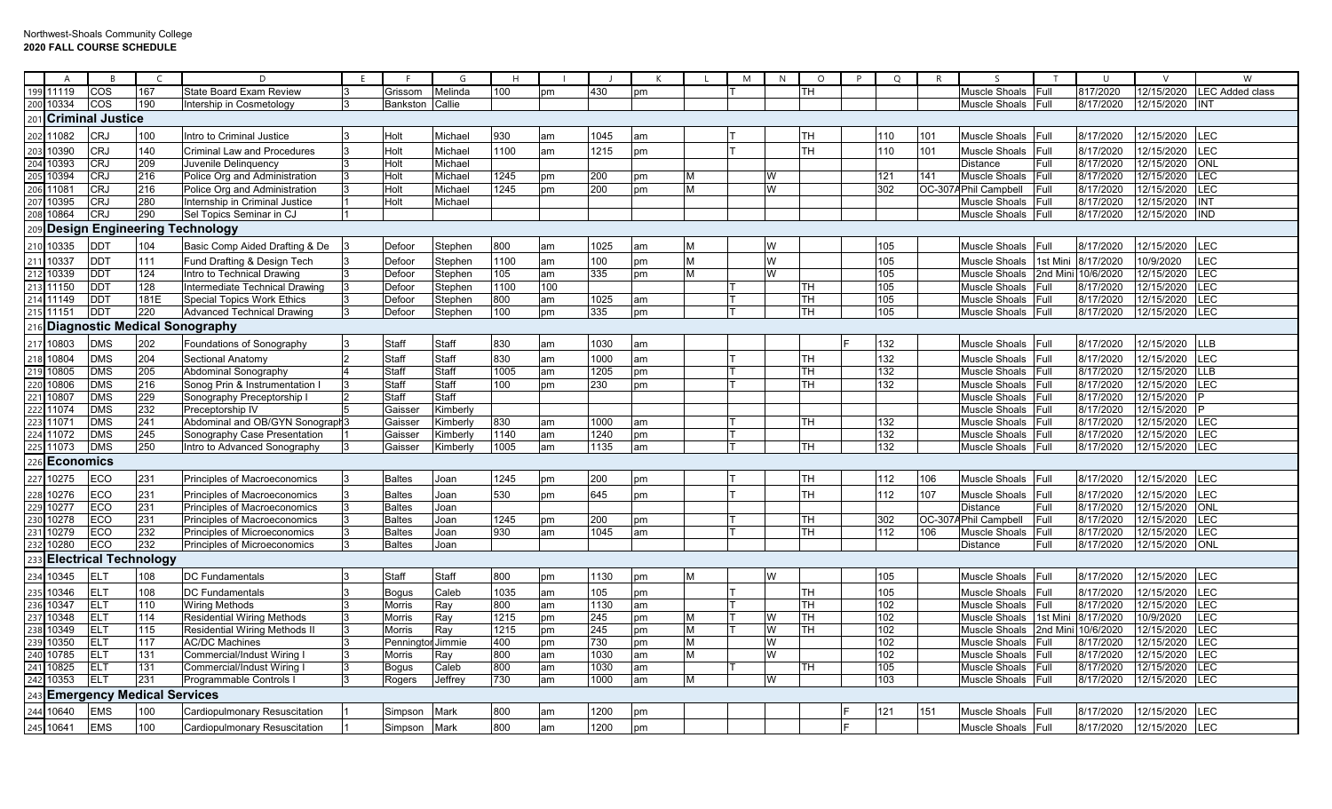|                  | A                | <b>R</b>                |                                   | D                                   | F. |                 | G            | H    |     |      |    |   | M | N | $\circ$                 | P | Q   | R      | $\varsigma$          |              | $\cup$    | $\mathsf{V}$ | W                      |
|------------------|------------------|-------------------------|-----------------------------------|-------------------------------------|----|-----------------|--------------|------|-----|------|----|---|---|---|-------------------------|---|-----|--------|----------------------|--------------|-----------|--------------|------------------------|
| 199              | 11119            | cos                     | 167                               | <b>State Board Exam Review</b>      |    | Grissom         | Melinda      | 100  | рm  | 430  | pm |   |   |   | гн                      |   |     |        | Muscle Shoals        | Full         | 817/2020  | 12/15/2020   | <b>LEC Added class</b> |
| 200              | 10334            | COS                     | 190                               | Intership in Cosmetology            |    | <b>Bankston</b> | Callie       |      |     |      |    |   |   |   |                         |   |     |        | Muscle Shoals        | Full         | 8/17/2020 | 12/15/2020   | INT                    |
|                  |                  | 201 Criminal Justice    |                                   |                                     |    |                 |              |      |     |      |    |   |   |   |                         |   |     |        |                      |              |           |              |                        |
| 202              | 1082             | <b>CRJ</b>              | 100                               | Intro to Criminal Justice           |    | Holt            | Michae       | 930  | am  | 1045 | am |   |   |   | <b>TH</b>               |   | 110 | 101    | Muscle Shoals        | Full         | 8/17/2020 | 12/15/2020   | <b>LEC</b>             |
| 203              | 0390             | <b>CRJ</b>              | 140                               | <b>Criminal Law and Procedures</b>  |    | Holt            | Michael      | 1100 | am  | 1215 | pm |   |   |   | TН                      |   | 110 | 101    | Muscle Shoals        | Full         | 8/17/2020 | 12/15/2020   | LEC                    |
| 204              | 10393            | <b>CRJ</b>              | 209                               | Juvenile Delinquency                |    | Holt            | Michael      |      |     |      |    |   |   |   |                         |   |     |        | Distance             | Full         | 8/17/2020 | 12/15/2020   | <b>ONL</b>             |
| 205              | 10394            | CRJ                     | 216                               | Police Org and Administration       |    | Holt            | Michael      | 1245 | pm  | 200  | pm | м |   | W |                         |   | 121 | 141    | Muscle Shoals        | Full         | 8/17/2020 | 12/15/2020   | LEC                    |
| 206              | 11081            | CRJ                     | 216                               | Police Org and Administration       |    | Holt            | Michael      | 1245 | pm  | 200  | pm | м |   | W |                         |   | 302 | OC-307 | APhil Campbell       | <b>IFull</b> | 8/17/2020 | 12/15/2020   | LEC                    |
| 207              | 10395            | CRJ                     | 280                               | Internship in Criminal Justice      |    | Holt            | Michael      |      |     |      |    |   |   |   |                         |   |     |        | Muscle Shoals        | Full         | 8/17/2020 | 12/15/2020   | <b>IINT</b>            |
| 208              | 10864            | <b>CRJ</b>              | 290                               | Sel Topics Seminar in CJ            |    |                 |              |      |     |      |    |   |   |   |                         |   |     |        | Muscle Shoals        | Full         | 8/17/2020 | 12/15/2020   | <b>IND</b>             |
|                  |                  |                         |                                   | 209 Design Engineering Technology   |    |                 |              |      |     |      |    |   |   |   |                         |   |     |        |                      |              |           |              |                        |
| 210              | 10335            | DDT                     | 104                               | Basic Comp Aided Drafting & De      |    | Defoor          | Stephen      | 800  | am  | 1025 | am |   |   | W |                         |   | 105 |        | Muscle Shoals        | Full         | 8/17/2020 | 12/15/2020   | LEC                    |
| 211              | 10337            | DDT                     | 111                               | Fund Drafting & Design Tech         |    | Defoor          | Stephen      | 1100 | am  | 100  | pm | M |   |   |                         |   | 105 |        | <b>Muscle Shoals</b> | 1st Mini     | 8/17/2020 | 10/9/2020    | LEC                    |
| 212              | 10339            | <b>DDT</b>              | 124                               | Intro to Technical Drawing          |    | Defoor          | Stephen      | 105  | am  | 335  | pm | M |   | W |                         |   | 105 |        | Muscle Shoals        | 2nd Min      | 10/6/2020 | 12/15/2020   | <b>LEC</b>             |
|                  | 213 11150        | DDT                     | 128                               | Intermediate Technical Drawing      |    | Defoor          | Stephen      | 1100 | 100 |      |    |   |   |   | TН                      |   | 105 |        | <b>Muscle Shoals</b> | Full         | 8/17/2020 | 12/15/2020   | <b>LEC</b>             |
|                  | 214 11149        | <b>DDT</b>              | 181E                              | <b>Special Topics Work Ethics</b>   |    | Defoor          | Stephen      | 800  | am  | 1025 | am |   |   |   | <b>TH</b>               |   | 105 |        | Muscle Shoals        | Full         | 8/17/2020 | 12/15/2020   | <b>LEC</b>             |
|                  | 215 11151        | <b>DDT</b>              | 220                               | <b>Advanced Technical Drawing</b>   |    | Defoor          | Stephen      | 100  | pm  | 335  | pm |   |   |   | TH                      |   | 105 |        | Muscle Shoals        | Full         | 8/17/2020 | 12/15/2020   | <b>LEC</b>             |
|                  |                  |                         |                                   | 216 Diagnostic Medical Sonography   |    |                 |              |      |     |      |    |   |   |   |                         |   |     |        |                      |              |           |              |                        |
| 217              | 10803            | <b>DMS</b>              | 202                               | Foundations of Sonography           |    | <b>Staff</b>    | Staff        | 830  | am  | 1030 | am |   |   |   |                         |   | 132 |        | Muscle Shoals        | Full         | 8/17/2020 | 12/15/2020   | <b>LLB</b>             |
| 218              | 10804            | <b>DMS</b>              | 204                               | Sectional Anatomy                   |    | Staff           | Staff        | 830  | am  | 1000 | am |   |   |   | TН                      |   | 132 |        | Muscle Shoals        | Full         | 8/17/2020 | 12/15/2020   | LEC                    |
| 219              | 10805            | $\overline{\text{DNS}}$ | 205                               | Abdominal Sonography                |    | Staff           | Staff        | 1005 | am  | 1205 | pm |   |   |   | <b>TH</b>               |   | 132 |        | Muscle Shoals        | Full         | 8/17/2020 | 12/15/2020   | <b>LLB</b>             |
| 220              | 10806            | $\overline{\text{DNS}}$ | 216                               | Sonog Prin & Instrumentation I      |    | <b>Staff</b>    | <b>Staff</b> | 100  | pm  | 230  | pm |   |   |   | TН                      |   | 132 |        | Muscle Shoals        | Full         | 8/17/2020 | 12/15/2020   | LEC                    |
| 221              | 10807            | <b>DMS</b>              | 229                               | Sonography Preceptorship I          |    | Staff           | Staff        |      |     |      |    |   |   |   |                         |   |     |        | Muscle Shoals        | Full         | 8/17/2020 | 12/15/2020   |                        |
| 222              | 11074            | <b>DMS</b>              | 232                               | Preceptorship IV                    |    | Gaisser         | Kimberly     |      |     |      |    |   |   |   |                         |   |     |        | Muscle Shoals        | Full         | 8/17/2020 | 12/15/2020   | P                      |
| $\overline{223}$ | 11071            | <b>DMS</b>              | 241                               | Abdominal and OB/GYN Sonograph      |    | Gaisser         | Kimberly     | 830  | am  | 1000 | am |   |   |   | TН                      |   | 132 |        | Muscle Shoals        | <b>Full</b>  | 8/17/2020 | 12/15/2020   | <b>LEC</b>             |
|                  | 224 11072        | <b>DMS</b>              | 245                               | Sonography Case Presentation        |    | Gaisser         | Kimberly     | 1140 | am  | 1240 | pm |   |   |   |                         |   | 132 |        | Muscle Shoals        | <b>Full</b>  | 8/17/2020 | 12/15/2020   | <b>LEC</b>             |
| 225              | 11073            | <b>DMS</b>              | 250                               | Intro to Advanced Sonography        |    | Gaisser         | Kimberly     | 1005 | am  | 1135 | am |   |   |   | <b>TH</b>               |   | 132 |        | Muscle Shoals        | Full         | 8/17/2020 | 12/15/2020   | <b>LEC</b>             |
| 26               | <b>Economics</b> |                         |                                   |                                     |    |                 |              |      |     |      |    |   |   |   |                         |   |     |        |                      |              |           |              |                        |
| 227              | 10275            | ECO                     | 231                               | Principles of Macroeconomics        |    | <b>Baltes</b>   | Joan         | 1245 | pm  | 200  | pm |   |   |   | <b>TH</b>               |   | 112 | 106    | <b>Muscle Shoals</b> | Full         | 8/17/2020 | 12/15/2020   | LEC                    |
| 228              | 10276            | ECO                     | 231                               | Principles of Macroeconomics        |    | <b>Baltes</b>   | Joan         | 530  | pm  | 645  | pm |   |   |   | ГH                      |   | 112 | 107    | Muscle Shoals        | Full         | 8/17/2020 | 12/15/2020   | LEC                    |
| 29               | 10277            | ECO                     | 231                               | Principles of Macroeconomics        |    | <b>Baltes</b>   | Joan         |      |     |      |    |   |   |   |                         |   |     |        | Distance             | Full         | 8/17/2020 | 12/15/2020   | ONL                    |
| 230              | 10278            | ECO                     | 231                               | Principles of Macroeconomics        |    | <b>Baltes</b>   | Joan         | 1245 | рm  | 200  | pm |   |   |   | TН                      |   | 302 | OC-307 | Phil Campbell        | Full         | 8/17/2020 | 12/15/2020   | LEC                    |
| 231              | 10279            | ECO                     | 232                               | Principles of Microeconomics        |    | <b>Baltes</b>   | Joan         | 930  | am  | 1045 | am |   |   |   | $\overline{\mathsf{H}}$ |   | 112 | 106    | Muscle Shoals        | Full         | 8/17/2020 | 12/15/2020   | LEC                    |
| 232              | 10280            | ECO                     | 232                               | Principles of Microeconomics        |    | <b>Baltes</b>   | Joan         |      |     |      |    |   |   |   |                         |   |     |        | Distance             | Full         | 8/17/2020 | 12/15/2020   | <b>ONL</b>             |
|                  |                  |                         | <b>Electrical Technology</b>      |                                     |    |                 |              |      |     |      |    |   |   |   |                         |   |     |        |                      |              |           |              |                        |
| 234              | 10345            | ELT                     | 108                               | <b>DC Fundamentals</b>              |    | Staff           | Staff        | 800  | pm  | 1130 | pm | M |   | W |                         |   | 105 |        | Muscle Shoals        | Full         | 8/17/2020 | 12/15/2020   | LEC                    |
| 235              | 10346            | <b>ELT</b>              | 108                               | <b>DC Fundamentals</b>              |    | <b>Bogus</b>    | Caleb        | 1035 | am  | 105  | pm |   |   |   | ГH                      |   | 105 |        | Muscle Shoals        | Full         | 8/17/2020 | 12/15/2020   | LEC                    |
| 236              | 10347            | <b>ELT</b>              | 110                               | <b>Wiring Methods</b>               |    | Morris          | Ray          | 800  | am  | 1130 | am |   |   |   | <b>TH</b>               |   | 102 |        | <b>Muscle Shoals</b> | Full         | 8/17/2020 | 12/15/2020   | LEC                    |
| 237              | 10348            | ELT                     | 114                               | <b>Residential Wiring Methods</b>   |    | Morris          | Ray          | 1215 | pm  | 245  | pm | м |   | W | <b>TH</b>               |   | 102 |        | Muscle Shoals        | 1st Mini     | 8/17/2020 | 10/9/2020    | LEC                    |
| 238              | 10349            | ELT                     | 115                               | <b>Residential Wiring Methods I</b> |    | Morris          | Ray          | 1215 | pm  | 245  | pm | M |   | W | TH                      |   | 102 |        | Muscle Shoals        | 2nd Mini     | 10/6/2020 | 12/15/2020   | <b>LEC</b>             |
| 239              | 0350             | ELT                     | 117                               | <b>AC/DC Machines</b>               |    | Penning         | r Jimmie     | 400  | pm  | 730  | pm | М |   | W |                         |   | 102 |        | Muscle Shoals        | Full         | 8/17/2020 | 12/15/2020   | LEC                    |
| 240              | 10785            | ELT                     | 131                               | Commercial/Indust Wiring I          |    | Morris          | Ray          | 800  | am  | 1030 | am | М |   | W |                         |   | 102 |        | Muscle Shoals        | <b>Full</b>  | 8/17/2020 | 12/15/2020   | LEC                    |
| 241              | 10825            | ELT                     | 131                               | Commercial/Indust Wiring I          |    | <b>Bogus</b>    | Caleb        | 800  | am  | 1030 | am |   |   |   | TH                      |   | 105 |        | Muscle Shoals        | <b>Full</b>  | 8/17/2020 | 12/15/2020   | LEC                    |
| 242              | 10353            | <b>ELT</b>              | 231                               | Programmable Controls I             |    | Rogers          | Jeffrey      | 730  | am  | 1000 | am | M |   | W |                         |   | 103 |        | Muscle Shoals        | <b>Full</b>  | 8/17/2020 | 12/15/2020   | LEC                    |
|                  |                  |                         | <b>Emergency Medical Services</b> |                                     |    |                 |              |      |     |      |    |   |   |   |                         |   |     |        |                      |              |           |              |                        |
| .44              | 10640            | <b>EMS</b>              | 100                               | Cardiopulmonary Resuscitation       |    | Simpson         | Mark         | 800  | am  | 1200 | pm |   |   |   |                         |   | 121 | 151    | Muscle Shoals        | Full         | 8/17/2020 | 12/15/2020   | LEC                    |
| 245              | 10641            | <b>EMS</b>              | 100                               | Cardiopulmonary Resuscitation       |    | Simpson         | Mark         | 800  | am  | 1200 | pm |   |   |   |                         |   |     |        | Muscle Shoals        | Full         | 8/17/2020 | 12/15/2020   | LEC                    |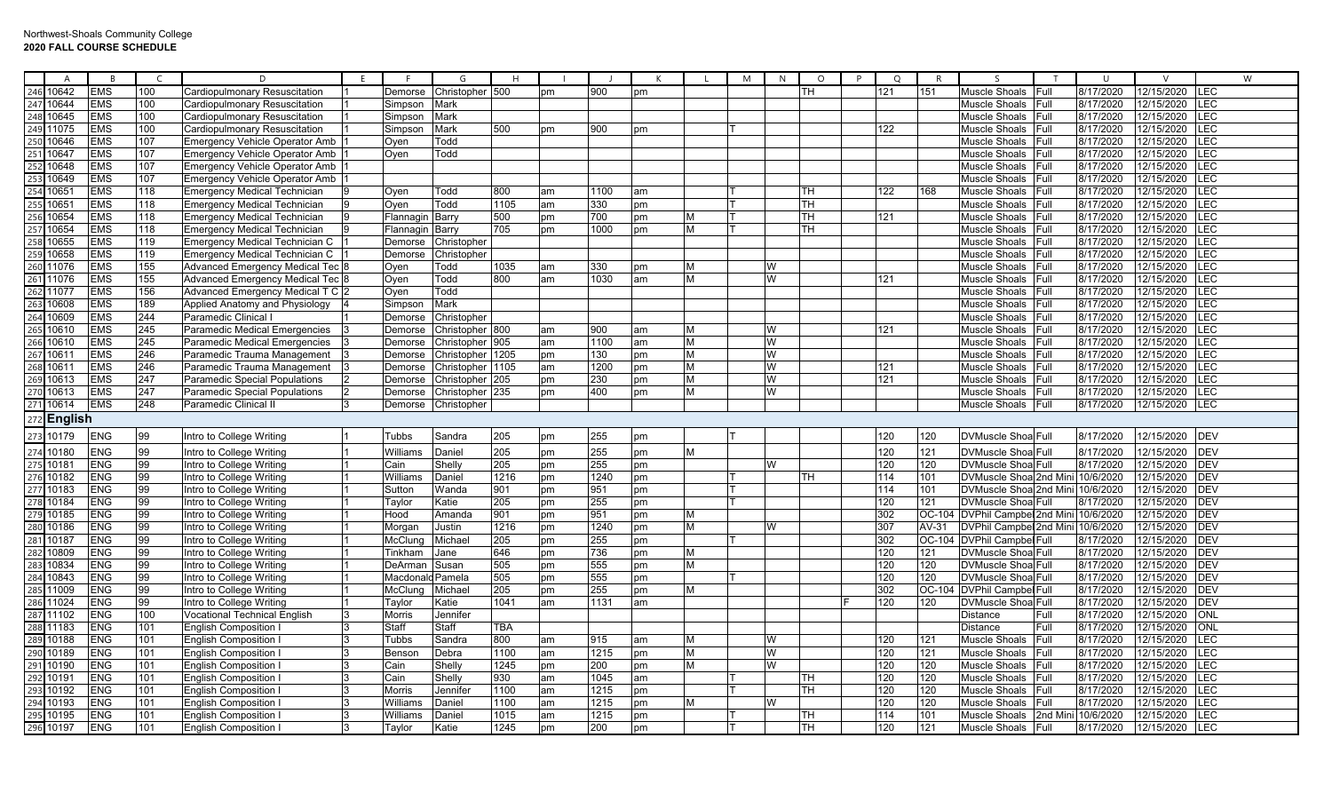|                 | A              | B          |     | D                                     |           | G               | Н    |           |      |    |   | M | N | $\circ$ | $\Omega$ | R       |                                   | $\cup$             |            | W           |
|-----------------|----------------|------------|-----|---------------------------------------|-----------|-----------------|------|-----------|------|----|---|---|---|---------|----------|---------|-----------------------------------|--------------------|------------|-------------|
| 246             | 10642          | <b>EMS</b> | 100 | Cardiopulmonary Resuscitation         | Demorse   | Christopher 500 |      | <b>pm</b> | 900  | pm |   |   |   | TH      | 121      | 151     | <b>Muscle Shoals</b><br>Full      | 8/17/2020          | 12/15/2020 | LEC         |
| 247             | 10644          | <b>EMS</b> | 100 | Cardiopulmonary Resuscitation         | Simpson   | Mark            |      |           |      |    |   |   |   |         |          |         | Muscle Shoals<br>Full             | 8/17/2020          | 12/15/2020 | <b>LEC</b>  |
| 248             | 10645          | <b>EMS</b> | 100 | Cardiopulmonary Resuscitation         | Simpson   | Mark            |      |           |      |    |   |   |   |         |          |         | Muscle Shoals<br>Full             | 8/17/2020          | 12/15/2020 | LEC         |
| 249             | 11075          | <b>EMS</b> | 100 | Cardiopulmonary Resuscitation         | Simpson   | Mark            | 500  | pm        | 900  | pm |   |   |   |         | 122      |         | Full<br>Muscle Shoals             | 8/17/2020          | 12/15/2020 | LEC         |
| 25 <sub>0</sub> | 0646           | <b>EMS</b> | 107 | <b>Emergency Vehicle Operator Amb</b> | Oyen      | Todd            |      |           |      |    |   |   |   |         |          |         | Full<br>Muscle Shoals             | 8/17/2020          | 12/15/2020 | E           |
|                 | 10647          | <b>EMS</b> | 107 | <b>Emergency Vehicle Operator Amb</b> | Oven      | Todd            |      |           |      |    |   |   |   |         |          |         | Muscle Shoals<br>Full             | 8/17/2020          | 12/15/2020 | E           |
| 252             | 10648          | <b>EMS</b> | 107 | <b>Emergency Vehicle Operator Amb</b> |           |                 |      |           |      |    |   |   |   |         |          |         | Muscle Shoals<br>Full             | 8/17/2020          | 12/15/2020 | LEC         |
|                 | 10649          | <b>EMS</b> | 107 | <b>Emergency Vehicle Operator Amb</b> |           |                 |      |           |      |    |   |   |   |         |          |         | <b>Muscle Shoals</b><br>Full      | 8/17/2020          | 12/15/2020 | $E$ C       |
|                 | 10651          | <b>EMS</b> | 118 | <b>Emergency Medical Technician</b>   | Oyen      | Todd            | 800  | am        | 1100 | am |   |   |   | TН      | 122      | 168     | Muscle Shoals<br>Full             | 8/17/2020          | 12/15/2020 | LEC         |
|                 | 10651          | <b>EMS</b> | 118 | <b>Emergency Medical Technician</b>   | Oven      | Todd            | 1105 | am        | 330  | pm |   |   |   | TH      |          |         | Muscle Shoals<br>Full             | 8/17/2020          | 12/15/2020 | LEC         |
| 256             | 10654          | <b>EMS</b> | 118 | <b>Emergency Medical Technician</b>   | Flannagin | Barry           | 500  | pm        | 700  | pm | M |   |   | TH      | 121      |         | Muscle Shoals<br>Full             | 8/17/2020          | 12/15/2020 | <b>LEC</b>  |
|                 | 10654          | <b>EMS</b> | 118 | <b>Emergency Medical Technician</b>   | Flannagin | Barry           | 705  | pm        | 1000 | pm | M |   |   | TH.     |          |         | Muscle Shoals<br>Full             | 8/17/2020          | 12/15/2020 | LEC         |
| 258             | 10655          | <b>EMS</b> | 119 | Emergency Medical Technician C        | Demorse   | Christopher     |      |           |      |    |   |   |   |         |          |         | Muscle Shoals<br>Full             | 8/17/2020          | 12/15/2020 | <b>LEC</b>  |
| 259             | 10658          | <b>EMS</b> | 119 | Emergency Medical Technician C        | Demorse   | Christopher     |      |           |      |    |   |   |   |         |          |         | Muscle Shoals<br>Full             | 8/17/2020          | 12/15/2020 | LEC         |
| 260             | 11076          | <b>EMS</b> | 155 | <b>Advanced Emergency Medical Tec</b> | Oven      | Todd            | 1035 | am        | 330  | pm | M |   | W |         |          |         | Muscle Shoals<br>Full             | 8/17/2020          | 12/15/2020 | EC.         |
| 261             | 11076          | <b>EMS</b> | 155 | <b>Advanced Emergency Medical Tec</b> | Oyen      | Todd            | 800  | am        | 1030 | am | M |   | W |         | 121      |         | Muscle Shoals<br>Full             | 8/17/2020          | 12/15/2020 | LEC         |
| 262             | 11077          | <b>EMS</b> | 156 | Advanced Emergency Medical T C        | Oyen      | Todd            |      |           |      |    |   |   |   |         |          |         | Muscle Shoals<br>Full             | 8/17/2020          | 12/15/2020 | E           |
| 263             | 10608          | <b>EMS</b> | 189 | Applied Anatomy and Physiology        | Simpson   | Mark            |      |           |      |    |   |   |   |         |          |         | Full<br>Muscle Shoals             | 8/17/2020          | 12/15/2020 | <b>LEC</b>  |
| 264             | 10609          | <b>EMS</b> | 244 | Paramedic Clinical                    | Demorse   | Christopher     |      |           |      |    |   |   |   |         |          |         | Full<br>Muscle Shoals             | 8/17/2020          | 12/15/2020 | E           |
|                 | 10610          | <b>EMS</b> | 245 | Paramedic Medical Emergencies         | Demorse   | Christopher 800 |      | am        | 900  | am | M |   | W |         | 121      |         | <b>Muscle Shoals</b><br>Full      | 8/17/2020          | 12/15/2020 | LEC         |
| 266             | 10610          | <b>EMS</b> | 245 | Paramedic Medical Emergencies         | Demorse   | Christopher     | 905  | am        | 1100 | am | M |   | W |         |          |         | Muscle Shoals<br>Full             | 8/17/2020          | 12/15/2020 | LEC         |
| 267             | 10611          | <b>EMS</b> | 246 | Paramedic Trauma Management           | Demorse   | Christopher     | 1205 | pm        | 130  | pm | M |   | W |         |          |         | Muscle Shoals<br>Full             | 8/17/2020          | 12/15/2020 | LEC         |
| 268             | 10611          | <b>EMS</b> | 246 | Paramedic Trauma Management           | Demorse   | Christopher     | 1105 | am        | 1200 | pm | M |   | W |         | 121      |         | Full<br>Muscle Shoals             | 8/17/2020          | 12/15/2020 | <b>LEC</b>  |
|                 | 10613          | <b>EMS</b> | 247 | <b>Paramedic Special Populations</b>  | Demorse   | Christopher     | 205  | pm        | 230  | pm | M |   | W |         | 121      |         | Full<br>Muscle Shoals             | 8/17/2020          | 12/15/2020 | LEC         |
|                 | 10613          | <b>EMS</b> | 247 | <b>Paramedic Special Populations</b>  | Demorse   | Christopher     | 235  | pm        | 400  | pm | M |   | W |         |          |         | Full<br>Muscle Shoals             | 8/17/2020          | 12/15/2020 | <b>LEC</b>  |
|                 | 10614          | <b>EMS</b> | 248 | Paramedic Clinical II                 | Demorse   | Christopher     |      |           |      |    |   |   |   |         |          |         | Muscle Shoals<br>Full             | 8/17/2020          | 12/15/2020 | <b>LEC</b>  |
|                 | <b>English</b> |            |     |                                       |           |                 |      |           |      |    |   |   |   |         |          |         |                                   |                    |            |             |
|                 |                |            |     |                                       |           |                 |      |           |      |    |   |   |   |         |          |         |                                   |                    |            |             |
| 273             | 10179          | <b>ENG</b> | 99  | Intro to College Writing              | Tubbs     | Sandra          | 205  | pm        | 255  | pm |   |   |   |         | 120      | 120     | <b>DVMuscle Shoa Full</b>         | 8/17/2020          | 12/15/2020 | <b>DEV</b>  |
|                 | 274 10180      | <b>ENG</b> | 99  | Intro to College Writing              | Williams  | Daniel          | 205  | pm        | 255  | pm | M |   |   |         | 120      | 121     | <b>DVMuscle Shoa Full</b>         | 8/17/2020          | 12/15/2020 | <b>DEV</b>  |
| 275             | 10181          | <b>ENG</b> | 99  | Intro to College Writing              | Cain      | Shelly          | 205  | pm        | 255  | pm |   |   | W |         | 120      | 120     | DVMuscle Shoa Full                | 8/17/2020          | 12/15/2020 | <b>DEV</b>  |
| 276             | 10182          | <b>ENG</b> | 99  | Intro to College Writing              | Williams  | Daniel          | 1216 | pm        | 1240 | pm |   |   |   | TH      | 114      | 101     | DVMuscle Shoa 2nd Mini 10/6/2020  |                    | 12/15/2020 | DEV         |
| 277             | 10183          | <b>ENG</b> | 99  | Intro to College Writing              | Sutton    | Wanda           | 901  | pm        | 951  | pm |   |   |   |         | 114      | 101     | DVMuscle Shoa 2nd Mini 10/6/2020  |                    | 12/15/2020 | DEV         |
| 278             | 10184          | <b>ENG</b> | 99  | Intro to College Writing              | Taylor    | Katie           | 205  | pm        | 255  | pm |   |   |   |         | 120      | 121     | <b>DVMuscle Shoa Full</b>         | 8/17/2020          | 12/15/2020 | <b>IDEV</b> |
| 279             | 10185          | <b>ENG</b> | 99  | Intro to College Writing              | Hood      | Amanda          | 901  | pm        | 951  | pm | M |   |   |         | 302      | OC-10   | DVPhil Campbel 2nd Mini 10/6/2020 |                    | 12/15/2020 | <b>DEV</b>  |
| 280             | 10186          | <b>ENG</b> | 99  | Intro to College Writing              | Morgar    | Justin          | 1216 | pm        | 1240 | pm | M |   | W |         | 307      | $AV-31$ | DVPhil Campbel 2nd Mini 10/6/2020 |                    | 12/15/2020 | <b>DEV</b>  |
| 281             | 10187          | <b>ENG</b> | 99  | Intro to College Writing              | McClung   | Michael         | 205  | pm        | 255  | pm |   |   |   |         | 302      | OC-104  | <b>DVPhil Campbel Full</b>        | 8/17/2020          | 12/15/2020 | <b>DEV</b>  |
| 282             | 10809          | <b>ENG</b> | 99  | Intro to College Writing              | Tinkham   | Jane            | 646  | pm        | 736  | pm | M |   |   |         | 120      | 121     | <b>DVMuscle Shoa Full</b>         | 8/17/2020          | 12/15/2020 | <b>IDEV</b> |
|                 | 10834          | ENG        | 99  | Intro to College Writing              | DeArman   | Susan           | 505  | pm        | 555  | pm | M |   |   |         | 120      | 120     | DVMuscle Shoa Full                | 8/17/2020          | 12/15/2020 | <b>DEV</b>  |
| 284             | 10843          | <b>ENG</b> | 99  | Intro to College Writing              | Macdonalo | Pamela          | 505  | pm        | 555  | pm |   |   |   |         | 120      | 120     | DVMuscle Shoa Full                | 8/17/2020          | 12/15/2020 | DEV         |
| 285             | 1009           | <b>ENG</b> | 99  | Intro to College Writing              | McClung   | Michael         | 205  | pm        | 255  | pm | M |   |   |         | 302      | OC-10   | <b>DVPhil Campbel Full</b>        | 8/17/2020          | 12/15/2020 | <b>DEV</b>  |
| 286             | 11024          | <b>ENG</b> | 99  | Intro to College Writing              | Taylor    | Katie           | 1041 | am        | 1131 | am |   |   |   |         | 120      | 120     | DVMuscle Shoa Full                | 8/17/2020          | 12/15/2020 | <b>DEV</b>  |
| 287             | 11102          | <b>ENG</b> | 100 | <b>Vocational Technical English</b>   | Morris    | Jennifer        |      |           |      |    |   |   |   |         |          |         | Distance<br>Full                  | 8/17/2020          | 12/15/2020 | ONL         |
| 288             | 11183          | ENG        | 101 | English Composition                   | Staff     | Staff           | TBA  |           |      |    |   |   |   |         |          |         | Full<br>Distance                  | 8/17/2020          | 12/15/2020 | <b>ONL</b>  |
| 289             | 10188          | <b>ENG</b> | 101 | English Composition                   | Tubbs     | Sandra          | 800  | am        | 915  | am | M |   | W |         | 120      | 121     | Full<br>Muscle Shoals             | 8/17/2020          | 12/15/2020 | LEC         |
| 290             | 10189          | <b>ENG</b> | 101 | <b>English Composition I</b>          | Benson    | Debra           | 1100 | am        | 1215 | pm | M |   | W |         | 120      | 121     | Muscle Shoals<br>Full             | 8/17/2020          | 12/15/2020 | <b>LEC</b>  |
| 291             | 10190          | <b>ENG</b> | 101 | <b>English Composition I</b>          | Cain      | Shelly          | 1245 | pm        | 200  | pm | M |   | W |         | 120      | 120     | Muscle Shoals<br>Full             | 8/17/2020          | 12/15/2020 | <b>LEC</b>  |
| 292             | 10191          | <b>ENG</b> | 101 | English Composition                   | Cain      | Shelly          | 930  | am        | 1045 | am |   |   |   | TH      | 120      | 120     | Muscle Shoals<br>Full             | 8/17/2020          | 12/15/2020 | LEC         |
|                 | 10192          | ENG        | 101 | <b>English Composition I</b>          | Morris    | Jennifeı        | 1100 | am        | 1215 | pm |   |   |   | TH.     | 120      | 120     | Muscle Shoals<br>Full             | 8/17/2020          | 12/15/2020 | E           |
| 294             | 10193          | <b>ENG</b> | 101 | <b>English Composition</b>            | Williams  | Daniel          | 1100 | am        | 1215 | pm | M |   | W |         | 120      | 120     | Muscle Shoals<br>Full             | 8/17/2020          | 12/15/2020 | <b>LEC</b>  |
| 295             | 10195          | <b>ENG</b> | 101 | <b>English Composition I</b>          | Williams  | Daniel          | 1015 | am        | 1215 | pm |   |   |   | TH      | 114      | 101     | Muscle Shoals                     | 2nd Mini 10/6/2020 | 12/15/2020 | <b>LEC</b>  |
|                 | 296 10197      | <b>ENG</b> | 101 | English Composition                   | Taylor    | Katie           | 1245 | pm        | 200  | pm |   |   |   | TH      | 120      | 121     | Muscle Shoals<br>Full             | 8/17/2020          | 12/15/2020 | LEC         |
|                 |                |            |     |                                       |           |                 |      |           |      |    |   |   |   |         |          |         |                                   |                    |            |             |

┯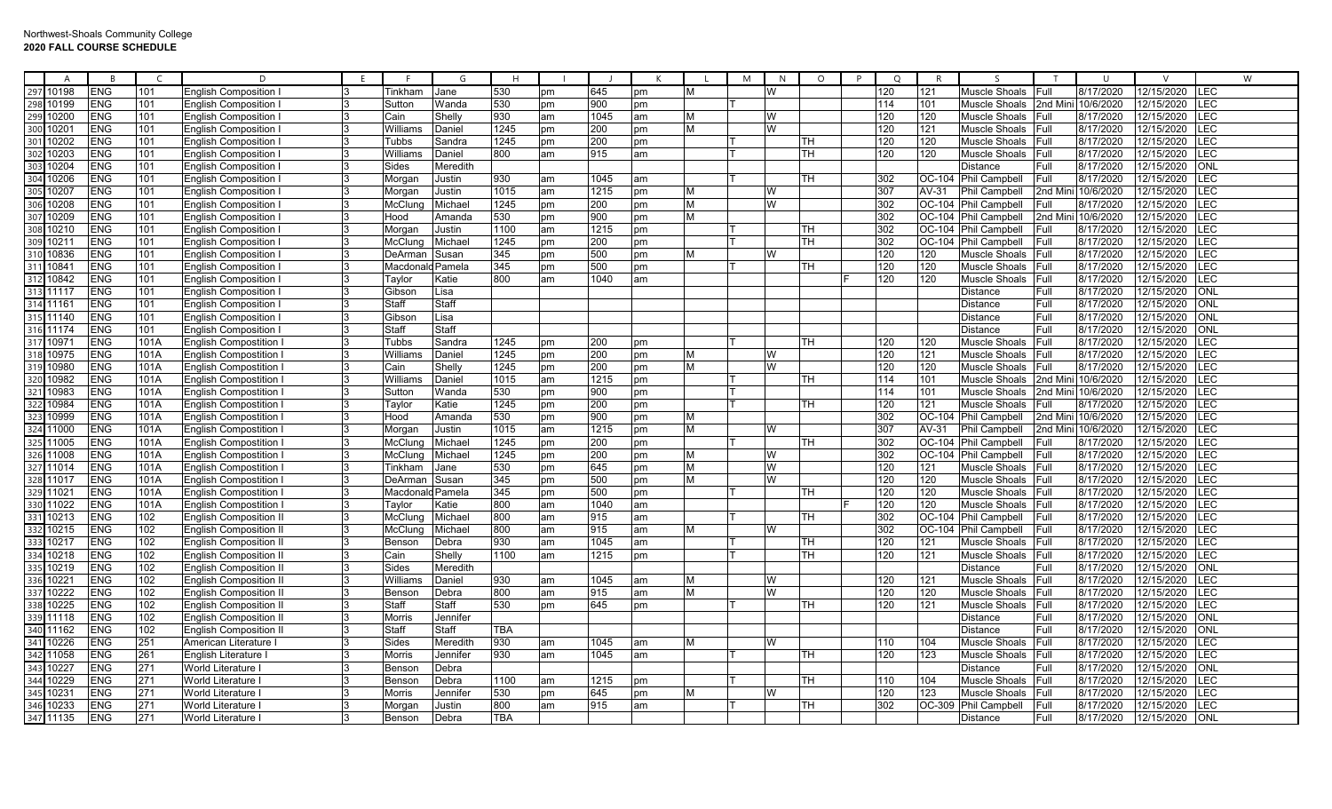| A                        |            | <b>B</b>   | C    | D.                             | E |                | G        | H          |    |      | $\mathsf{K}$ |   | M | N | $\circ$ | $\circ$<br>P | $\mathsf{R}$ | <sub>S</sub>         | T            | $\cup$             | $\mathcal{U}$ | W           |
|--------------------------|------------|------------|------|--------------------------------|---|----------------|----------|------------|----|------|--------------|---|---|---|---------|--------------|--------------|----------------------|--------------|--------------------|---------------|-------------|
| 10198<br>297             |            | <b>ENG</b> | 101  | <b>English Composition</b>     |   | <b>Гіnkham</b> | Jane     | 530        | pm | 645  | pm           | M |   | W |         | 120          | 121          | Muscle Shoals        | Full         | 8/17/2020          | 12/15/2020    | <b>ILEC</b> |
| 10199                    | <b>ENG</b> |            | 101  | <b>English Composition</b>     |   | Sutton         | Wanda    | 530        | pm | 900  | pm           |   |   |   |         | 114          | 101          | Muscle Shoals        | 2nd Min      | 10/6/2020          | 12/15/2020    | LEC         |
| 10200<br>299             | <b>ENG</b> |            | 101  | <b>English Composition</b>     |   | Cain           | Shelly   | 930        | am | 1045 | am           | M |   | W |         | 120          | 120          | Muscle Shoals        | Full         | 8/17/2020          | 12/15/2020    | LEC         |
| $1020^{\circ}$           | <b>ENG</b> |            | 101  | <b>English Composition</b>     |   | William        | Daniel   | 1245       | pm | 200  | pm           | M |   | W |         | 120          | 121          | Muscle Shoals        | <b>IFull</b> | 8/17/2020          | 12/15/2020    | <b>LEC</b>  |
| 10202                    | <b>ENG</b> |            | 101  | <b>English Composition</b>     |   | Tubbs          | Sandra   | 1245       | pm | 200  | pm           |   |   |   | TН      | 120          | 120          | Muscle Shoals Full   |              | 8/17/2020          | 12/15/2020    | LEC         |
| 10203                    | <b>ENG</b> |            | 101  | <b>English Composition</b>     |   | Williams       | Daniel   | 800        | am | 915  | am           |   |   |   | TН      | 120          | 120          | Muscle Shoals        | <b>IFull</b> | 8/17/2020          | 12/15/2020    | LEC         |
| 10204                    | <b>ENG</b> |            | 101  | <b>English Composition</b>     |   | Sides          | Meredith |            |    |      |              |   |   |   |         |              |              | Distance             | Full         | 8/17/2020          | 12/15/2020    | ONL         |
| 10206<br>304             | <b>ENG</b> |            | 101  | Enalish Composition            |   | Morgar         | Justin   | 930        | am | 1045 | am           |   |   |   | TН      | 302          | OC-104       | <b>Phil Campbell</b> | <b>Full</b>  | 8/17/2020          | 12/15/2020    | LEC         |
| 10207                    | <b>ENG</b> |            | 101  | <b>English Composition</b>     |   | Morgan         | Justin   | 1015       | am | 1215 | pm           | M |   | W |         | 307          | AV-31        | Phil Campbell        |              | 2nd Mini 10/6/2020 | 12/15/2020    | LEC         |
| 10208<br>306             |            | ENG        | 101  | <b>English Composition</b>     |   | McClun         | Michael  | 1245       | pm | 200  | pm           | M |   | W |         | 302          | OC-104       | Phil Campbell        | Full         | 8/17/2020          | 12/15/2020    | <b>LEC</b>  |
| 10209                    | <b>ENG</b> |            | 101  | <b>English Composition</b>     |   | Hood           | Amanda   | 530        | pm | 900  | pm           | M |   |   |         | 302          | OC-104       | <b>Phil Campbell</b> | 2nd Mini     | 10/6/2020          | 12/15/2020    | LEC         |
| 10210                    | <b>ENG</b> |            | 101  | <b>English Composition</b>     |   | Morgan         | Justin   | 1100       | am | 1215 | pm           |   |   |   | TН      | 302          | OC-104       | <b>Phil Campbell</b> | Full         | 8/17/2020          | 12/15/2020    | LEC         |
| 1021'                    | <b>ENG</b> |            | 101  | <b>English Composition</b>     |   | McClung        | Michael  | 1245       | pm | 200  | pm           |   |   |   | TН      | 302          |              | OC-104 Phil Campbell | Full         | 8/17/2020          | 12/15/2020    | LEC         |
| 10836                    | <b>ENG</b> |            | 101  | <b>English Composition</b>     |   | DeArman        | Susan    | 345        | pm | 500  | pm           | M |   | W |         | 120          | 120          | Muscle Shoals        | Full         | 8/17/2020          | 12/15/2020    | LEC         |
| $1084^{\circ}$           | <b>ENG</b> |            | 101  | <b>English Composition</b>     |   | Macdonald      | Pamela   | 345        | pm | 500  | pm           |   |   |   | TН      | 120          | 120          | Muscle Shoals        | <b>Full</b>  | 8/17/2020          | 12/15/2020    | LEC         |
| 10842                    | <b>ENG</b> |            | 101  | <b>English Composition</b>     |   | Taylor         | Katie    | 800        | am | 1040 | am           |   |   |   |         | 120          | 120          | Muscle Shoals        | Full         | 8/17/2020          | 12/15/2020    | <b>LEC</b>  |
| 11117                    | <b>ENG</b> |            | 101  | <b>English Composition</b>     |   | Gibson         | ∟isa     |            |    |      |              |   |   |   |         |              |              | Distance             | Full         | 8/17/2020          | 12/15/2020    | ONL         |
| 11161                    | <b>ENG</b> |            | 101  | <b>English Composition</b>     |   | Staff          | Staff    |            |    |      |              |   |   |   |         |              |              | Distance             | Full         | 8/17/2020          | 12/15/2020    | <b>ONL</b>  |
| 11140                    | <b>ENG</b> |            | 101  | <b>English Composition</b>     |   | Gibsor         | Lisa     |            |    |      |              |   |   |   |         |              |              | Distance             | Full         | 8/17/2020          | 12/15/2020    | ONI         |
| 11174                    | <b>ENG</b> |            | 101  | <b>English Composition</b>     |   | Staff          | Staff    |            |    |      |              |   |   |   |         |              |              | Distance             | Full         | 8/17/2020          | 12/15/2020    | <b>ONL</b>  |
| 1097'                    | <b>ENG</b> |            | 101A | <b>English Compostition</b>    |   | <b>Tubbs</b>   | Sandra   | 1245       | pm | 200  | pm           |   |   |   | TН      | 120          | 120          | Muscle Shoals Full   |              | 8/17/2020          | 12/15/2020    | LEC         |
| 10975                    | <b>ENG</b> |            | 101A | <b>English Compostition</b>    |   | Williams       | Daniel   | 1245       | pm | 200  | pm           |   |   |   |         | 120          | 121          | Muscle Shoals        | Full         | 8/17/2020          | 12/15/2020    | LEC         |
| 10980                    | <b>ENG</b> |            | 101A | <b>English Compostition</b>    |   | Cain           | Shell\   | 1245       | pm | 200  | pm           | M |   | W |         | 120          | 120          | <b>Muscle Shoals</b> | Full         | 8/17/2020          | 12/15/2020    | LEC         |
| 10982<br>32(             | <b>ENG</b> |            | 101A | <b>English Compostition</b>    |   | William        | Daniel   | 1015       | am | 1215 | pm           |   |   |   | TН      | 114          | 101          | Muscle Shoals        |              | 2nd Mini 10/6/2020 | 12/15/2020    | LEC         |
| 10983<br>32'             | <b>ENG</b> |            | 101A | <b>English Compostition</b>    |   | Sutton         | Wanda    | 530        | pm | 900  | pm           |   |   |   |         | 114          | 101          | Muscle Shoals        | 2nd Mini     | 10/6/2020          | 12/15/2020    | LEC         |
| 10984                    | <b>ENG</b> |            | 101A | <b>English Compostition</b>    |   | Taylor         | Katie    | 1245       | pm | 200  | pm           |   |   |   | TН      | 120          | 121          | Muscle Shoals        | Full         | 8/17/2020          | 12/15/2020    | LEC         |
| 10999                    | <b>ENG</b> |            | 101A | English Compostition           |   | Hood           | Amanda   | 530        | pm | 900  | pm           | M |   |   |         | 302          | OC-104       | <b>Phil Campbell</b> |              | 2nd Mini 10/6/2020 | 12/15/2020    | LEC         |
| 11000                    | <b>ENG</b> |            | 101A | <b>English Compostition</b>    |   | Morqan         | Justin   | 1015       | am | 1215 | pm           | M |   | W |         | 307          | AV-31        | Phil Campbell        |              | 2nd Mini 10/6/2020 | 12/15/2020    | LEC         |
| 11005                    | <b>ENG</b> |            | 101A | English Compostition           |   | McClung        | Michael  | 1245       | pm | 200  | pm           |   |   |   | TН      | 302          | OC-104       | Phil Campbell        | Full         | 8/17/2020          | 12/15/2020    | LEC         |
| 11008                    | <b>ENG</b> |            | 101A | English Compostition           |   | McClung        | Michael  | 1245       | pm | 200  | pm           | M |   | W |         | 302          | OC-104       | Phil Campbell        | Full         | 8/17/2020          | 12/15/2020    | LEC         |
| 11014                    | <b>ENG</b> |            | 101A | <b>English Compostition</b>    |   | Tinkham        | Jane     | 530        | pm | 645  | pm           | M |   | W |         | 120          | 121          | Muscle Shoals        | <b>IFull</b> | 8/17/2020          | 12/15/2020    | LEC         |
| 11017                    | <b>ENG</b> |            | 101A | lEnglish Compostition ∣        |   | DeArman        | Susan    | 345        | pm | 500  | pm           | M |   | W |         | 120          | 120          | Muscle Shoals        | Full         | 8/17/2020          | 12/15/2020    | LEC         |
| 11021<br>329             | <b>ENG</b> |            | 101A | English Compostition           |   | Macdonalo      | Pamela   | 345        | pm | 500  | pm           |   |   |   | TН      | 120          | 120          | Muscle Shoals        | <b>Full</b>  | 8/17/2020          | 12/15/2020    | LEC         |
| 11022                    | <b>ENG</b> |            | 101A | English Compostition           |   | Taylor         | Katie    | 800        | am | 1040 | am           |   |   |   |         | 120          | 120          | Muscle Shoals        | <b>IFull</b> | 8/17/2020          | 12/15/2020    | <b>LEC</b>  |
| 10213                    | <b>ENG</b> |            | 102  | <b>English Composition II</b>  |   | McClung        | Michael  | 800        | am | 915  | am           |   |   |   | TH      | 302          |              | OC-104 Phil Campbell | <b>IFull</b> | 8/17/2020          | 12/15/2020    | LEC         |
| 10215                    |            | <b>ENG</b> | 102  | English Composition II         |   | McCluno        | Michael  | 800        | am | 915  | am           | M |   | W |         | 302          |              | OC-104 Phil Campbell | Full         | 8/17/2020          | 12/15/2020    | LEC         |
| 10217                    | <b>ENG</b> |            | 102  | <b>English Composition II</b>  |   | Benson         | Debra    | 930        | am | 1045 | am           |   |   |   | TН      | 120          | 121          | Muscle Shoals        | <b>Full</b>  | 8/17/2020          | 12/15/2020    | <b>LEC</b>  |
| 334<br>10218             | <b>ENG</b> |            | 102  | <b>English Composition II</b>  |   | Cain           | Shelly   | 1100       | am | 1215 | pm           |   |   |   | TН      | 120          | 121          | Muscle Shoals        | <b>IFull</b> | 8/17/2020          | 12/15/2020    | LEC         |
| 10219                    | <b>ENG</b> |            | 102  | <b>English Composition II</b>  |   | Sides          | Meredith |            |    |      |              |   |   |   |         |              |              | <b>Distance</b>      | Full         | 8/17/2020          | 12/15/2020    | ONL         |
| 1022<br>336              | <b>ENG</b> |            | 102  | <b>English Composition II</b>  |   | William        | Daniel   | 930        | am | 1045 | am           | M |   | W |         | 120          | 121          | Muscle Shoals        | <b>Full</b>  | 8/17/2020          | 12/15/2020    | LEC         |
| 10222                    | <b>ENG</b> |            | 102  | <b>IEnalish Composition II</b> |   | Benson         | Debra    | 800        | am | 915  | am           | M |   | W |         | 120          | 120          | Muscle Shoals        | Full         | 8/17/2020          | 12/15/2020    | LEC         |
| 10225                    |            | <b>ENG</b> | 102  | <b>English Composition II</b>  |   | Staff          | Staff    | 530        | pm | 645  | pm           |   |   |   | TН      | 120          | 121          | Muscle Shoals Full   |              | 8/17/2020          | 12/15/2020    | LEC         |
| 11118                    | <b>ENG</b> |            | 102  | <b>English Composition II</b>  |   | Morris         | Jennifer |            |    |      |              |   |   |   |         |              |              | <b>Distance</b>      | Full         | 8/17/2020          | 12/15/2020    | <b>ONL</b>  |
| 11162<br>340             | <b>ENG</b> |            | 102  | <b>English Composition II</b>  |   | Staff          | Staff    | TBA        |    |      |              |   |   |   |         |              |              | Distance             | Full         | 8/17/2020          | 12/15/2020    | ONL         |
| 10226<br>341             | <b>ENG</b> |            | 251  | American Literature            |   | Sides          | Meredith | 930        | am | 1045 | am           | м |   | W |         | 110          | 104          | Muscle Shoals Full   |              | 8/17/2020          | 12/15/2020    | LEC         |
| 342<br>11058             | <b>ENG</b> |            | 261  | English Literature             |   | Morris         | Jennifer | 930        | am | 1045 | am           |   |   |   | TH      | 120          | 123          | Muscle Shoals        | <b>IFull</b> | 8/17/2020          | 12/15/2020    | LEC         |
| 10227<br>34 <sup>5</sup> | <b>ENG</b> |            | 271  | World Literature               |   | Bensor         | Debra    |            |    |      |              |   |   |   |         |              |              | Distance             | Full         | 8/17/2020          | 12/15/2020    | ONL         |
| 10229<br>344             |            | <b>ENG</b> | 271  | <b>World Literature</b>        |   | Benson         | Debra    | 1100       | am | 1215 | pm           |   |   |   | TH      | 110          | 104          | Muscle Shoals        | Full         | 8/17/2020          | 12/15/2020    | LEC         |
| 1023'<br>345             | <b>ENG</b> |            | 271  | World Literature               |   | Morris         | Jennifer | 530        | pm | 645  | pm           | м |   | W |         | 120          | 123          | Muscle Shoals        | Full         | 8/17/2020          | 12/15/2020    | LEC         |
| 346<br>10233             | <b>ENG</b> |            | 271  | World Literature               |   | Morɑan         | Justin   | 800        | am | 915  | am           |   |   |   | TН      | 302          | OC-309       | Phil Campbell        | Full         | 8/17/2020          | 12/15/2020    | LEC         |
| 347 11135                | <b>ENG</b> |            | 271  | <b>World Literature</b>        | 3 | Benson         | Debra    | <b>TBA</b> |    |      |              |   |   |   |         |              |              | Distance             | Full         | 8/17/2020          | 12/15/2020    | ONI         |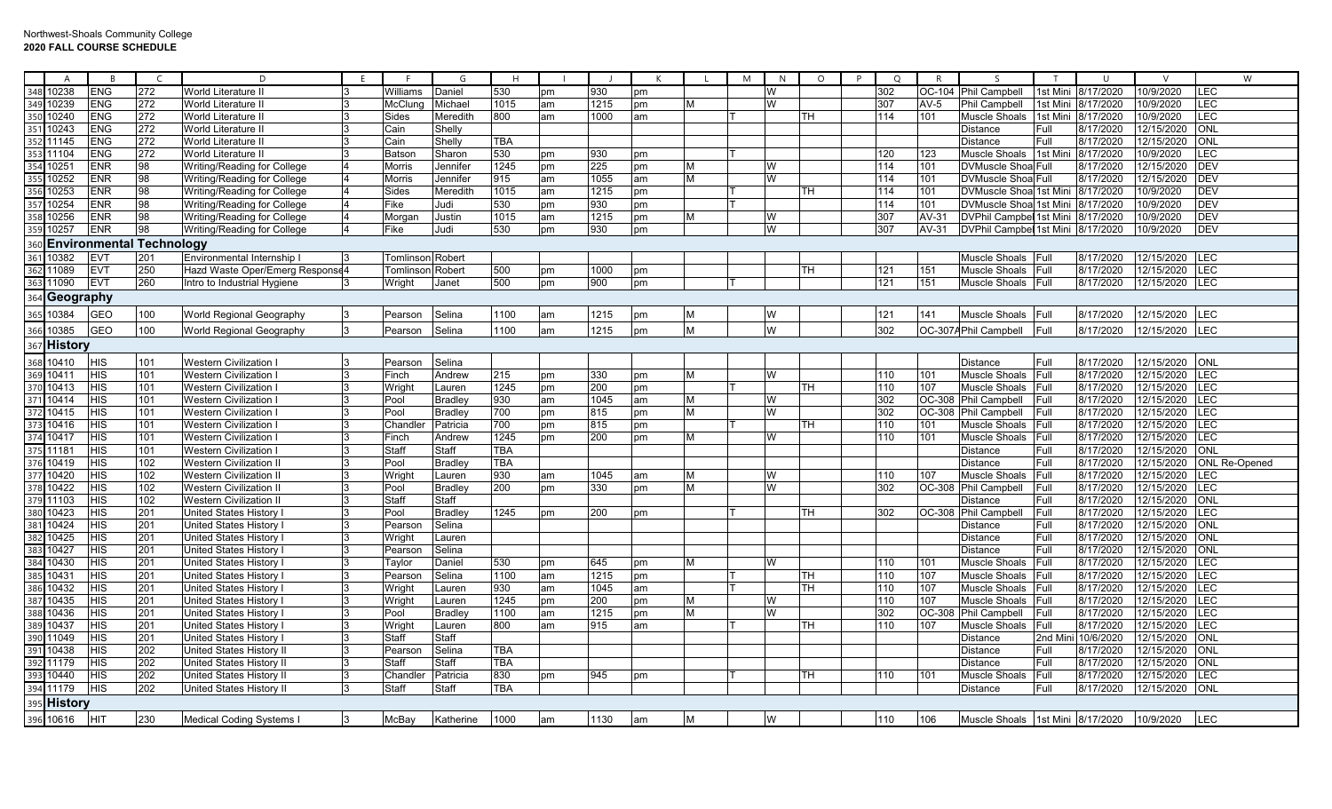|     | $\overline{A}$ | R                | $\subset$                       | D.                              |    |                  | G              | H          |    |      | K  |   | M<br>N | $\circ$   | P | $\circ$ | $\mathsf{R}$ | $\varsigma$                       | $\top$   | $\cup$    | $\mathsf{V}$ | W                    |
|-----|----------------|------------------|---------------------------------|---------------------------------|----|------------------|----------------|------------|----|------|----|---|--------|-----------|---|---------|--------------|-----------------------------------|----------|-----------|--------------|----------------------|
| 348 | 0238           | <b>ENG</b>       | 272                             | World Literature II             |    | Williams         | Daniel         | 530        | pm | 930  | pm |   | W      |           |   | 302     | $OC-104$     | <b>Phil Campbell</b>              | 1st Mini | 8/17/2020 | 10/9/2020    | <b>LEC</b>           |
| 349 | 0239           | <b>ENG</b>       | 272                             | <b>World Literature II</b>      |    | McClun           | Michael        | 1015       | am | 1215 | pm | M | W      |           |   | 307     | AV-5         | Phil Campbell                     | 1st Mini | 8/17/2020 | 10/9/2020    | LEC                  |
| 350 | 10240          | <b>ENG</b>       | 272                             | World Literature II             |    | Sides            | Meredith       | 800        | am | 1000 | am |   |        | TН        |   | 114     | 101          | Muscle Shoals                     | 1st Mini | 8/17/2020 | 10/9/2020    | LEC                  |
|     | 0243           | <b>ENG</b>       | 272                             | World Literature II             |    | Cain             | Shelly         |            |    |      |    |   |        |           |   |         |              | Distance                          | Full     | 8/17/2020 | 12/15/2020   | ONL                  |
| 352 | 11145          | <b>ENG</b>       | 272                             | World Literature II             |    | Cain             | Shelly         | TBA        |    |      |    |   |        |           |   |         |              | Distance                          | Full     | 8/17/2020 | 12/15/2020   | ONL                  |
|     | 11104          | <b>ENG</b>       | 272                             | World Literature II             |    | Batson           | Sharon         | 530        | pm | 930  | pm |   |        |           |   | 120     | 123          | Muscle Shoals 1st Min             |          | 8/17/2020 | 10/9/2020    | <b>LEC</b>           |
|     | 0251           | <b>ENR</b>       | 98                              | Writing/Reading for College     |    | Morris           | Jennifer       | 1245       | pm | 225  | pm | M | W      |           |   | 114     | 101          | DVMuscle Shoa Full                |          | 8/17/2020 | 12/15/2020   | DEV                  |
|     | 0252           | <b>ENR</b>       | 98                              | Writing/Reading for College     |    | Morris           | Jennifer       | 915        | am | 1055 | am | M | W      |           |   | 114     | 101          | DVMuscle Shoa Full                |          | 8/17/2020 | 12/15/2020   | <b>DEV</b>           |
|     | 0253           | <b>ENR</b>       | 98                              | Writing/Reading for College     |    | Sides            | Meredith       | 1015       | am | 1215 | pm |   |        | TН        |   | 114     | 101          | DVMuscle Shoa 1st Mini            |          | 8/17/2020 | 10/9/2020    | <b>DEV</b>           |
| 357 | 0254           | <b>ENR</b>       | 98                              | Writing/Reading for College     |    | Fike             | Judi           | 530        | pm | 930  | pm |   |        |           |   | 114     | 101          | DVMuscle Shoal1st Mini            |          | 8/17/2020 | 10/9/2020    | <b>DEV</b>           |
| 358 | 10256          | <b>ENR</b>       | 98                              | Writing/Reading for College     |    | Morgan           | Justin         | 1015       | am | 1215 | pm | M | W      |           |   | 307     | $AV-31$      | <b>DVPhil Campbel 1st Mini</b>    |          | 8/17/2020 | 10/9/2020    | <b>DEV</b>           |
| 359 | 0257           | <b>ENR</b>       | 98                              | Writing/Reading for College     |    | Fike             | Judi           | 530        | pm | 930  | pm |   | W      |           |   | 307     | AV-31        | DVPhil Campbel 1st Mini 8/17/2020 |          |           | 10/9/2020    | <b>DEV</b>           |
| 360 |                |                  | <b>Environmental Technology</b> |                                 |    |                  |                |            |    |      |    |   |        |           |   |         |              |                                   |          |           |              |                      |
| 361 | 0382           | <b>EV1</b>       | 201                             | Environmental Internship        |    | Tomlinson Robert |                |            |    |      |    |   |        |           |   |         |              | Muscle Shoals Full                |          | 8/17/2020 | 12/15/2020   | LEC                  |
|     | 1089           | <b>EVT</b>       | 250                             | Hazd Waste Oper/Emerg Response4 |    | Tomlinson        | Robert         | 500        | pm | 1000 | pm |   |        | TН        |   | 121     | 151          | Muscle Shoals                     | Full     | 8/17/2020 | 12/15/2020   | <b>LEC</b>           |
|     | 1090           | <b>EVT</b>       | 260                             | Intro to Industrial Hygiene     |    | Wright           | Janet          | 500        | pm | 900  | pm |   |        |           |   | 121     | 151          | Muscle Shoals Full                |          | 8/17/2020 | 12/15/2020   | <b>LEC</b>           |
|     | Geography      |                  |                                 |                                 |    |                  |                |            |    |      |    |   |        |           |   |         |              |                                   |          |           |              |                      |
|     |                | <b>GEO</b>       |                                 |                                 |    |                  |                | 1100       |    |      |    |   |        |           |   |         | 141          | Muscle Shoals                     |          |           | 12/15/2020   | LEC                  |
|     | 0384           |                  | 100                             | World Regional Geography        |    | Pearson          | Selina         |            | am | 1215 | pm | M | W      |           |   | 121     |              |                                   | Full     | 8/17/2020 |              |                      |
| 366 | 0385           | <b>GEO</b>       | 100                             | World Regional Geography        | 3  | Pearson          | Selina         | 1100       | am | 1215 | pm | M | W      |           |   | 302     |              | OC-307A Phil Campbell             | Full     | 8/17/2020 | 12/15/2020   | LEC                  |
|     | <b>History</b> |                  |                                 |                                 |    |                  |                |            |    |      |    |   |        |           |   |         |              |                                   |          |           |              |                      |
| 368 | 10410          | <b>HIS</b>       | 101                             | Western Civilization            |    | Pearson          | Selina         |            |    |      |    |   |        |           |   |         |              | Distance                          | Full     | 8/17/2020 | 12/15/2020   | ONL                  |
| 369 | 10411          | $\overline{HIS}$ | 101                             | <b>Western Civilization</b>     |    | Finch            | Andrew         | 215        | pm | 330  | pm | M | W      |           |   | 110     | 101          | Muscle Shoals                     | Full     | 8/17/2020 | 12/15/2020   | <b>LEC</b>           |
| 370 | 10413          | <b>HIS</b>       | 101                             | <b>Western Civilization</b>     |    | Wright           | Lauren         | 1245       | pm | 200  | pm |   |        | TH        |   | 110     | 107          | Muscle Shoals                     | Full     | 8/17/2020 | 12/15/2020   | <b>LEC</b>           |
| 371 | 10414          | <b>HIS</b>       | 101                             | <b>Western Civilization</b>     |    | Pool             | <b>Bradley</b> | 930        | am | 1045 | am | M | W      |           |   | 302     | OC-308       | Phil Campbell                     | Full     | 8/17/2020 | 12/15/2020   | LEC                  |
|     | 10415          | HIS              | 101                             | <b>Western Civilization</b>     |    | Pool             | <b>Bradley</b> | 700        | pm | 815  | pm | M | W      |           |   | 302     | OC-308       | Phil Campbell                     | Full     | 8/17/2020 | 12/15/2020   | <b>LEC</b>           |
|     | 10416          | <b>HIS</b>       | 101                             | Western Civilization I          |    | Chandle          | Patricia       | 700        | pm | 815  | pm |   |        | TН        |   | 110     | 101          | Muscle Shoals                     | Full     | 8/17/2020 | 12/15/2020   | <b>LEC</b>           |
|     | 10417          | <b>HIS</b>       | 101                             | Western Civilization            |    | Finch            | Andrew         | 1245       | pm | 200  | pm | M | W      |           |   | 110     | 101          | Muscle Shoals                     | Full     | 8/17/2020 | 12/15/2020   | LEC                  |
|     | 11181          | <b>HIS</b>       | 101                             | Western Civilization            |    | Staff            | Staff          | TBA        |    |      |    |   |        |           |   |         |              | <b>Distance</b>                   | Full     | 8/17/2020 | 12/15/2020   | <b>ONL</b>           |
| 376 | 10419          | $\overline{HS}$  | 102                             | <b>Western Civilization I</b>   |    | Pool             | <b>Bradley</b> | <b>TBA</b> |    |      |    |   |        |           |   |         |              | <b>Distance</b>                   | Full     | 8/17/2020 | 12/15/2020   | <b>ONL Re-Opened</b> |
| 377 | 10420          | <b>HIS</b>       | 102                             | Western Civilization II         |    | Wright           | Lauren         | 930        | am | 1045 | am | M | W      |           |   | 110     | 107          | Muscle Shoals                     | Full     | 8/17/2020 | 12/15/2020   | <b>LEC</b>           |
| 378 | 10422          | <b>HIS</b>       | 102                             | Western Civilization I          |    | Pool             | Bradley        | 200        | pm | 330  | pm | M | W      |           |   | 302     | OC-308       | Phil Campbell                     | Full     | 8/17/2020 | 12/15/2020   | LEC                  |
| 379 | 11103          | <b>HIS</b>       | 102                             | <b>Western Civilization I</b>   |    | Staff            | Staff          |            |    |      |    |   |        |           |   |         |              | Distance                          | Full     | 8/17/2020 | 12/15/2020   | <b>ONL</b>           |
| 380 | 10423          | <b>HIS</b>       | 201                             | United States History           |    | Pool             | <b>Bradley</b> | 1245       | pm | 200  | pm |   |        | TН        |   | 302     |              | OC-308 Phil Campbell              | Full     | 8/17/2020 | 12/15/2020   | <b>LEC</b>           |
| 381 | 10424          | <b>HIS</b>       | 201                             | United States History           |    | Pearson          | Selina         |            |    |      |    |   |        |           |   |         |              | Distance                          | Full     | 8/17/2020 | 12/15/2020   | <b>ONL</b>           |
| 382 | 10425          | <b>HIS</b>       | 201                             | United States History           |    | Wright           | Lauren         |            |    |      |    |   |        |           |   |         |              | <b>Distance</b>                   | Full     | 8/17/2020 | 12/15/2020   | ONL                  |
|     | 10427          | HIS              | 201                             | United States History           |    | Pearsor          | Selina         |            |    |      |    |   |        |           |   |         |              | Distance                          | Full     | 8/17/2020 | 12/15/2020   | ONL                  |
|     | 10430          | <b>HIS</b>       | 201                             | United States History           |    | Taylor           | Daniel         | 530        | pm | 645  | pm | M | W      |           |   | 110     | 101          | Muscle Shoals                     | Full     | 8/17/2020 | 12/15/2020   | <b>LEC</b>           |
|     | 0431           | <b>HIS</b>       | 201                             | United States History           |    | Pearsor          | Selina         | 1100       | am | 1215 | pm |   |        | TН        |   | 110     | 107          | Muscle Shoals                     | Full     | 8/17/2020 | 12/15/2020   | LEC                  |
| 386 | 0432           | <b>HIS</b>       | 201                             | United States History           |    | Wright           | Lauren         | 930        | am | 1045 | am |   |        | TН        |   | 110     | 107          | Muscle Shoals                     | Full     | 8/17/2020 | 12/15/2020   | LEC                  |
| 387 | 10435          | <b>HIS</b>       | 201                             | United States History           |    | Wright           | Lauren         | 1245       | pm | 200  | pm | M | W      |           |   | 110     | 107          | Muscle Shoals                     | Full     | 8/17/2020 | 12/15/2020   | LEC                  |
| 388 | 10436          | <b>HIS</b>       | 201                             | <b>United States History</b>    |    | Pool             | <b>Bradley</b> | 1100       | am | 1215 | pm | M | W      |           |   | 302     | OC-30        | <b>Phil Campbell</b>              | Full     | 8/17/2020 | 12/15/2020   | LEC                  |
| 389 | 10437          | <b>HIS</b>       | 201                             | United States History           |    | Wright           | Lauren         | 800        | am | 915  | am |   |        | <b>TH</b> |   | 110     | 107          | Muscle Shoals                     | Full     | 8/17/2020 | 12/15/2020   | LEC                  |
| 390 | 1049           | <b>HIS</b>       | 201                             | United States History           | 3  | Staff            | Staff          |            |    |      |    |   |        |           |   |         |              | Distance                          | 2nd Min  | 10/6/2020 | 12/15/2020   | <b>ONL</b>           |
|     | 10438          | HIS              | 202                             | United States History I         |    | Pearsor          | Selina         | TBA        |    |      |    |   |        |           |   |         |              | Distance                          | Full     | 8/17/2020 | 12/15/2020   | ONL                  |
|     | 11179          | HIS              | 202                             | United States History II        |    | Staff            | Staff          | TBA        |    |      |    |   |        |           |   |         |              | Distance                          | Full     | 8/17/2020 | 12/15/2020   | ONL                  |
|     | 10440          | <b>HIS</b>       | 202                             | United States History II        | 3  | Chandle          | Patricia       | 830        | pm | 945  | pm |   |        | TН        |   | 110     | 101          | Muscle Shoals                     | Full     | 8/17/2020 | 12/15/2020   | <b>LEC</b>           |
| 394 | 11179          | <b>HIS</b>       | 202                             | United States History II        | 13 | Staff            | Staff          | <b>TBA</b> |    |      |    |   |        |           |   |         |              | Distance                          | Full     | 8/17/2020 | 12/15/2020   | <b>ONL</b>           |
|     | History        |                  |                                 |                                 |    |                  |                |            |    |      |    |   |        |           |   |         |              |                                   |          |           |              |                      |
|     | 396 10616      | HIT              | 230                             | <b>Medical Coding Systems</b>   | 3  | McBay            | Katherine      | 1000       | am | 1130 | am | M | W      |           |   | 110     | 106          | Muscle Shoals 1st Mini 8/17/2020  |          |           | 10/9/2020    | LEC                  |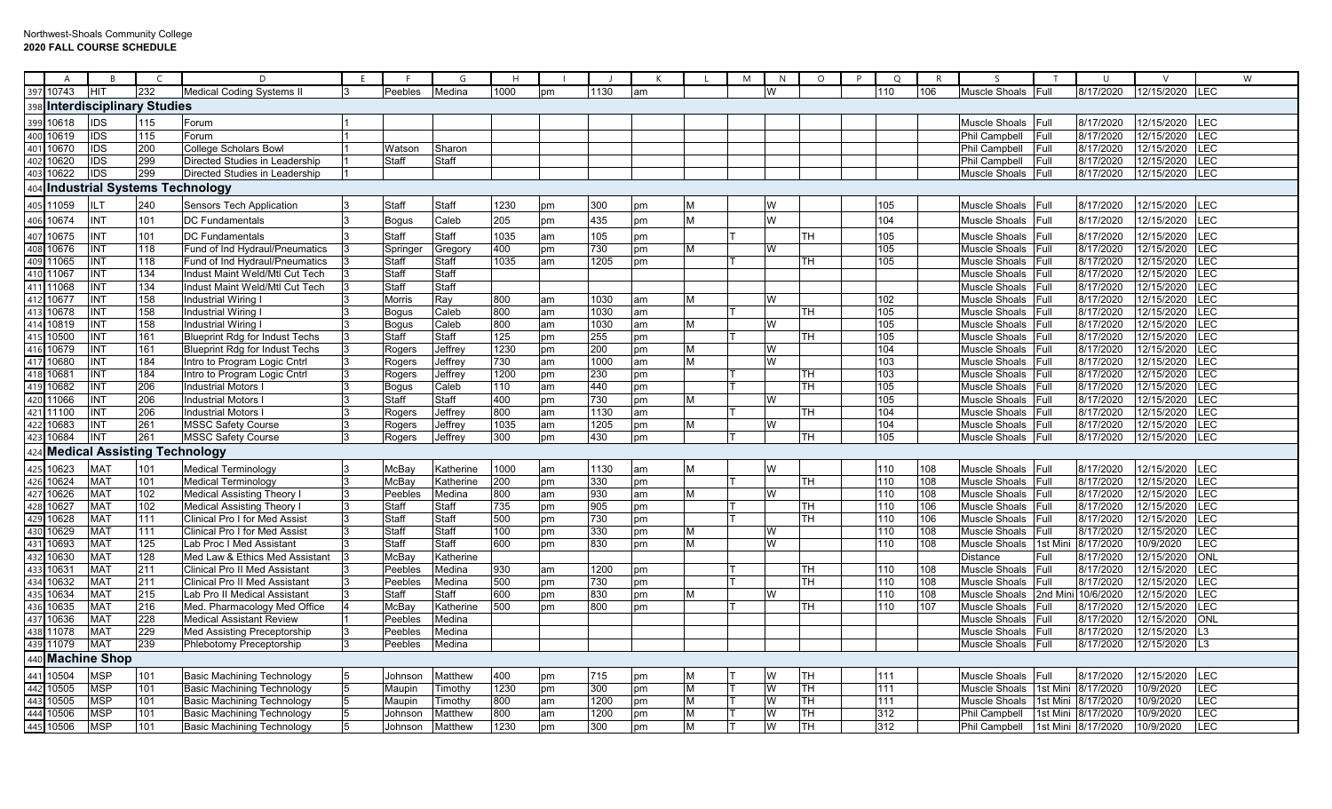## Northwest-Shoals Community College **2020 FALL COURSE SCHEDULE**

|                                        | $\Delta$            | B               | $\epsilon$                       | D.                                    |              | G              | н                |    |      | К  |   | M       | N         | $\circ$<br>P | Q   | R   | $\varsigma$     | ா        | $\mathbf{U}$       | $\mathsf{V}$ |                | W |
|----------------------------------------|---------------------|-----------------|----------------------------------|---------------------------------------|--------------|----------------|------------------|----|------|----|---|---------|-----------|--------------|-----|-----|-----------------|----------|--------------------|--------------|----------------|---|
|                                        | 397 10743           | <b>IHIT</b>     | 232                              | <b>Medical Coding Systems II</b>      | Peebles      | Medina         | 1000             | pm | 1130 | am |   |         |           |              | 110 | 106 | Muscle Shoals   | IFull.   | 8/17/2020          | 12/15/2020   | <b>ILEC</b>    |   |
|                                        |                     |                 | 398 Interdisciplinary Studies    |                                       |              |                |                  |    |      |    |   |         |           |              |     |     |                 |          |                    |              |                |   |
| 399                                    | 10618               | <b>IDS</b>      | 115                              | Forum                                 |              |                |                  |    |      |    |   |         |           |              |     |     | Muscle Shoals   | Full     | 8/17/2020          | 12/15/2020   | LEC            |   |
|                                        | 10619               | <b>IDS</b>      | 115                              | Forum                                 |              |                |                  |    |      |    |   |         |           |              |     |     | Phil Campbell   | Full     | 8/17/2020          | 12/15/2020   | LEC            |   |
| $\frac{400}{401}$                      | 10670               | <b>IDS</b>      | 200                              | <b>College Scholars Bowl</b>          | Watson       | Sharon         |                  |    |      |    |   |         |           |              |     |     | Phil Campbell   | Full     | 8/17/2020          | 12/15/2020   | LEC            |   |
| 402                                    | 10620               | <b>IDS</b>      | 299                              | Directed Studies in Leadership        | Staff        | Staff          |                  |    |      |    |   |         |           |              |     |     | Phil Campbell   | Full     | 8/17/2020          | 12/15/2020   | LEC            |   |
| 40 <sup>3</sup>                        | 10622               | <b>IDS</b>      | 299                              | Directed Studies in Leadership        |              |                |                  |    |      |    |   |         |           |              |     |     | Muscle Shoals   | Full     | 8/17/2020          | 12/15/2020   | LEC            |   |
| 404                                    |                     |                 |                                  | <b>Industrial Systems Technology</b>  |              |                |                  |    |      |    |   |         |           |              |     |     |                 |          |                    |              |                |   |
|                                        | 11059               | <b>ILT</b>      | 240                              | Sensors Tech Application              | Staff        | Staff          | 1230             | рm | 300  | pm | M | W       |           |              | 105 |     | Muscle Shoals   | Full     | 8/17/2020          | 12/15/2020   | LEC            |   |
| $\frac{405}{406}$                      | 10674               | <b>INT</b>      | 101                              | <b>DC Fundamentals</b>                | <b>Bogus</b> | Caleb          | 205              | pm | 435  | pm | M | W       |           |              | 104 |     | Muscle Shoals   | Full     | 8/17/2020          | 12/15/2020   | LEC            |   |
|                                        | 10675               | <b>INT</b>      | 101                              | <b>DC Fundamentals</b>                | Staff        | Staff          | 1035             | am | 105  | pm |   |         | TН        |              | 105 |     | Muscle Shoals   | Full     | 8/17/2020          | 12/15/2020   | LEC            |   |
| 407<br>408<br>409<br>410<br>411<br>412 | 10676               | <b>INT</b>      | 118                              | Fund of Ind Hydraul/Pneumatics        | Springe      | <b>Gregory</b> | 400              | pm | 730  | pm | M | W       |           |              | 105 |     | Muscle Shoals   | Full     | 8/17/2020          | 12/15/2020   | LEC            |   |
|                                        | 11065               | <b>INT</b>      | 118                              | Fund of Ind Hydraul/Pneumatics        | Staff        | Staff          | 1035             | am | 1205 | pm |   |         | TН        |              | 105 |     | Muscle Shoals   | Full     | 8/17/2020          | 12/15/2020   | LEC            |   |
|                                        | 11067               | <b>INT</b>      | 134                              | Indust Maint Weld/Mtl Cut Tech        | Staff        | Staff          |                  |    |      |    |   |         |           |              |     |     | Muscle Shoals   | Full     | 8/17/2020          | 12/15/2020   | LEC            |   |
|                                        | 11068               | <b>INT</b>      | 134                              | Indust Maint Weld/Mtl Cut Tech        | Staff        | Staff          |                  |    |      |    |   |         |           |              |     |     | Muscle Shoals   | Full     | 8/17/2020          | 12/15/2020   | LEC            |   |
|                                        | 10677               | <b>INT</b>      | 158                              | Industrial Wiring I                   | Morris       | Ray            | 800              | am | 1030 | am | м |         |           |              | 102 |     | Muscle Shoals   | Full     | 8/17/2020          | 12/15/2020   | LEC            |   |
|                                        | 10678               | INT             | 158                              | <b>Industrial Wiring I</b>            | <b>Bogus</b> | Caleb          | 800              | am | 1030 | am |   |         | <b>TH</b> |              | 105 |     | Muscle Shoals   | Full     | 8/17/2020          | 12/15/2020   | LEC            |   |
| $\frac{413}{414}$                      | 10819               | <b>INT</b>      | 158                              | Industrial Wiring                     | <b>Bogus</b> | Caleb          | 800              | am | 1030 | am | M | w       |           |              | 105 |     | Muscle Shoals   | Full     | 8/17/2020          | 12/15/2020   | LEC            |   |
|                                        | 10500               | <b>INT</b>      | 161                              | <b>Blueprint Rdg for Indust Techs</b> | Staff        | Staff          | 125              | pm | 255  | pm |   |         | TH        |              | 105 |     | Muscle Shoals   | Full     | 8/17/2020          | 12/15/2020   | LEC            |   |
|                                        | 10679               | INT             | 161                              | <b>Blueprint Rdg for Indust Techs</b> | Rogers       | Jeffrey        | 1230             | pm | 200  | pm | M | W       |           |              | 104 |     | Muscle Shoals   | Full     | 8/17/2020          | 12/15/2020   | LEC            |   |
| $\frac{416}{417}$                      | 10680               | <b>INT</b>      | 184                              | Intro to Program Logic Cntrl          | Rogers       | Jeffrey        | 730              | am | 1000 | am | М | W       |           |              | 103 |     | Muscle Shoals   | Full     | 8/17/2020          | 12/15/2020   | LEC            |   |
| 418                                    | 10681               | <b>INT</b>      | 184                              | Intro to Program Logic Cntrl          | Rogers       | Jeffrey        | 1200             | pm | 230  | pm |   |         | TН        |              | 103 |     | Muscle Shoals   | Full     | 8/17/2020          | 12/15/2020   | LEC            |   |
| 419                                    | 10682               | <b>INT</b>      | 206                              | Industrial Motors                     | <b>Bogus</b> | Caleb          | 110              | am | 440  | pm |   |         | <b>TH</b> |              | 105 |     | Muscle Shoals   | Full     | 8/17/2020          | 12/15/2020   | LEC            |   |
| 420                                    | 11066               | <b>INT</b>      | 206                              | <b>Industrial Motors</b>              | Staff        | Staff          | 400              | pm | 730  | pm | M | W       |           |              | 105 |     | Muscle Shoals   | Full     | 8/17/2020          | 12/15/2020   | LEC            |   |
| 421                                    | 11100               | <b>INT</b>      | 206                              | Industrial Motors                     | Rogers       | Jeffrey        | 800              | am | 1130 | am |   |         | TН        |              | 104 |     | Muscle Shoals   | Full     | 8/17/2020          | 12/15/2020   | LEC            |   |
| 422                                    | 10683               | <b>INT</b>      | 261                              | <b>MSSC Safety Course</b>             | Rogers       | Jeffrey        | 1035             | am | 1205 | pm | м | W       |           |              | 104 |     | Muscle Shoals   | Full     | 8/17/2020          | 12/15/2020   | LEC            |   |
| 423                                    | 10684               | INT             | 261                              | <b>MSSC Safety Course</b>             | Rogers       | Jeffrey        | 300              | pm | 430  | pm |   |         | TH.       |              | 105 |     | Muscle Shoals   | Full     | 8/17/2020          | 12/15/2020   | LEC            |   |
|                                        |                     |                 | 424 Medical Assisting Technology |                                       |              |                |                  |    |      |    |   |         |           |              |     |     |                 |          |                    |              |                |   |
|                                        | 10623               | <b>MAT</b>      | 101                              | <b>Medical Terminology</b>            | McBay        | Katherine      | 1000             | am | 1130 | am | M |         |           |              | 110 | 108 | Muscle Shoals   | Full     | 8/17/2020          | 12/15/2020   | LEC            |   |
| $\frac{425}{426}$                      | 10624               | <b>MAT</b>      | 101                              | <b>Medical Terminology</b>            | McBay        | Katherine      | 200              | pm | 330  | pm |   |         | TН        |              | 110 | 108 | Muscle Shoals   | Full     | 8/17/2020          | 12/15/2020   | LEC            |   |
| $\frac{427}{428}$                      | 10626               | <b>MAT</b>      | 102                              | <b>Medical Assisting Theory I</b>     | Peebles      | Medina         | 800              | am | 930  | am | м | W       |           |              | 110 | 108 | Muscle Shoals   | IFull.   | 8/17/2020          | 12/15/2020   | LEC            |   |
|                                        | 10627               | <b>MAT</b>      | 102                              | <b>Medical Assisting Theory I</b>     | Staff        | Staff          | 735              | pm | 905  | pm |   |         | <b>TH</b> |              | 110 | 106 | Muscle Shoals   | Full     | 8/17/2020          | 12/15/2020   | LEC            |   |
|                                        | 10628               | <b>MAT</b>      | 111                              | Clinical Pro I for Med Assist         | Staff        | Staff          | $\overline{500}$ | pm | 730  | pm |   |         | TН        |              | 110 | 106 | Muscle Shoals   | Full     | 8/17/2020          | 12/15/2020   | LEC            |   |
| 430                                    | 10629               | MA <sub>1</sub> | 111                              | Clinical Pro I for Med Assist         | Staff        | Staff          | 100              | pm | 330  | pm | M | W       |           |              | 110 | 108 | Muscle Shoals   | Full     | 8/17/2020          | 12/15/2020   | LEC            |   |
|                                        | 10693               | <b>MAT</b>      | 125                              | Lab Proc I Med Assistant              | <b>Staff</b> | Staff          | 600              | pm | 830  | pm | м |         |           |              | 110 | 108 | Muscle Shoals   | 1st Mini | 8/17/2020          | 10/9/2020    | LEC            |   |
| $\frac{431}{432}$                      | 10630               | <b>MAT</b>      | 128                              | Med Law & Ethics Med Assistant        | McBay        | Katherine      |                  |    |      |    |   |         |           |              |     |     | <b>Distance</b> | Full     | 8/17/2020          | 12/15/2020   | ONL            |   |
| $\frac{433}{434}$                      | 10631               | <b>MAT</b>      | 211                              | Clinical Pro II Med Assistant         | Peebles      | Medina         | 930              | am | 1200 | pm |   |         | TH        |              | 110 | 108 | Muscle Shoals   | Full     | 8/17/2020          | 12/15/2020   | LEC            |   |
|                                        | 10632               | <b>MAT</b>      | 211                              | Clinical Pro II Med Assistant         | Peebles      | Medina         | $\overline{500}$ | pm | 730  | pm |   |         | TН        |              | 110 | 108 | Muscle Shoals   | Full     | 8/17/2020          | 12/15/2020   | LEC            |   |
| 435                                    | 10634               | <b>MAT</b>      | 215                              | Lab Pro II Medical Assistant          | Staff        | Staff          | 600              | pm | 830  | pm | M | W       |           |              | 110 | 108 | Muscle Shoals   | 2nd Mir  | 10/6/2020          | 12/15/2020   | LEC            |   |
| 436                                    | 10635               | <b>MAT</b>      | 216                              | Med. Pharmacology Med Office          | McBay        | Katherine      | 500              | pm | 800  | pm |   |         | TH        |              | 110 | 107 | Muscle Shoals   | Full     | 8/17/2020          | 12/15/2020   | LEC            |   |
| 437                                    | 10636               | <b>MAT</b>      | 228                              | <b>Medical Assistant Review</b>       | Peebles      | Medina         |                  |    |      |    |   |         |           |              |     |     | Muscle Shoals   | Full     | 8/17/2020          | 12/15/2020   | <b>ONL</b>     |   |
| 438                                    | 11078               | <b>MAT</b>      | 229                              | Med Assisting Preceptorship           | Peebles      | Medina         |                  |    |      |    |   |         |           |              |     |     | Muscle Shoals   | Full     | 8/17/2020          | 12/15/2020   | L3             |   |
| 439                                    | 11079               | <b>MAT</b>      | 239                              | Phlebotomy Preceptorship              | Peebles      | Medina         |                  |    |      |    |   |         |           |              |     |     | Muscle Shoals   | Full     | 8/17/2020          | 12/15/2020   | L <sub>3</sub> |   |
| 440                                    | <b>Machine Shop</b> |                 |                                  |                                       |              |                |                  |    |      |    |   |         |           |              |     |     |                 |          |                    |              |                |   |
|                                        | 10504               | <b>MSP</b>      | 101                              | <b>Basic Machining Technology</b>     | Johnson      | Matthew        | 400              | pm | 715  | pm | М |         | lтн       |              | 111 |     | Muscle Shoals   | Full     | 8/17/2020          | 12/15/2020   | LEC            |   |
| $\frac{441}{442}$                      | 10505               | <b>MSP</b>      | 101                              | <b>Basic Machining Technology</b>     | Maupin       | Timothy        | 1230             | pm | 300  | pm | M | W<br>ΙT | TH        |              | 111 |     | Muscle Shoals   | 1st Mini | 8/17/2020          | 10/9/2020    | LEC            |   |
|                                        | 10505               | <b>MSP</b>      | 101                              | <b>Basic Machining Technology</b>     | Maupin       | Timothy        | 800              | am | 1200 | pm | M | ΙT<br>W | <b>TH</b> |              | 111 |     | Muscle Shoals   | 1st Mini | 8/17/2020          | 10/9/2020    | LEC            |   |
|                                        | 444 10506           | <b>MSP</b>      | 101                              | <b>Basic Machining Technology</b>     | Johnson      | Matthew        | 800              | am | 1200 | pm | M | W<br>Π  | TH        |              | 312 |     | Phil Campbell   | 1st Mini | 8/17/2020          | 10/9/2020    | LEC            |   |
|                                        | 445 10506           | <b>MSP</b>      | 101                              | <b>Basic Machining Technology</b>     | Johnson      | Matthew        | 1230             | pm | 300  | pm | M |         | <b>TH</b> |              | 312 |     | Phil Campbell   |          | 1st Mini 8/17/2020 | 10/9/2020    | LEC            |   |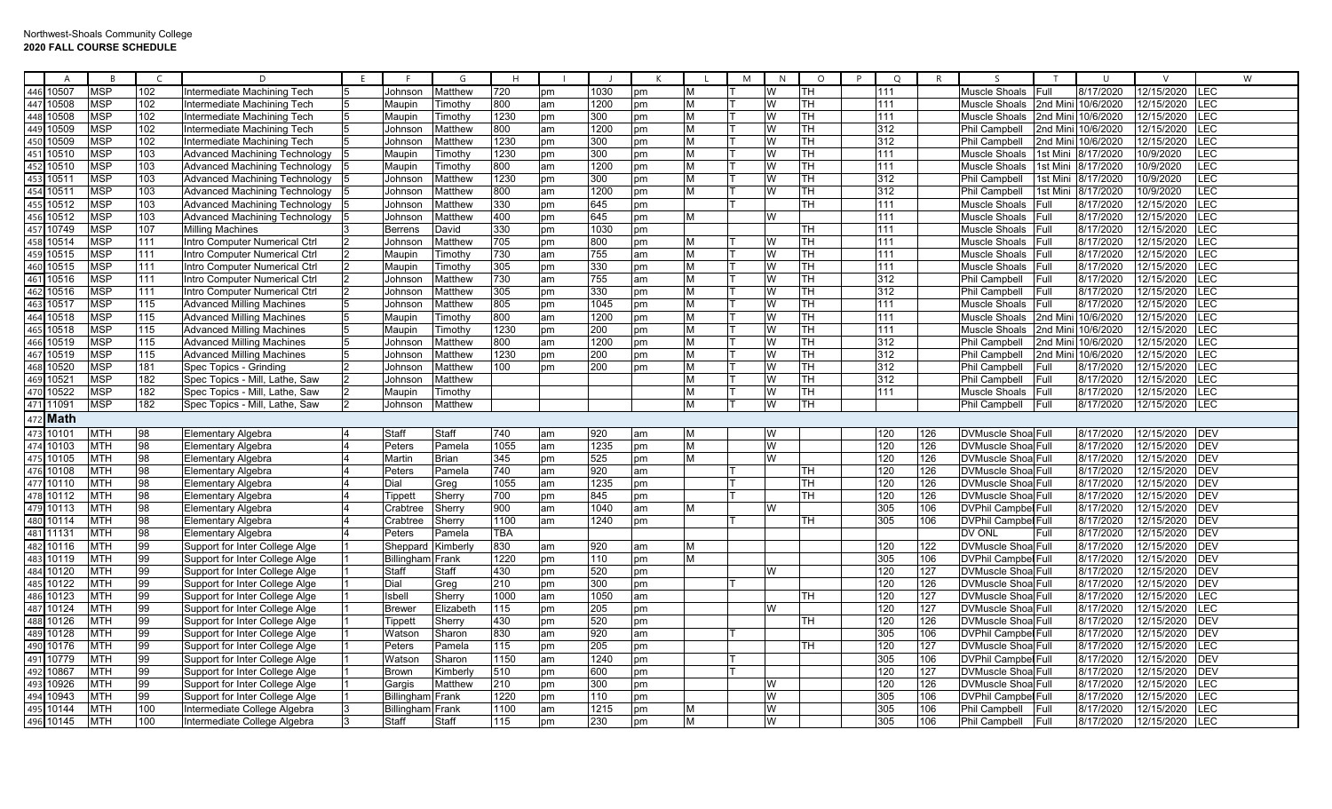|     | A         | $\overline{R}$ | $\epsilon$ | D.                                   | F. |                  | G              | H                |    |      | K  |   | M | N        | $\circ$                  | P<br>$\circ$ | R   | $\varsigma$                |              | $\cup$             | $\vee$     |            | W |
|-----|-----------|----------------|------------|--------------------------------------|----|------------------|----------------|------------------|----|------|----|---|---|----------|--------------------------|--------------|-----|----------------------------|--------------|--------------------|------------|------------|---|
| 446 | 10507     | <b>MSP</b>     | 102        | Intermediate Machining Tech          |    | Johnson          | Matthew        | 720              | pm | 1030 | pm | м |   | W        | TH                       | 111          |     | Muscle Shoals              | Full         | 8/17/2020          | 12/15/2020 | LEC        |   |
| 447 | 10508     | <b>MSP</b>     | 102        | Intermediate Machining Tech          | 15 | Maupin           | Timothy        | 800              | am | 1200 | pm | M |   | W        | TH                       | 111          |     | Muscle Shoals              |              | 2nd Mini 10/6/2020 | 12/15/2020 | LEC        |   |
| 448 | 10508     | <b>MSP</b>     | 102        | Intermediate Machining Tech          |    | Maupin           | Timothy        | 1230             | pm | 300  | pm | M |   |          | TH                       | 111          |     | Muscle Shoals              |              | 2nd Mini 10/6/2020 | 12/15/2020 | LEC        |   |
| 449 | 10509     | <b>MSP</b>     | 102        | Intermediate Machining Tech          |    | Johnsor          | Matthew        | 800              | am | 1200 | pm | M |   |          | TH                       | 312          |     | <b>Phil Campbell</b>       |              | 2nd Mini 10/6/2020 | 12/15/2020 | LEC        |   |
| 450 | 10509     | <b>MSP</b>     | 102        | Intermediate Machining Tech          |    | Johnsor          | Matthew        | 1230             | pm | 300  | pm | M |   | W        | $\overline{\mathsf{TH}}$ | 312          |     | <b>Phil Campbell</b>       |              | 2nd Mini 10/6/2020 | 12/15/2020 | LEC        |   |
| 451 | 10510     | <b>MSP</b>     | 103        | Advanced Machining Technology        |    | Maupin           | Fimothy        | 1230             | pm | 300  | pm | M |   |          | TH                       | 111          |     | Muscle Shoals              |              | 1st Mini 8/17/2020 | 10/9/2020  | LEC        |   |
| 452 | 10510     | <b>MSP</b>     | 103        | Advanced Machining Technology        |    | Maupin           | Fimothy        | 300              | am | 1200 | pm | м |   |          | TH                       | 111          |     | Muscle Shoals              | 1st Mini     | 8/17/2020          | 10/9/2020  | LEC        |   |
| 453 | 10511     | <b>MSP</b>     | 103        | Advanced Machining Technology        |    | Johnsor          | Matthew        | 1230             | pm | 300  | pm | M |   | W        | TH.                      | 312          |     | <b>Phil Campbell</b>       | 1st Mini     | 8/17/2020          | 10/9/2020  | LEC        |   |
| 454 | 10511     | <b>MSP</b>     | 103        | Advanced Machining Technology        |    | Johnsor          | Matthew        | 800              | am | 1200 | pm | M |   | W        | <b>TH</b>                | 312          |     | <b>Phil Campbell</b>       | 1st Mini     | 8/17/2020          | 10/9/2020  | LEC        |   |
| 455 | 10512     | <b>MSP</b>     | 103        | <b>Advanced Machining Technology</b> |    | Johnson          | Matthew        | 330              | pm | 645  | pm |   |   |          | TH                       | 111          |     | Muscle Shoals              | Full         | 8/17/2020          | 12/15/2020 | LEC        |   |
| 456 | 10512     | <b>MSP</b>     | 103        | <b>Advanced Machining Technology</b> |    | Johnson          | Matthew        | 400              | pm | 645  | pm | M |   | w        |                          | 111          |     | Muscle Shoals              | Full         | 8/17/2020          | 12/15/2020 | LEC        |   |
| 457 | 10749     | <b>MSP</b>     | 107        | <b>Milling Machines</b>              |    | <b>Berrens</b>   | David          | 330              | pm | 1030 | pm |   |   |          | TH                       | 111          |     | Muscle Shoals              | Full         | 8/17/2020          | 12/15/2020 | LEC        |   |
| 458 | 10514     | <b>MSP</b>     | 111        | Intro Computer Numerical Ctrl        |    | Johnson          | Matthew        | $\overline{705}$ | pm | 800  | pm | м |   |          | TH                       | 111          |     | Muscle Shoals Full         |              | 8/17/2020          | 12/15/2020 | LEC        |   |
| 459 | 10515     | <b>MSP</b>     | 111        | Intro Computer Numerical Ctrl        |    | Maupin           | Fimothy        | 730              | am | 755  | am | M |   |          | <b>TH</b>                | 111          |     | Muscle Shoals              | Full         | 8/17/2020          | 12/15/2020 | LEC        |   |
| 460 | 10515     | <b>MSP</b>     | 111        | Intro Computer Numerical Ctrl        |    | Maupin           | Fimothy        | 305              | pm | 330  | pm | M |   | w        | <b>TH</b>                | 111          |     | Muscle Shoals              | <b>IFull</b> | 8/17/2020          | 12/15/2020 | LEC        |   |
| 461 | 10516     | <b>MSP</b>     | 111        | Intro Computer Numerical Ctrl        |    | Johnson          | Matthew        | $\overline{730}$ | am | 755  | am | M |   | w        | $\overline{\mathsf{TH}}$ | 312          |     | <b>Phil Campbell</b>       | Full         | 8/17/2020          | 12/15/2020 | LEC        |   |
| 462 | 10516     | <b>MSP</b>     | 111        | Intro Computer Numerical Ctrl        |    | Johnson          | Matthew        | 305              | pm | 330  | pm | M |   |          | TH                       | 312          |     | Phil Campbell              | Full         | 8/17/2020          | 12/15/2020 | <b>LEC</b> |   |
| 463 | 10517     | <b>MSP</b>     | 115        | <b>Advanced Milling Machines</b>     |    | Johnson          | Matthew        | 805              | pm | 1045 | pm | М |   |          | TH                       | 111          |     | Muscle Shoals              | Full         | 8/17/2020          | 12/15/2020 | LEC        |   |
| 464 | 10518     | <b>MSP</b>     | 115        | <b>Advanced Milling Machines</b>     |    | Maupin           | <b>Fimothy</b> | 800              | am | 1200 | pm | M |   |          | TH                       | 111          |     | Muscle Shoals              |              | 2nd Mini 10/6/2020 | 12/15/2020 | LEC        |   |
| 465 | 10518     | <b>MSP</b>     | 115        | <b>Advanced Milling Machines</b>     |    | Maupin           | Timothy        | 1230             | pm | 200  | pm | M |   |          | TH                       | 111          |     | Muscle Shoals              |              | 2nd Mini 10/6/2020 | 12/15/2020 | LEC        |   |
| 466 | 10519     | <b>MSP</b>     | 115        | <b>Advanced Milling Machines</b>     | 15 | Johnson          | Matthew        | 800              | am | 1200 | pm | M |   | W        | TH                       | 312          |     | Phil Campbell              |              | 2nd Mini 10/6/2020 | 12/15/2020 | LEC        |   |
| 467 | 10519     | <b>MSP</b>     | 115        | <b>Advanced Milling Machines</b>     |    | Johnson          | Matthew        | 1230             | pm | 200  | pm | M |   |          | <b>TH</b>                | 312          |     | <b>Phil Campbell</b>       |              | 2nd Mini 10/6/2020 | 12/15/2020 | LEC        |   |
| 468 | 10520     | <b>MSP</b>     | 181        | Spec Topics - Grinding               |    | Johnson          | Matthew        | 100              | pm | 200  | pm | M |   |          | TH                       | 312          |     | Phil Campbell              | <b>Full</b>  | 8/17/2020          | 12/15/2020 | LEC        |   |
| 469 | 10521     | <b>MSP</b>     | 182        | Spec Topics - Mill, Lathe, Saw       |    | Johnson          | Matthew        |                  |    |      |    | м |   | w        | TH                       | 312          |     | Phil Campbell              | Full         | 8/17/2020          | 12/15/2020 | LEC        |   |
| 470 | 10522     | <b>MSP</b>     | 182        | Spec Topics - Mill. Lathe. Saw       |    | Maupin           | Fimothy        |                  |    |      |    | M |   | w        | <b>TH</b>                | 111          |     | Muscle Shoals              | <b>Full</b>  | 8/17/2020          | 12/15/2020 | LEC        |   |
| 471 | 11091     | <b>MSP</b>     | 182        | Spec Topics - Mill, Lathe, Saw       | 12 | Johnson          | Matthew        |                  |    |      |    | M |   | W        | Iтн                      |              |     | <b>Phil Campbell</b>       | Full         | 8/17/2020          | 12/15/2020 | LEC        |   |
| 472 | Math      |                |            |                                      |    |                  |                |                  |    |      |    |   |   |          |                          |              |     |                            |              |                    |            |            |   |
|     | 473 10101 | <b>MTH</b>     | 98         | <b>Elementary Algebra</b>            |    | Staff            | Staff          | 740              | am | 920  | am | м |   | <b>W</b> |                          | 120          | 126 | <b>DVMuscle Shoa Full</b>  |              | 8/17/2020          | 12/15/2020 | <b>DEV</b> |   |
| 474 | 10103     | <b>MTH</b>     | 98         | <b>Elementary Algebra</b>            |    | Peters           | Pamela         | 1055             | am | 1235 | pm | M |   | W        |                          | 120          | 126 | <b>DVMuscle Shoa Full</b>  |              | 8/17/2020          | 12/15/2020 | DEV        |   |
| 475 | 10105     | <b>MTH</b>     | 98         | <b>Elementary Algebra</b>            |    | Martin           | <b>Brian</b>   | 345              | pm | 525  | pm | M |   | W        |                          | 120          | 126 | DVMuscle Shoa Full         |              | 8/17/2020          | 12/15/2020 | DEV        |   |
| 476 | 10108     | <b>MTH</b>     | 98         | <b>Elementary Algebra</b>            |    | Peters           | Pamela         | 740              | am | 920  | am |   |   |          | lTH.                     | 120          | 126 | DVMuscle Shoa Full         |              | 8/17/2020          | 12/15/2020 | <b>DEV</b> |   |
| 477 | 10110     | <b>MTH</b>     | 98         | <b>Elementary Algebra</b>            |    | Dial             | Greg           | 1055             | am | 1235 | pm |   |   |          | <b>TH</b>                | 120          | 126 | <b>DVMuscle ShoalFull</b>  |              | 8/17/2020          | 12/15/2020 | <b>DEV</b> |   |
| 478 | 10112     | <b>MTH</b>     | 98         | <b>Elementary Algebra</b>            |    | Tippett          | Sherry         | 700              | pm | 845  | pm |   |   |          | TН                       | 120          | 126 | <b>DVMuscle Shoa Full</b>  |              | 8/17/2020          | 12/15/2020 | <b>DEV</b> |   |
| 479 | 10113     | <b>MTH</b>     | 98         | <b>Elementary Algebra</b>            |    | Crabtree         | Sherry         | 900              | am | 1040 | am | м |   | W        |                          | 305          | 106 | <b>DVPhil Campbel Full</b> |              | 8/17/2020          | 12/15/2020 | <b>DEV</b> |   |
| 480 | 10114     | <b>MTH</b>     | 98         | <b>Elementary Algebra</b>            |    | Crabtree         | Sherry         | 1100             | am | 1240 | pm |   |   |          | <b>TH</b>                | 305          | 106 | <b>DVPhil Campbel Full</b> |              | 8/17/2020          | 12/15/2020 | DEV        |   |
| 481 | 11131     | <b>MTH</b>     | 98         | <b>Elementary Algebra</b>            |    | Peters           | Pamela         | TBA              |    |      |    |   |   |          |                          |              |     | DV ONL                     | Full         | 8/17/2020          | 12/15/2020 | <b>DEV</b> |   |
| 482 | 10116     | <b>MTH</b>     | 99         | Support for Inter College Alge       |    | Sheppard         | Kimberly       | 830              | am | 920  | am | M |   |          |                          | 120          | 122 | DVMuscle Shoa Full         |              | 8/17/2020          | 12/15/2020 | <b>DEV</b> |   |
| 483 | 10119     | <b>MTH</b>     | 99         | Support for Inter College Alge       |    | Billingham Frank |                | 1220             | pm | 110  | pm | M |   |          |                          | 305          | 106 | <b>DVPhil Campbel Full</b> |              | 8/17/2020          | 12/15/2020 | DEV        |   |
| 484 | 10120     | <b>MTH</b>     | 99         | Support for Inter College Alge       |    | Staff            | Staff          | 430              | pm | 520  | pm |   |   | W        |                          | 120          | 127 | <b>DVMuscle Shoa</b> Full  |              | 8/17/2020          | 12/15/2020 | <b>DEV</b> |   |
| 485 | 10122     | <b>MTH</b>     | 99         | Support for Inter College Alge       |    | Dial             | Greg           | 210              | pm | 300  | pm |   |   |          |                          | 120          | 126 | <b>DVMuscle Shoa</b> Full  |              | 8/17/2020          | 12/15/2020 | <b>DEV</b> |   |
| 486 | 10123     | <b>MTH</b>     | 99         | Support for Inter College Alge       |    | Isbell           | Sherry         | 1000             | am | 1050 | am |   |   |          | TН                       | 120          | 127 | DVMuscle Shoa Full         |              | 8/17/2020          | 12/15/2020 | LEC        |   |
| 487 | 10124     | <b>MTH</b>     | 99         | Support for Inter College Alge       |    | <b>Brewer</b>    | Elizabeth      | 115              | pm | 205  | pm |   |   | l W      |                          | 120          | 127 | <b>DVMuscle ShoalFull</b>  |              | 8/17/2020          | 12/15/2020 | LEC        |   |
| 488 | 10126     | <b>MTH</b>     | 99         | Support for Inter College Alge       |    | Tippetl          | Sherry         | 430              | pm | 520  | pm |   |   |          | TH                       | 120          | 126 | <b>DVMuscle ShoalFull</b>  |              | 8/17/2020          | 12/15/2020 | <b>DEV</b> |   |
| 489 | 10128     | <b>MTH</b>     | 99         | Support for Inter College Alge       |    | Watson           | Sharon         | 830              | am | 920  | am |   |   |          |                          | 305          | 106 | <b>DVPhil Campbel Full</b> |              | 8/17/2020          | 12/15/2020 | DEV        |   |
| 490 | 10176     | <b>MTH</b>     | 99         | Support for Inter College Alge       |    | Peters           | Pamela         | 115              | pm | 205  | pm |   |   |          | TН                       | 120          | 127 | <b>DVMuscle ShoalFull</b>  |              | 8/17/2020          | 12/15/2020 | LEC        |   |
| 491 | 10779     | <b>MTH</b>     | 99         | Support for Inter College Alge       |    | Watsor           | Sharon         | 1150             | am | 1240 | pm |   |   |          |                          | 305          | 106 | <b>DVPhil Campbel Full</b> |              | 8/17/2020          | 12/15/2020 | DEV        |   |
| 492 | 10867     | <b>MTH</b>     | 99         | Support for Inter College Alge       |    | <b>Brown</b>     | Kimberly       | 510              | pm | 600  | pm |   |   |          |                          | 120          | 127 | DVMuscle Shoa Full         |              | 8/17/2020          | 12/15/2020 | DEV        |   |
| 493 | 10926     | <b>MTH</b>     | 99         | Support for Inter College Alge       |    | Gargis           | Matthew        | 210              | pm | 300  | pm |   |   | w        |                          | 120          | 126 | DVMuscle Shoa Full         |              | 8/17/2020          | 12/15/2020 | LEC        |   |
| 494 | 10943     | <b>MTH</b>     | 99         | Support for Inter College Alge       |    | Billingham Frank |                | 1220             | pm | 110  | pm |   |   | W        |                          | 305          | 106 | <b>DVPhil Campbel Full</b> |              | 8/17/2020          | 12/15/2020 | LEC        |   |
| 495 | 10144     | <b>MTH</b>     | 100        | Intermediate College Algebra         |    | Billingham Frank |                | 1100             | am | 1215 | pm | М |   | W        |                          | 305          | 106 | Phil Campbell              | Full         | 8/17/2020          | 12/15/2020 | LEC        |   |
|     | 496 10145 | <b>MTH</b>     | 100        | Intermediate College Algebra         |    | Staff            | Staff          | 115              | pm | 230  | pm | М |   | W        |                          | 305          | 106 | Phil Campbell              | Full         | 8/17/2020          | 12/15/2020 | LEC        |   |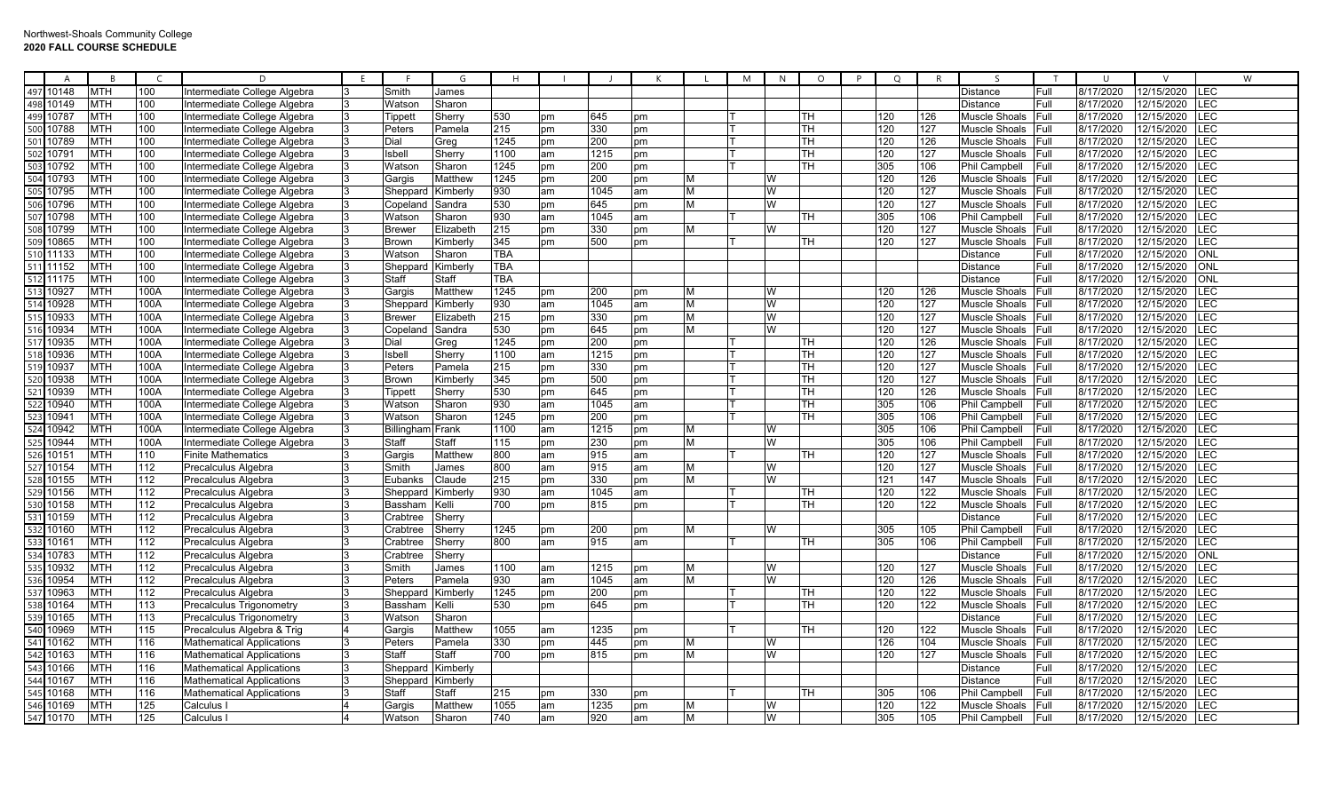| $\overline{A}$ | $\overline{R}$ | $\mathsf{C}$ | D                                |     |               | G               | H    |    |      | K  |   | M | N | $\circ$   | P | $\circ$ |     | <sub>S</sub>         | $\mathbf{T}$ | $\overline{1}$ | $\mathcal{U}$       | W           |
|----------------|----------------|--------------|----------------------------------|-----|---------------|-----------------|------|----|------|----|---|---|---|-----------|---|---------|-----|----------------------|--------------|----------------|---------------------|-------------|
| 497<br>10148   | <b>MTH</b>     | 100          | Intermediate College Algebra     |     | Smith         | James           |      |    |      |    |   |   |   |           |   |         |     | <b>Distance</b>      | Full         | 8/17/2020      | 12/15/2020          | <b>ILEC</b> |
| 498<br>10149   | <b>MTH</b>     | 100          | Intermediate College Algebra     | R.  | Watsor        | Sharon          |      |    |      |    |   |   |   |           |   |         |     | <b>Distance</b>      | Full         | 8/17/2020      | 12/15/2020          | $E$ C       |
| 499 10787      | <b>MTH</b>     | 100          | Intermediate College Algebra     | 13. | Tippett       | Sherry          | 530  | pm | 645  | pm |   |   |   | TH.       |   | 120     | 126 | Muscle Shoals        | Full         | 8/17/2020      | 12/15/2020          | <b>LEC</b>  |
| 500 10788      | <b>MTH</b>     | 100          | Intermediate College Algebra     |     | Peters        | Pamela          | 215  | pm | 330  | pm |   |   |   | <b>TH</b> |   | 120     | 127 | Muscle Shoals        | Full         | 8/17/2020      | 12/15/2020          | <b>EC</b>   |
| 501 10789      | <b>MTH</b>     | 100          | Intermediate College Algebra     |     | Dial          | Greg            | 1245 | pm | 200  | pm |   |   |   | <b>TH</b> |   | 120     | 126 | Muscle Shoals        | Full         | 8/17/2020      | 12/15/2020          | <b>LEC</b>  |
| 502<br>1079    | <b>MTH</b>     | 100          | Intermediate College Algebra     |     | <b>Isbell</b> | Sherry          | 1100 | am | 1215 | pm |   |   |   | TН        |   | 120     | 127 | <b>Muscle Shoals</b> | Full         | 8/17/2020      | 12/15/2020          | <b>EC</b>   |
| 10792<br>50    | <b>MTH</b>     | 100          | Intermediate College Algebra     |     | Watsor        | Sharon          | 1245 | pm | 200  | pm |   |   |   | TH.       |   | 305     | 106 | <b>Phil Campbell</b> | Full         | 8/17/2020      | 12/15/2020          | <b>EC</b>   |
| 504<br>10793   | <b>MTH</b>     | 100          | Intermediate College Algebra     |     | Gargis        | Matthew         | 1245 | pm | 200  | pm | М |   | W |           |   | 120     | 126 | <b>Muscle Shoals</b> | Full         | 8/17/2020      | 12/15/2020          | <b>LEC</b>  |
| 505<br>10795   | <b>MTH</b>     | 100          | Intermediate College Algebra     |     | Sheppard      | Kimberly        | 930  | am | 1045 | am | M |   | W |           |   | 120     | 127 | <b>Muscle Shoals</b> | Full         | 8/17/2020      | 12/15/2020          | <b>EC</b>   |
| 10796<br>506   | <b>MTH</b>     | 100          | Intermediate College Algebra     |     | Copeland      | Sandra          | 530  | pm | 645  | pm | м |   | W |           |   | 120     | 127 | <b>Muscle Shoals</b> | Full         | 8/17/2020      | 12/15/2020          | <b>LEC</b>  |
| 10798<br>507   | <b>MTH</b>     | 100          | Intermediate College Algebra     |     | Watson        | Sharon          | 930  | am | 1045 | am |   |   |   | TH.       |   | 305     | 106 | <b>Phil Campbell</b> | Full         | 8/17/2020      | 12/15/2020          | <b>EC</b>   |
| 508<br>10799   | <b>MTH</b>     | 100          | Intermediate College Algebra     |     | <b>Brewer</b> | Elizabeth       | 215  | pm | 330  | pm | м |   | W |           |   | 120     | 127 | <b>Muscle Shoals</b> | Full         | 8/17/2020      | 12/15/2020          | LEC         |
| 509 10865      | <b>MTH</b>     | 100          | Intermediate College Algebra     |     | <b>Brown</b>  | Kimberly        | 345  | pm | 500  | pm |   |   |   | TH.       |   | 120     | 127 | Muscle Shoals        | Full         | 8/17/2020      | 12/15/2020          | .<br>EC     |
| 510 11133      | <b>MTH</b>     | 100          | Intermediate College Algebra     |     | Watson        | Sharon          | TBA  |    |      |    |   |   |   |           |   |         |     | <b>Distance</b>      | Full         | 8/17/2020      | 12/15/2020          | <b>ONL</b>  |
| 511 11152      | <b>MTH</b>     | 100          | Intermediate College Algebra     |     | Sheppard      | Kimberly        | TBA  |    |      |    |   |   |   |           |   |         |     | <b>Distance</b>      | Full         | 8/17/2020      | 12/15/2020          | <b>ONL</b>  |
| 11175<br>512   | MTH            | 100          | Intermediate College Algebra     |     | Staff         | Staff           | TBA  |    |      |    |   |   |   |           |   |         |     | <b>Distance</b>      | Full         | 8/17/2020      | 12/15/2020          | ONL         |
| 10927<br>513   | <b>MTH</b>     | 100A         | Intermediate College Algebra     | IЗ  | Gargis        | Matthew         | 1245 | pm | 200  | pm | M |   | w |           |   | 120     | 126 | <b>Muscle Shoals</b> | Full         | 8/17/2020      | 12/15/2020          | LEC         |
| 10928<br>514   | <b>MTH</b>     | 100A         | Intermediate College Algebra     |     | Sheppard      | Kimberly        | 930  | am | 1045 | am | м |   | W |           |   | 120     | 127 | <b>Muscle Shoals</b> | Full         | 8/17/2020      | 12/15/2020          | <b>LEC</b>  |
| 10933          | <b>MTH</b>     | 100A         | Intermediate College Algebra     |     | <b>Brewer</b> | Elizabeth       | 215  | pm | 330  | pm | м |   | W |           |   | 120     | 127 | Muscle Shoals        | Full         | 8/17/2020      | $\sqrt{12/15/2020}$ | <b>LEC</b>  |
| 516 10934      | <b>MTH</b>     | 100A         | Intermediate College Algebra     |     | Copeland      | Sandra          | 530  | pm | 645  | pm |   |   | W |           |   | 120     | 127 | <b>Muscle Shoals</b> | Full         | 8/17/2020      | 12/15/2020          | _EC         |
| 517<br>10935   | <b>MTH</b>     | 100A         | Intermediate College Algebra     |     | Dial          | Greg            | 1245 | pm | 200  | pm |   |   |   | TH.       |   | 120     | 126 | <b>Muscle Shoals</b> | Full         | 8/17/2020      | 12/15/2020          | LEC         |
| 518<br>10936   | <b>MTH</b>     | 100A         | Intermediate College Algebra     |     | Isbell        | Sherry          | 1100 | am | 1215 | pm |   |   |   | <b>TH</b> |   | 120     | 127 | <b>Muscle Shoals</b> | Full         | 8/17/2020      | 12/15/2020          | <b>EC</b>   |
| 10937<br>51    | <b>MTH</b>     | 100A         | Intermediate College Algebra     |     | Peters        | Pamela          | 215  | pm | 330  | pm |   |   |   | TH        |   | 120     | 127 | <b>Muscle Shoals</b> | Full         | 8/17/2020      | 12/15/2020          | E           |
| 10938<br>520   | <b>MTH</b>     | 100A         | Intermediate College Algebra     |     | <b>Brown</b>  | Kimberly        | 345  | pm | 500  | pm |   |   |   | <b>TH</b> |   | 120     | 127 | <b>Muscle Shoals</b> | Full         | 8/17/2020      | 12/15/2020          | LEC         |
| 10939<br>521   | <b>MTH</b>     | 100A         | Intermediate College Algebra     |     | Tippett       | Sherry          | 530  | pm | 645  | pm |   |   |   | TH.       |   | 120     | 126 | <b>Muscle Shoals</b> | Full         | 8/17/2020      | 12/15/2020          | <b>EC</b>   |
| 10940          | <b>MTH</b>     | 100A         | Intermediate College Algebra     | IЗ  | Watson        | Sharon          | 930  | am | 1045 | am |   |   |   | TН        |   | 305     | 106 | <b>Phil Campbell</b> | Full         | 8/17/2020      | 12/15/2020          | <b>LEC</b>  |
| 523<br>10941   | <b>MTH</b>     | 100A         | Intermediate College Algebra     |     | Watsor        | Sharon          | 1245 | pm | 200  | pm |   |   |   | TH.       |   | 305     | 106 | Phil Campbell        | Full         | 8/17/2020      | 12/15/2020          | <b>EC</b>   |
| 10942<br>524   | <b>MTH</b>     | 100A         | Intermediate College Algebra     |     | Billingham    | Frank           | 1100 | am | 1215 | pm | М |   | W |           |   | 305     | 106 | Phil Campbell        | Full         | 8/17/2020      | 12/15/2020          | <b>EC</b>   |
| 10944<br>525   | <b>MTH</b>     | 100A         | Intermediate College Algebra     |     | Staff         | Staff           | 115  | pm | 230  | pm | M |   | W |           |   | 305     | 106 | <b>Phil Campbell</b> | Full         | 8/17/2020      | 12/15/2020          | <b>EC</b>   |
| 526<br>1015'   | <b>MTH</b>     | 110          | <b>Finite Mathematics</b>        |     | Gargis        | Matthew         | 800  | am | 915  | am |   |   |   | TH.       |   | 120     | 127 | <b>Muscle Shoals</b> | Full         | 8/17/2020      | 12/15/2020          | $E$ C       |
| 527<br>10154   | <b>MTH</b>     | 112          | Precalculus Algebra              |     | Smith         | James           | 800  | am | 915  | am | M |   | W |           |   | 120     | 127 | <b>Muscle Shoals</b> | Full         | 8/17/2020      | 12/15/2020          | <b>EC</b>   |
| 528<br>10155   | <b>MTH</b>     | 112          | Precalculus Algebra              |     | Eubanks       | Claude          | 215  | pm | 330  | pm | м |   | W |           |   | 121     | 147 | <b>Muscle Shoals</b> | Full         | 8/17/2020      | 12/15/2020          | <b>EC</b>   |
| 10156          | <b>MTH</b>     | 112          | Precalculus Algebra              |     | Sheppard      | Kimberly        | 930  | am | 1045 | am |   |   |   | TH.       |   | 120     | 122 | <b>Muscle Shoals</b> | Full         | 8/17/2020      | 12/15/2020          | LEC         |
| 530<br>10158   | <b>MTH</b>     | 112          | Precalculus Algebra              |     | Bassham       | Kelli           | 700  | pm | 815  | pm |   |   |   | TН        |   | 120     | 122 | Muscle Shoals        | Full         | 8/17/2020      | 12/15/2020          | <b>EC</b>   |
| 531 10159      | <b>MTH</b>     | 112          | Precalculus Algebra              |     | Crabtree      | Sherry          |      |    |      |    |   |   |   |           |   |         |     | Distance             | Full         | 8/17/2020      | 12/15/2020          | <b>LEC</b>  |
| 10160<br>532   | <b>MTH</b>     | 112          | Precalculus Algebra              |     | Crabtree      | Sherrv          | 1245 | pm | 200  | pm |   |   | W |           |   | 305     | 105 | Phil Campbell        | Full         | 8/17/2020      | 12/15/2020          | <b>LEC</b>  |
| 533<br>1016    | <b>MTH</b>     | 112          | Precalculus Algebra              |     | Crabtree      | Sherry          | 800  | am | 915  | am |   |   |   | TH.       |   | 305     | 106 | <b>Phil Campbell</b> | Full         | 8/17/2020      | 12/15/2020          | E           |
| 534<br>10783   | <b>MTH</b>     | 112          | Precalculus Algebra              |     | Crabtree      | Sherry          |      |    |      |    |   |   |   |           |   |         |     | <b>Distance</b>      | Full         | 8/17/2020      | 12/15/2020          | <b>NO</b>   |
| 10932<br>535   | <b>MTH</b>     | 112          | Precalculus Algebra              |     | Smith         | James           | 1100 | am | 1215 | pm | м |   | W |           |   | 120     | 127 | <b>Muscle Shoals</b> | Full         | 8/17/2020      | 12/15/2020          | LEC         |
| 10954<br>536   | <b>MTH</b>     | 112          | Precalculus Algebra              |     | Peters        | Pamela          | 930  | am | 1045 | am | м |   | W |           |   | 120     | 126 | <b>Muscle Shoals</b> | Full         | 8/17/2020      | 12/15/2020          | <b>LEC</b>  |
| 537<br>10963   | <b>MTH</b>     | 112          | Precalculus Algebra              |     | Sheppard      | <b>Kimberly</b> | 1245 | pm | 200  | pm |   |   |   | TH        |   | 120     | 122 | <b>Muscle Shoals</b> | Full         | 8/17/2020      | 12/15/2020          | <b>LEC</b>  |
| 538<br>10164   | <b>MTH</b>     | 113          | Precalculus Trigonometry         |     | Bassham       | Kelli           | 530  | pm | 645  | pm |   |   |   | TH.       |   | 120     | 122 | <b>Muscle Shoals</b> | Full         | 8/17/2020      | 12/15/2020          | LEC         |
| 10165<br>539   | <b>MTH</b>     | 113          | Precalculus Trigonometry         | 3   | Watson        | Sharon          |      |    |      |    |   |   |   |           |   |         |     | <b>Distance</b>      | Full         | 8/17/2020      | 12/15/2020          | <b>LEC</b>  |
| 10969<br>540   | <b>MTH</b>     | 115          | Precalculus Algebra & Trig       |     | Gargis        | Matthew         | 1055 | am | 1235 | pm |   |   |   | TН        |   | 120     | 122 | <b>Muscle Shoals</b> | Full         | 8/17/2020      | 12/15/2020          | <b>EC</b>   |
| 541 10162      | <b>HTM</b>     | 116          | <b>Mathematical Applications</b> | 3   | Peters        | Pamela          | 330  | pm | 445  | pm | м |   | W |           |   | 126     | 104 | <b>Muscle Shoals</b> | Full         | 8/17/2020      | 12/15/2020          | $E$ C       |
| 542 10163      | <b>MTH</b>     | 116          | <b>Mathematical Applications</b> |     | Staff         | Staff           | 700  | pm | 815  | pm | м |   | W |           |   | 120     | 127 | <b>Muscle Shoals</b> | Full         | 8/17/2020      | 12/15/2020          | .EC         |
| 543 10166      | <b>MTH</b>     | 116          | <b>Mathematical Applications</b> | 3   | Sheppard      | Kimberly        |      |    |      |    |   |   |   |           |   |         |     | <b>Distance</b>      | Full         | 8/17/2020      | 12/15/2020          | <b>LEC</b>  |
| 544 1016       | <b>MTH</b>     | 116          | <b>Mathematical Applications</b> |     | Sheppard      | Kimberly        |      |    |      |    |   |   |   |           |   |         |     | <b>Distance</b>      | Full         | 8/17/2020      | 12/15/2020          | ЕC          |
| 545 10168      | <b>MTH</b>     | 116          | <b>Mathematical Applications</b> |     | Staff         | Staff           | 215  | pm | 330  | pm |   |   |   | TН        |   | 305     | 106 | Phil Campbell        | Full         | 8/17/2020      | 2/15/2020           | <b>LEC</b>  |
| 546 10169      | <b>MTH</b>     | 125          | Calculus                         |     | Gargis        | Matthew         | 1055 | am | 1235 | pm |   |   | W |           |   | 120     | 122 | <b>Muscle Shoals</b> | Full         | 8/17/2020      | 12/15/2020          | <b>EC</b>   |
| 547 10170      | <b>MTH</b>     | 125          | Calculus                         |     | Watson        | Sharon          | 740  | am | 920  | am | М |   | W |           |   | 305     | 105 | <b>Phil Campbell</b> | Full         | 8/17/2020      | 12/15/2020          | LEC         |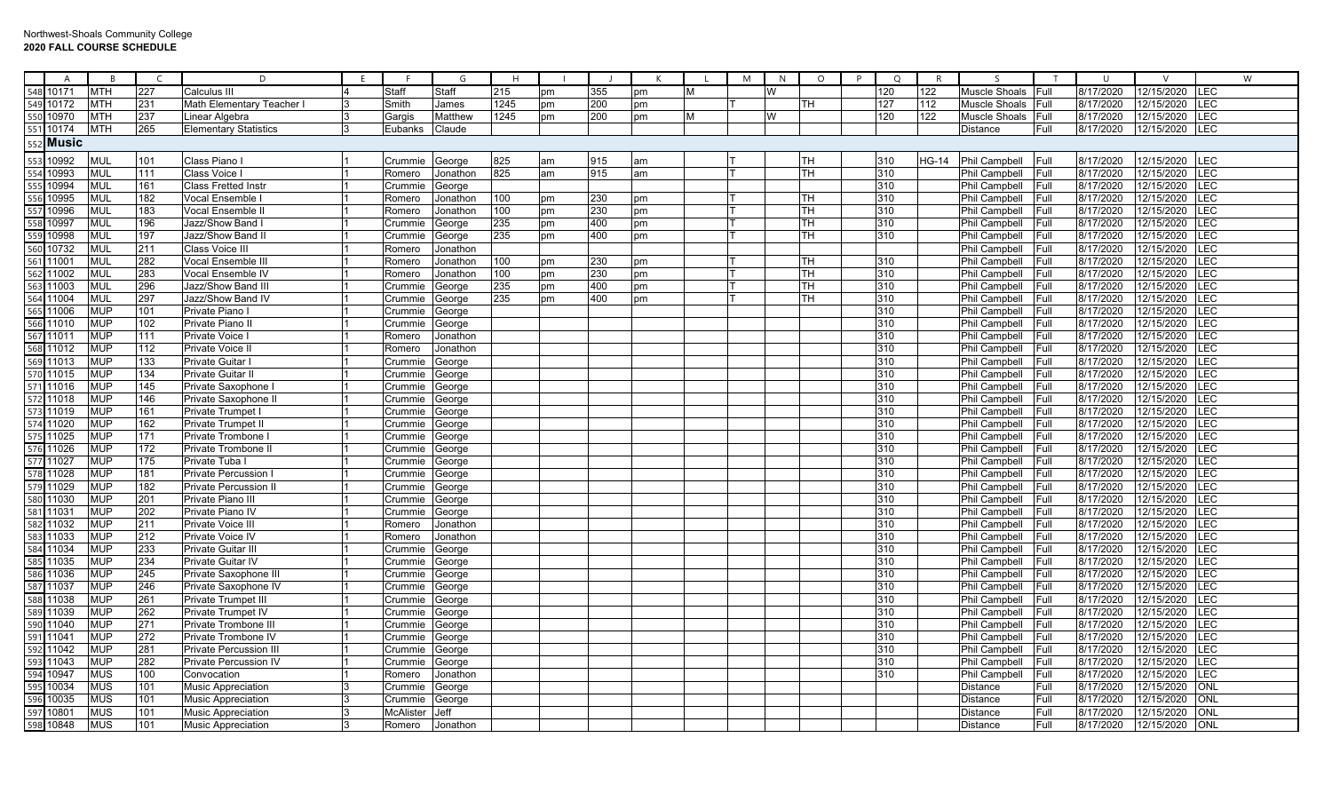|            | $\overline{A}$ | <sub>R</sub>             | $\subset$  | D                                                   | F |                    | G                | H    |    |     |    |   | M | N | $\circ$   | P | $\circ$    | $\mathsf{R}$ | $\varsigma$                    |              | $\cup$                 | $\vee$                   | W                 |
|------------|----------------|--------------------------|------------|-----------------------------------------------------|---|--------------------|------------------|------|----|-----|----|---|---|---|-----------|---|------------|--------------|--------------------------------|--------------|------------------------|--------------------------|-------------------|
| 548        | 10171          | <b>MTH</b>               | 227        | Calculus III                                        |   | Staff              | Staff            | 215  | pm | 355 | pm | M |   | W |           |   | 120        | 122          | Muscle Shoals                  | <b>IFull</b> | 8/17/2020              | 12/15/2020               | LEC               |
| 549        | 10172          | <b>MTH</b>               | 231        | Math Elementary Teacher                             |   | Smith              | James            | 1245 | pm | 200 | рm |   |   |   | TH        |   | 127        | 112          | Muscle Shoals                  | Full         | 8/17/2020              | 12/15/2020               | LEC               |
| 550        | 10970          | <b>MTH</b>               | 237        | Linear Algebra                                      |   | Gargis             | Matthew          | 1245 | pm | 200 | pm | M |   | W |           |   | 120        | 122          | Muscle Shoals                  | Full         | 8/17/2020              | 12/15/2020               | LEC               |
|            | 10174          | <b>MTH</b>               | 265        | <b>Elementary Statistics</b>                        | 3 | Eubanks            | Claude           |      |    |     |    |   |   |   |           |   |            |              | Distance                       | Full         | 8/17/2020              | 12/15/2020               | LEC               |
|            | Music          |                          |            |                                                     |   |                    |                  |      |    |     |    |   |   |   |           |   |            |              |                                |              |                        |                          |                   |
| 553        | 10992          | <b>MUL</b>               | 101        | Class Piano I                                       |   | Crummie            | George           | 825  | am | 915 | am |   |   |   | <b>TH</b> |   | 310        | <b>HG-14</b> | Phil Campbell                  | Full         | 8/17/2020              | 12/15/2020               | LEC               |
|            | 10993          | <b>MUL</b>               | 111        | Class Voice I                                       |   | Romero             | Jonathon         | 825  | am | 915 | am |   |   |   | TH        |   | 310        |              | Phil Campbell                  | Full         | 8/17/2020              | 12/15/2020               | <b>LEC</b>        |
|            | 10994          | <b>MUL</b>               | 161        | <b>Class Fretted Instr</b>                          |   | Crummie            | George           |      |    |     |    |   |   |   |           |   | 310        |              | Phil Campbell                  | Full         | 8/17/2020              | 12/15/2020               | LEC               |
|            | 0995           | <b>MUL</b>               | 182        | Vocal Ensemble                                      |   | Romero             | Jonathon         | 100  | pm | 230 | pm |   |   |   | TH        |   | 310        |              | Phil Campbell                  | Full         | 8/17/2020              | 12/15/2020               | LEC               |
|            | 10996          | <b>MUL</b>               | 183        | Vocal Ensemble I                                    |   | Romero             | Jonathon         | 100  | pm | 230 | pm |   |   |   | TН        |   | 310        |              | Phil Campbell                  | Full         | 8/17/2020              | 12/15/2020               | LEC               |
|            | 10997          | <b>MUL</b>               | 196        | Jazz/Show Band                                      |   | Crummie            | George           | 235  | pm | 400 | рm |   |   |   | TН        |   | 310        |              | Phil Campbell                  | Full         | 8/17/2020              | 12/15/2020               | LEC               |
|            | 10998          | <b>MUL</b>               | 197        | Jazz/Show Band I                                    |   | Crummie            | George           | 235  | pm | 400 | pm |   |   |   | TH        |   | 310        |              | Phil Campbell                  | Full         | 8/17/2020              | 12/15/2020               | LEC               |
| 560        | 10732          | <b>MUL</b>               | 211        | Class Voice III                                     |   | Romero             | Jonathon         |      |    |     |    |   |   |   |           |   |            |              | Phil Campbell                  | Full         | 8/17/2020              | 12/15/2020               | LEC               |
| 561        | 11001          | <b>MUL</b>               | 282        | Vocal Ensemble III                                  |   | Romero             | Jonathon         | 100  | pm | 230 | pm |   |   |   | TH        |   | 310        |              | Phil Campbell                  | Full         | 8/17/2020              | 12/15/2020               | <b>LEC</b>        |
|            | 11002          | <b>MUL</b>               | 283        | Vocal Ensemble IV                                   |   | Romero             | Jonathon         | 100  | pm | 230 | pm |   |   |   | TН        |   | 310        |              | Phil Campbell                  | Full         | 8/17/2020              | 12/15/2020               | LEC               |
|            | 1003           | <b>MUL</b>               | 296        | Jazz/Show Band II                                   |   | Crummie            | George           | 235  | pm | 400 | pm |   |   |   | TН        |   | 310        |              | Phil Campbell                  | Full         | 8/17/2020              | 12/15/2020               | LEC               |
|            | 11004          | <b>MUL</b>               | 297        | Jazz/Show Band IV                                   |   | Crummie            | George           | 235  | pm | 400 | pm |   |   |   | TН        |   | 310        |              | Phil Campbell                  | Full         | 8/17/2020              | 12/15/2020               | <b>LEC</b>        |
| 565        | 1006           | <b>MUP</b>               | 101        | Private Piano                                       |   | Crummie            | George           |      |    |     |    |   |   |   |           |   | 310        |              | Phil Campbell                  | Full         | 8/17/2020              | 12/15/2020               | LEC               |
| 566        | 11010          | <b>MUP</b>               | 102        | Private Piano II                                    |   | Crummie            | George           |      |    |     |    |   |   |   |           |   | 310        |              | Phil Campbell                  | Full         | 8/17/2020              | 12/15/2020               | LEC               |
| 567        | 11011          | <b>MUP</b>               | 111        | <b>Private Voice</b>                                |   | Romero             | Jonathon         |      |    |     |    |   |   |   |           |   | 310        |              | Phil Campbell                  | Full         | 8/17/2020              | 12/15/2020               | LEC               |
| 568        | 1012           | <b>MUP</b>               | 112        | Private Voice I                                     |   | Romero             | Jonathon         |      |    |     |    |   |   |   |           |   | 310        |              | Phil Campbell                  | Full         | 8/17/2020              | 12/15/2020               | LEC               |
|            | 11013          | <b>MUP</b>               | 133        | Private Guitar I                                    |   | Crummie George     |                  |      |    |     |    |   |   |   |           |   | 310        |              | Phil Campbell                  | Full         | 8/17/2020              | 12/15/2020               | LEC               |
| 570        | 11015          | <b>MUP</b>               | 134        | Private Guitar II                                   |   | Crummie            | George           |      |    |     |    |   |   |   |           |   | 310        |              | Phil Campbell                  | Full         | 8/17/2020              | 12/15/2020               | LEC               |
| 571        | 11016          | <b>MUP</b>               | 145        | Private Saxophone                                   |   | Crummie            | George           |      |    |     |    |   |   |   |           |   | 310        |              | Phil Campbell                  | Full         | 8/17/2020              | 12/15/2020               | <b>LEC</b>        |
| 572        | 11018          | <b>MUP</b>               | 146        | Private Saxophone II                                |   | Crummie            | George           |      |    |     |    |   |   |   |           |   | 310        |              | Phil Campbell                  | Full         | 8/17/2020              | 12/15/2020               | LEC               |
| 573        | 11019          | <b>MUP</b>               | 161        | Private Trumpet                                     |   | Crummie            | George           |      |    |     |    |   |   |   |           |   | 310        |              | Phil Campbell                  | Full         | 8/17/2020              | 12/15/2020               | LEC               |
|            | 11020          | <b>MUP</b>               | 162        | Private Trumpet II                                  |   | Crummie            | George           |      |    |     |    |   |   |   |           |   | 310        |              | Phil Campbell                  | Full         | 8/17/2020              | 12/15/2020               | LEC               |
| 575        | 11025          | <b>MUP</b>               | 171        | Private Trombone                                    |   | Crummie            | George           |      |    |     |    |   |   |   |           |   | 310        |              | Phil Campbell                  | Full         | 8/17/2020              | 12/15/2020               | LEC               |
| 576        | 11026          | <b>MUP</b>               | 172        | Private Trombone II                                 |   | Crummie            | George           |      |    |     |    |   |   |   |           |   | 310        |              | Phil Campbell                  | Full         | 8/17/2020              | 12/15/2020               | LEC               |
| 577        | 11027          | <b>MUP</b>               | 175        | Private Tuba                                        |   | Crummie            | George           |      |    |     |    |   |   |   |           |   | 310        |              | Phil Campbell                  | Full         | 8/17/2020              | 12/15/2020               | <b>LEC</b>        |
|            | 578 11028      | <b>MUP</b>               | 181        | Private Percussion                                  |   | Crummie            | George           |      |    |     |    |   |   |   |           |   | 310        |              | Phil Campbell                  | Full         | 8/17/2020              | 12/15/2020               | LEC               |
| 579        | 11029          | <b>MUP</b>               | 182        | <b>Private Percussion II</b>                        |   | Crummie            | George           |      |    |     |    |   |   |   |           |   | 310        |              | Phil Campbell                  | Full         | 8/17/2020              | 12/15/2020               | LEC               |
| 580        | 1030           | <b>MUP</b>               | 201        | Private Piano II                                    |   | Crummie            | George           |      |    |     |    |   |   |   |           |   | 310        |              | Phil Campbell                  | Full         | 8/17/2020              | 12/15/2020               | LEC               |
| 581<br>582 | 1031           | <b>MUP</b>               | 202        | Private Piano IV                                    |   | Crummie            | George           |      |    |     |    |   |   |   |           |   | 310        |              | Phil Campbell                  | Full         | 8/17/2020              | 12/15/2020               | LEC               |
|            | 1032           | <b>MUP</b>               | 211        | Private Voice III                                   |   | Romero             | Jonathon         |      |    |     |    |   |   |   |           |   | 310        |              | Phil Campbell                  | Full         | 8/17/2020              | 12/15/2020               | <b>LEC</b>        |
| 583        | 11033          | <b>MUP</b>               | 212        | Private Voice IV                                    |   | Romero             | Jonathon         |      |    |     |    |   |   |   |           |   | 310        |              | Phil Campbell                  | Full         | 8/17/2020              | 12/15/2020               | <b>LEC</b>        |
| 584        | 11034          | <b>MUP</b>               | 233        | <b>Private Guitar III</b>                           |   | Crummie            | George           |      |    |     |    |   |   |   |           |   | 310        |              | Phil Campbell                  | Full         | 8/17/2020              | 12/15/2020               | LEC               |
|            | 11035<br>1036  | <b>MUP</b><br><b>MUP</b> | 234        | <b>Private Guitar IV</b>                            |   | Crummie            | George           |      |    |     |    |   |   |   |           |   | 310<br>310 |              | Phil Campbell                  | Full         | 8/17/2020<br>8/17/2020 | 12/15/2020               | LEC<br><b>LEC</b> |
|            | 1037           |                          | 245<br>246 | Private Saxophone III                               |   | Crummie            | George           |      |    |     |    |   |   |   |           |   | 310        |              | Phil Campbell                  | Full<br>Full |                        | 12/15/2020<br>12/15/2020 | LEC               |
|            |                | <b>MUP</b>               |            | Private Saxophone IV                                |   | Crummie            | George           |      |    |     |    |   |   |   |           |   |            |              | Phil Campbell                  |              | 8/17/2020              |                          | LEC               |
| 588        | 1038           | <b>MUP</b>               | 261        | <b>Private Trumpet III</b>                          |   | Crummie            | George           |      |    |     |    |   |   |   |           |   | 310        |              | Phil Campbell                  | Full         | 8/17/2020              | 12/15/2020               |                   |
| 589        | 11039<br>1040  | <b>MUP</b><br><b>MUP</b> | 262<br>271 | <b>Private Trumpet IV</b><br>Private Trombone II    |   | Crummie            | George           |      |    |     |    |   |   |   |           |   | 310<br>310 |              | Phil Campbell                  | Full<br>Full | 8/17/2020<br>8/17/2020 | 12/15/2020<br>12/15/2020 | <b>LEC</b><br>LEC |
|            |                |                          |            |                                                     |   | Crummie            | George           |      |    |     |    |   |   |   |           |   |            |              | Phil Campbell                  |              |                        |                          |                   |
|            | 1041<br>1042   | <b>MUP</b><br><b>MUP</b> | 272<br>281 | Private Trombone IV<br><b>Private Percussion II</b> |   | Crummie<br>Crummie | George           |      |    |     |    |   |   |   |           |   | 310<br>310 |              | Phil Campbell<br>Phil Campbell | Full<br>Full | 8/17/2020<br>8/17/2020 | 12/15/2020<br>12/15/2020 | LEC<br><b>LEC</b> |
|            | 11043          | <b>MUP</b>               | 282        | <b>Private Percussion IV</b>                        |   | Crummie            | George<br>George |      |    |     |    |   |   |   |           |   | 310        |              | Phil Campbell                  | Full         | 8/17/2020              | 12/15/2020               | LEC               |
| 594        | 10947          | <b>MUS</b>               | 100        | Convocation                                         |   | Romero             | Jonathon         |      |    |     |    |   |   |   |           |   | 310        |              | Phil Campbell                  | Full         | 8/17/2020              | 12/15/2020               | <b>LEC</b>        |
|            | 10034          | <b>MUS</b>               | 101        | <b>Music Appreciation</b>                           |   | Crummie            | George           |      |    |     |    |   |   |   |           |   |            |              | Distance                       | Full         | 8/17/2020              | 12/15/2020               | <b>ONL</b>        |
|            | 10035          | <b>MUS</b>               | 101        | <b>Music Appreciation</b>                           |   | Crummie            | George           |      |    |     |    |   |   |   |           |   |            |              | Distance                       | Full         | 8/17/2020              | 12/15/2020               | ONL               |
|            | 10801          | <b>MUS</b>               | 101        | <b>Music Appreciation</b>                           |   | McAlister          | Jeff             |      |    |     |    |   |   |   |           |   |            |              | Distance                       | Full         | 8/17/2020              | 12/15/2020               | ONI               |
|            | 598 10848      | <b>MUS</b>               | 101        | <b>Music Appreciation</b>                           |   | Romero             | Jonathon         |      |    |     |    |   |   |   |           |   |            |              | Distance                       | Full         | 8/17/2020              | 12/15/2020               | ONL               |
|            |                |                          |            |                                                     |   |                    |                  |      |    |     |    |   |   |   |           |   |            |              |                                |              |                        |                          |                   |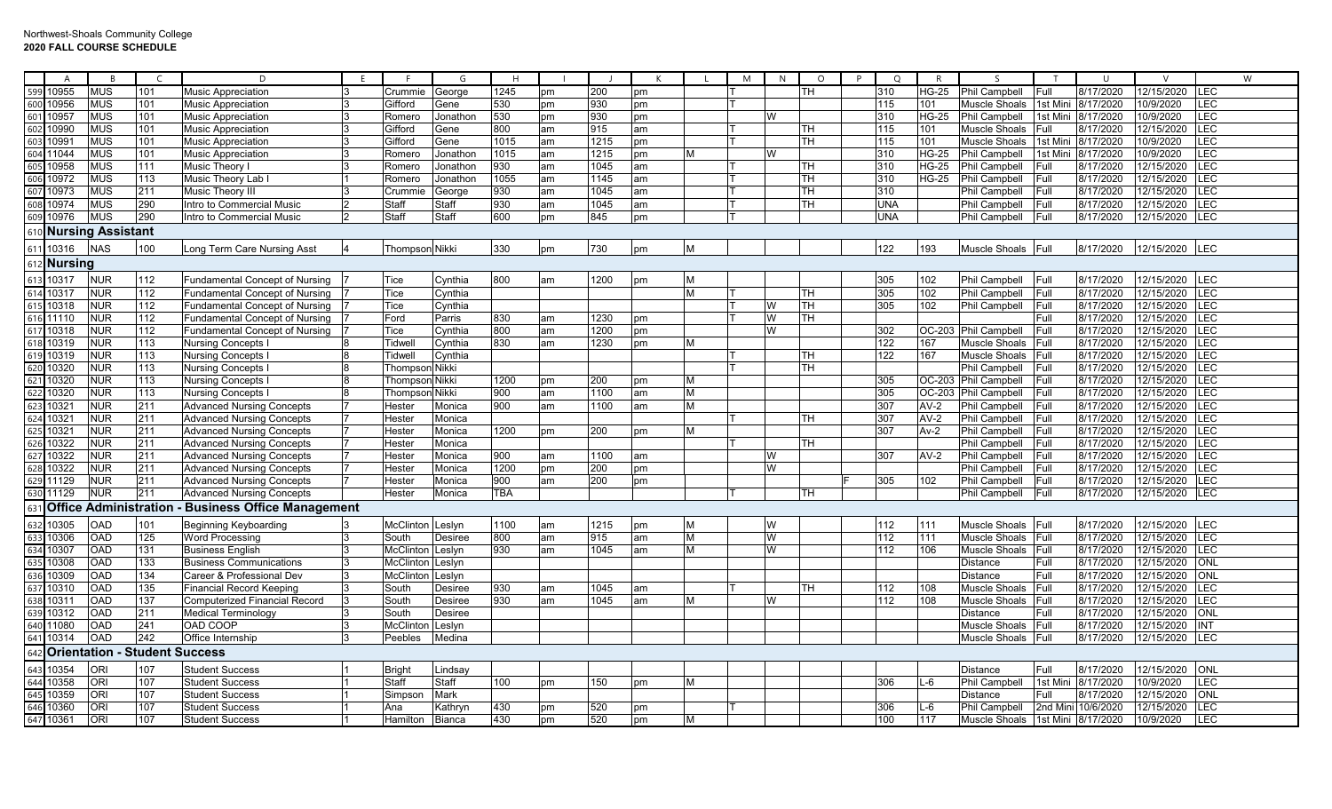|                   | $\overline{A}$                                                                                                    | <b>B</b>                 |                                      | D                                     |                |                       | G              | H          |           |      |    |   | M | N | $\circ$ | -P | $\circ$    | R            |                      |             | U                   |                | W          |
|-------------------|-------------------------------------------------------------------------------------------------------------------|--------------------------|--------------------------------------|---------------------------------------|----------------|-----------------------|----------------|------------|-----------|------|----|---|---|---|---------|----|------------|--------------|----------------------|-------------|---------------------|----------------|------------|
|                   |                                                                                                                   | <b>MUS</b>               | 101                                  | <b>Music Appreciation</b>             | 3              | Crummie               | George         | 1245       | pm        | 200  | pm |   |   |   | TН      |    | 310        | <b>HG-25</b> | Phil Campbell        | Full        | 8/17/2020           | 12/15/2020     | LEC        |
|                   | 599 10955<br>600 10956                                                                                            | <b>MUS</b>               | 101                                  | <b>Music Appreciation</b>             | 3              | Gifford               | Gene           | 530        | pm        | 930  | pm |   |   |   |         |    | 115        | 101          | Muscle Shoals        | 1st Mini    | 8/17/2020           | 10/9/2020      | LEC        |
|                   | 601 10957                                                                                                         | <b>MUS</b>               | 101                                  | <b>Music Appreciation</b>             | 3              | Romero                | Jonathon       | 530        | pm        | 930  | рm |   |   | W |         |    | 310        | <b>HG-25</b> | Phil Campbell        |             | 1st Mini  8/17/2020 | 10/9/2020      | <b>LEC</b> |
|                   |                                                                                                                   | <b>MUS</b>               | 101                                  | <b>Music Appreciation</b>             | 3              | Gifford               | Gene           | 800        | am        | 915  | am |   |   |   | TН      |    | 115        | 101          | Muscle Shoals        | Full        | 8/17/2020           | 12/15/2020     | LEC        |
|                   | 602 10990                                                                                                         | <b>MUS</b>               | 101                                  | <b>Music Appreciation</b>             |                | Gifford               | Gene           | 1015       | am        | 1215 | рm |   |   |   | TН      |    | 115        | 101          | Muscle Shoals        | 1st Mini    | 8/17/2020           | 10/9/2020      | LEC        |
| 604               | 11044                                                                                                             | <b>MUS</b>               | 101                                  | <b>Music Appreciation</b>             |                | Romero                | Jonathon       | 1015       | am        | 1215 | рm | M |   | W |         |    | 310        | <b>HG-25</b> | Phil Campbell        | Ist Min     | 8/17/2020           | 10/9/2020      | LEC        |
|                   | 10958                                                                                                             | <b>MUS</b>               | 111                                  | Music Theory I                        |                | Romero                | Jonathon       | 930        | am        | 1045 | am |   |   |   | TН      |    | 310        | <b>HG-25</b> | <b>Phil Campbell</b> | Full        | 8/17/2020           | 12/15/2020     | <b>LEC</b> |
| $\frac{605}{606}$ | 10972                                                                                                             | <b>MUS</b>               | 113                                  | Music Theory Lab I                    |                | Romero                | Jonathon       | 1055       | am        | 1145 | am |   |   |   | TН      |    | 310        | <b>HG-25</b> | Phil Campbell        | Full        | 8/17/2020           | 12/15/2020     | LEC        |
|                   | 10973                                                                                                             | <b>MUS</b>               | 211                                  | Music Theory II                       |                | Crummi                | George         | 930        | am        | 1045 | am |   |   |   | TН      |    | 310        |              | Phil Campbell        | Full        | 8/17/2020           | 12/15/2020     | <b>LEC</b> |
|                   | 10974                                                                                                             | <b>MUS</b>               | 290                                  | Intro to Commercial Music             |                | Staff                 | Staff          | 930        | am        | 1045 | am |   |   |   | TH      |    | <b>UNA</b> |              | Phil Campbell        | Full        | 8/17/2020           | 12/15/2020     | LEC        |
| 609               | 10976                                                                                                             | <b>MUS</b>               | 290                                  | Intro to Commercial Music             | $\overline{2}$ | Staff                 | Staff          | 600        | pm        | 845  | pm |   |   |   |         |    | <b>UNA</b> |              | Phil Campbell        | Full        | 8/17/2020           | 12/15/2020 LEC |            |
|                   |                                                                                                                   |                          |                                      |                                       |                |                       |                |            |           |      |    |   |   |   |         |    |            |              |                      |             |                     |                |            |
|                   |                                                                                                                   | <b>Nursing Assistant</b> |                                      |                                       |                |                       |                |            |           |      |    |   |   |   |         |    |            |              |                      |             |                     |                |            |
|                   | 611 10316                                                                                                         | <b>NAS</b>               | 100                                  | Long Term Care Nursing Asst           |                | <b>Thompson Nikki</b> |                | 330        | pm        | 730  | pm | M |   |   |         |    | 122        | 193          | Muscle Shoals Full   |             | 8/17/2020           | 12/15/2020     | LEC        |
| 612               | Nursing                                                                                                           |                          |                                      |                                       |                |                       |                |            |           |      |    |   |   |   |         |    |            |              |                      |             |                     |                |            |
|                   | 613 10317                                                                                                         | <b>NUR</b>               | 112                                  | Fundamental Concept of Nursing        |                | Tice                  | Cynthia        | 800        | am        | 1200 | pm | M |   |   |         |    | 305        | 102          | Phil Campbell        | Full        | 8/17/2020           | 12/15/2020     | LEC        |
|                   |                                                                                                                   | <b>NUR</b>               | 112                                  | <b>Fundamental Concept of Nursing</b> |                | Tice                  | Cynthia        |            |           |      |    | M |   |   | TH      |    | 305        | 102          | Phil Campbell        | Full        | 8/17/2020           | 12/15/2020     | LEC        |
|                   | 614 10317<br>615 10318                                                                                            | <b>NUR</b>               | 112                                  | <b>Fundamental Concept of Nursing</b> |                | Tice                  | Cynthia        |            |           |      |    |   |   | W | TH      |    | 305        | 102          | Phil Campbell        | Full        | 8/17/2020           | 12/15/2020     | LEC        |
|                   | 616 11110                                                                                                         | <b>NUR</b>               | 112                                  | <b>Fundamental Concept of Nursing</b> |                | Ford                  | Parris         | 830        | am        | 1230 | pm |   |   | W | TН      |    |            |              |                      | Full        | 8/17/2020           | 12/15/2020     | <b>LEC</b> |
|                   |                                                                                                                   | <b>NUR</b>               | 112                                  | <b>Fundamental Concept of Nursing</b> |                | Tice                  | Cynthia        | 800        | am        | 1200 | om |   |   | W |         |    | 302        | OC-203       | <b>Phil Campbell</b> | Full        | 8/17/2020           | 12/15/2020 LEC |            |
|                   | 617 10318<br>618 10319                                                                                            | <b>NUR</b>               | 113                                  | Nursing Concepts                      |                | Tidwell               | Cynthia        | 830        | am        | 1230 |    | M |   |   |         |    | 122        | 167          | Muscle Shoals        | Full        | 8/17/2020           | 12/15/2020     | LEC        |
|                   | 016 10319<br>019 10319<br>020 10320<br>021 10320<br>022 10321<br>024 10321<br>026 10322<br>027 10322<br>027 10322 | <b>NUR</b>               | 113                                  | Nursing Concepts                      |                | Tidwell               |                |            |           |      | om |   |   |   | TH      |    | 122        | 167          | <b>Muscle Shoals</b> | Full        | 8/17/2020           | 12/15/2020     | <b>LEC</b> |
|                   |                                                                                                                   |                          |                                      |                                       |                |                       | Cynthia        |            |           |      |    |   |   |   |         |    |            |              |                      |             |                     |                | <b>LEC</b> |
|                   |                                                                                                                   | <b>NUR</b>               | 113                                  | Nursing Concepts                      |                | Thompson Nikki        |                |            |           |      |    |   |   |   | TН      |    |            |              | <b>Phil Campbell</b> | Full        | 8/17/2020           | 12/15/2020     |            |
|                   |                                                                                                                   | <b>NUR</b>               | 113                                  | <b>Nursing Concepts I</b>             |                | Thompson Nikki        |                | 1200       | pm        | 200  | pm | M |   |   |         |    | 305        | OC-203       | <b>Phil Campbell</b> | Full        | 8/17/2020           | 12/15/2020     | LEC        |
|                   |                                                                                                                   | <b>NUR</b>               | 113                                  | Nursing Concepts                      |                | Thompson Nikki        |                | 900        | am        | 1100 | am | M |   |   |         |    | 305        | OC-203       | <b>Phil Campbell</b> | Full        | 8/17/2020           | 12/15/2020     | LEC        |
|                   |                                                                                                                   | <b>NUR</b>               | 211                                  | <b>Advanced Nursing Concepts</b>      |                | Hester                | Monica         | 900        | am        | 1100 | am | M |   |   |         |    | 307        | $AV-2$       | Phil Campbell        | Full        | 8/17/2020           | 12/15/2020     | <b>LEC</b> |
|                   |                                                                                                                   | <b>NUR</b>               | 211                                  | <b>Advanced Nursing Concepts</b>      |                | Hester                | Monica         |            |           |      |    |   |   |   | TН      |    | 307        | $AV-2$       | Phil Campbell        | Full        | 8/17/2020           | 12/15/2020     | <b>LEC</b> |
|                   |                                                                                                                   | <b>NUR</b>               | 211                                  | <b>Advanced Nursing Concepts</b>      |                | Hester                | Monica         | 1200       | pm        | 200  | pm | M |   |   |         |    | 307        | $Av-2$       | Phil Campbell        | Full        | 8/17/2020           | 12/15/2020     | <b>LEC</b> |
|                   |                                                                                                                   | <b>NUR</b>               | 211                                  | <b>Advanced Nursing Concepts</b>      |                | Hester                | Monica         |            |           |      |    |   |   |   | TН      |    |            |              | <b>Phil Campbell</b> | Full        | 8/17/2020           | 12/15/2020     | <b>LEC</b> |
|                   |                                                                                                                   | <b>NUR</b>               | 211                                  | <b>Advanced Nursing Concepts</b>      |                | Hester                | Monica         | 900        | am        | 1100 | am |   |   | W |         |    | 307        | $AV-2$       | <b>Phil Campbell</b> | Full        | 8/17/2020           | 12/15/2020     | <b>LEC</b> |
|                   | 628 10322                                                                                                         | <b>NUR</b>               | 211                                  | <b>Advanced Nursing Concepts</b>      |                | Hester                | Monica         | 1200       | pm        | 200  | pm |   |   | W |         |    |            |              | Phil Campbell        | Full        | 8/17/2020           | 12/15/2020     | <b>LEC</b> |
|                   | 629 11129                                                                                                         | <b>NUR</b>               | 211                                  | <b>Advanced Nursing Concepts</b>      |                | Hester                | Monica         | 900        | am        | 200  | pm |   |   |   |         |    | 305        | 102          | <b>Phil Campbell</b> | Full        | 8/17/2020           | 12/15/2020     | LEC        |
|                   | 630 11129                                                                                                         | <b>NUR</b>               | 211                                  | <b>Advanced Nursing Concepts</b>      |                | Hester                | Monica         | <b>TBA</b> |           |      |    |   |   |   | TH      |    |            |              | Phil Campbell        | Full        | 8/17/2020           | 12/15/2020 LEC |            |
| 63 <sup>2</sup>   | <b>Office</b>                                                                                                     |                          | Administration                       | <b>Business Office Management</b>     |                |                       |                |            |           |      |    |   |   |   |         |    |            |              |                      |             |                     |                |            |
|                   | 632 10305                                                                                                         | <b>OAD</b>               | 101                                  | <b>Beginning Keyboarding</b>          |                | McClinton             | Leslyn         | 1100       | am        | 1215 | pm | M |   | W |         |    | 112        | 111          | Muscle Shoals Full   |             | 8/17/2020           | 12/15/2020     | LEC        |
|                   |                                                                                                                   | <b>OAD</b>               | 125                                  | <b>Word Processing</b>                | 3              | South                 | <b>Desiree</b> | 800        | am        | 915  | am | M |   | W |         |    | 112        | 111          | Muscle Shoals        | Full        | 8/17/2020           | 12/15/2020     | LEC        |
|                   |                                                                                                                   | <b>OAD</b>               | 131                                  | <b>Business English</b>               | 3              | McClinton Leslyn      |                | 930        | am        | 1045 | am | M |   | W |         |    | 112        | 106          | Muscle Shoals        | <b>Full</b> | 8/17/2020           | 12/15/2020 LEC |            |
|                   | 633 10306<br>634 10307<br>635 10308                                                                               | <b>OAD</b>               | 133                                  | <b>Business Communications</b>        |                | McClinton             | Leslyn         |            |           |      |    |   |   |   |         |    |            |              | Distance             | Full        | 8/17/2020           | 12/15/2020     | <b>ONL</b> |
|                   |                                                                                                                   | OAD                      | 134                                  | Career & Professional Dev             | 3              | McClinton             | Leslyn         |            |           |      |    |   |   |   |         |    |            |              | Distance             | Full        | 8/17/2020           | 12/15/2020     | ONL        |
|                   | 636 10309<br>637 10310                                                                                            | OAD                      | 135                                  | <b>Financial Record Keeping</b>       | 3              | South                 | <b>Desiree</b> | 930        | am        | 1045 | am |   |   |   | TН      |    | 112        | 108          | Muscle Shoals        | Full        | 8/17/2020           | 12/15/2020     | LEC        |
| 638               | 1031'                                                                                                             | <b>OAD</b>               | 137                                  | Computerized Financial Record         | 3              | South                 | <b>Desiree</b> | 930        | am        | 1045 | am | M |   | W |         |    | 112        | 108          | Muscle Shoals        | Full        | 8/17/2020           | 12/15/2020     | <b>IFC</b> |
|                   | 639 10312                                                                                                         | <b>OAD</b>               | 211                                  | <b>Medical Terminology</b>            |                | South                 | Desiree        |            |           |      |    |   |   |   |         |    |            |              | Distance             | Full        | 8/17/2020           | 12/15/2020     | <b>ONL</b> |
|                   | 640 11080                                                                                                         | OAD                      | 241                                  | OAD COOP                              | 3              | McClinton             | Leslyn         |            |           |      |    |   |   |   |         |    |            |              | Muscle Shoals        | Full        | 8/17/2020           | 12/15/2020     | INT        |
|                   | 641 10314                                                                                                         | <b>OAD</b>               | 242                                  |                                       | 3              | Peebles               |                |            |           |      |    |   |   |   |         |    |            |              |                      |             |                     | 12/15/2020 LEC |            |
|                   |                                                                                                                   |                          |                                      | Office Internship                     |                |                       | Medina         |            |           |      |    |   |   |   |         |    |            |              | Muscle Shoals Full   |             | 8/17/2020           |                |            |
| 642               |                                                                                                                   |                          | <b>Orientation - Student Success</b> |                                       |                |                       |                |            |           |      |    |   |   |   |         |    |            |              |                      |             |                     |                |            |
|                   | 643 10354                                                                                                         | ORI                      | 107                                  | <b>Student Success</b>                |                | <b>Bright</b>         | Lindsay        |            |           |      |    |   |   |   |         |    |            |              | Distance             | Full        | 8/17/2020           | 12/15/2020     | <b>ONL</b> |
|                   | 644 10358<br>645 10359                                                                                            | <b>ORI</b>               | 107                                  | <b>Student Success</b>                |                | <b>Staff</b>          | Staff          | 100        | pm        | 150  | pm | M |   |   |         |    | 306        | $L-6$        | Phil Campbell        |             | 1st Mini 8/17/2020  | 10/9/2020      | <b>LEC</b> |
|                   |                                                                                                                   | ORI                      | 107                                  | <b>Student Success</b>                |                | Simpson               | Mark           |            |           |      |    |   |   |   |         |    |            |              | Distance             | Full        | 8/17/2020           | 12/15/2020     | ONL        |
|                   | 646 10360<br>647 10361                                                                                            | ORI                      | 107                                  | <b>Student Success</b>                |                | Ana                   | Kathryn        | 430        | pm        | 520  | рm |   |   |   |         |    | 306        | L-6          | Phil Campbell        | 2nd Mini    | 10/6/2020           | 12/15/2020     | <b>LEC</b> |
|                   |                                                                                                                   | <b>ORI</b>               | 107                                  | <b>Student Success</b>                |                | Hamilton              | Bianca         | 430        | <b>pm</b> | 520  | pm | M |   |   |         |    | 100        | 117          | Muscle Shoals        |             | 1st Mini 8/17/2020  | 10/9/2020      | LEC        |
|                   |                                                                                                                   |                          |                                      |                                       |                |                       |                |            |           |      |    |   |   |   |         |    |            |              |                      |             |                     |                |            |

┱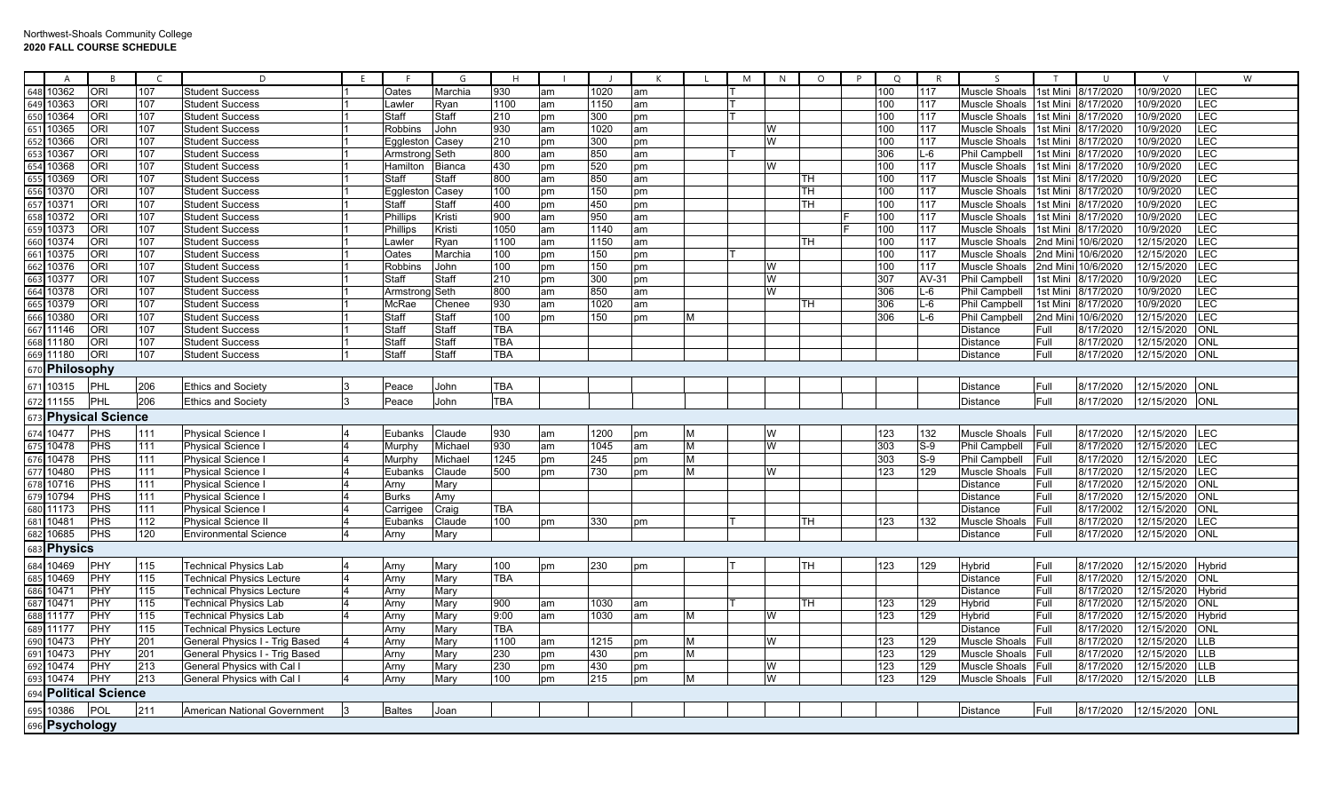|     | A              |                          |     | D                                   |    |                 | G             | H          |    |      |    |   | M | N. | $\circ$   | P | $\circ$ | R     |                      |                 |                    |                | W          |
|-----|----------------|--------------------------|-----|-------------------------------------|----|-----------------|---------------|------------|----|------|----|---|---|----|-----------|---|---------|-------|----------------------|-----------------|--------------------|----------------|------------|
| 648 | 10362          | <b>ORI</b>               | 107 | <b>Student Success</b>              |    | Oates           | Marchia       | 930        | am | 1020 | am |   |   |    |           |   | 100     | 117   | <b>Muscle Shoals</b> | 1st Mini        | 8/17/2020          | 10/9/2020      | LEC        |
|     | 649 10363      | <b>ORI</b>               | 107 | <b>Student Success</b>              |    | Lawler          | Ryan          | 1100       | am | 1150 | am |   |   |    |           |   | 100     | 117   | <b>Muscle Shoals</b> | 1st Mini        | 8/17/2020          | 0/9/2020       | LEC        |
|     | 650 10364      | <b>ORI</b>               | 107 | <b>Student Success</b>              |    | <b>Staff</b>    | Staff         | 210        | pm | 300  | рm |   |   |    |           |   | 100     | 117   | Muscle Shoals        | 1st Mini        | 8/17/2020          | 0/9/2020       | LEC        |
| 651 | 10365          | <b>ORI</b>               | 107 | <b>Student Success</b>              |    | Robbins         | John          | 930        | am | 1020 | am |   |   | W  |           |   | 100     | 117   | Muscle Shoals        | 1st Mini        | 8/17/2020          | 0/9/2020       | LEC        |
| 652 | 10366          | <b>ORI</b>               | 107 | <b>Student Success</b>              |    | Eggleston Casey |               | 210        | pm | 300  | pm |   |   | W  |           |   | 100     | 117   | <b>Muscle Shoals</b> | 1st Mini        | 8/17/2020          | 0/9/2020       | LEC        |
| 653 | 10367          | <b>ORI</b>               | 107 | <b>Student Success</b>              |    | Armstrong Seth  |               | 800        | am | 850  | am |   |   |    |           |   | 306     | $L-6$ | Phil Campbell        | 1st Mini        | 8/17/2020          | 10/9/2020      | LEC        |
| 654 | 10368          | <b>ORI</b>               | 107 | <b>Student Success</b>              |    | Hamilton        | <b>Bianca</b> | 430        | pm | 520  | pm |   |   | W  |           |   | 100     | 117   | <b>Muscle Shoals</b> | 1st Mini        | 8/17/2020          | 0/9/2020       | LEC        |
| 655 | 10369          | <b>ORI</b>               | 107 | <b>Student Success</b>              |    | Staff           | Staff         | 800        | am | 850  | am |   |   |    | TH        |   | 100     | 117   | Muscle Shoals        | 1st Mini        | 8/17/2020          | 0/9/2020       | LEC        |
|     | 656 10370      | <b>ORI</b>               | 107 | <b>Student Success</b>              |    | Eqgleston Casey |               | 100        | pm | 150  | pm |   |   |    | TН        |   | 100     | 117   | Muscle Shoals        | 1st Mini        | 8/17/2020          | 10/9/2020      | LEC        |
| 657 | 10371          | <b>ORI</b>               | 107 | <b>Student Success</b>              |    | Staff           | Staff         | 400        | pm | 450  | pm |   |   |    | TH        |   | 100     | 117   | <b>Muscle Shoals</b> | 1st Mini        | 8/17/2020          | 0/9/2020       | LEC        |
| 658 | 10372          | <b>ORI</b>               | 107 | <b>Student Success</b>              |    | Phillips        | Kristi        | 900        | am | 950  | am |   |   |    |           |   | 100     | 117   | <b>Muscle Shoals</b> | lst Mini        | 8/17/2020          | 0/9/2020       | LEC        |
| 659 | 10373          | <b>ORI</b>               | 107 | <b>Student Success</b>              |    | Phillips        | Kristi        | 1050       | am | 1140 | am |   |   |    |           |   | 100     | 117   | <b>Muscle Shoals</b> | 1st Mini        | 8/17/2020          | 10/9/2020      | LEC        |
| 660 | 10374          | <b>ORI</b>               | 107 | <b>Student Success</b>              |    | Lawler          | Ryan          | 1100       | am | 1150 | am |   |   |    | TH        |   | 100     | 117   | Muscle Shoals        | 2nd Mini        | 10/6/2020          | 12/15/2020     | LEC        |
| 661 | 10375          | <b>ORI</b>               | 107 | <b>Student Success</b>              |    | Oates           | Marchia       | 100        | pm | 150  | pm |   |   |    |           |   | 100     | 117   | Muscle Shoals        | <b>Pad Mini</b> | 10/6/2020          | 12/15/2020     | LEC        |
| 662 | 10376          | <b>ORI</b>               | 107 | <b>Student Success</b>              |    | <b>Robbins</b>  | John          | 100        | pm | 150  | pm |   |   | W  |           |   | 100     | 117   | Muscle Shoals        |                 | 2nd Mini 10/6/2020 | 12/15/2020     | LEC        |
| 663 | 10377          | <b>ORI</b>               | 107 | <b>Student Success</b>              |    | Staff           | Staff         | 210        | pm | 300  | pm |   |   | W  |           |   | 307     | AV-31 | Phil Campbell        | 1st Mini        | 8/17/2020          | 0/9/2020       | LEC        |
| 664 | 10378          | <b>ORI</b>               | 107 | <b>Student Success</b>              |    | Armstro         | Seth          | 800        | am | 850  | am |   |   | W  |           |   | 306     | L-6   | Phil Campbell        | 1st Mini        | 8/17/2020          | 0/9/2020       | LEC        |
| 665 | 10379          | <b>ORI</b>               | 107 | <b>Student Success</b>              |    | McRae           | Chenee        | 930        | am | 1020 | am |   |   |    | TH        |   | 306     | $L-6$ | <b>Phil Campbell</b> | 1st Mini        | 8/17/2020          | 10/9/2020      | LEC        |
| 666 | 10380          | <b>ORI</b>               | 107 | <b>Student Success</b>              |    | Staff           | Staff         | 100        | pm | 150  | pm | M |   |    |           |   | 306     | $L-6$ | <b>Phil Campbell</b> | 2nd Min         | 10/6/2020          | 12/15/2020     | LEC        |
| 667 | 11146          | <b>ORI</b>               | 107 | <b>Student Success</b>              |    | Staff           | Staff         | TBA        |    |      |    |   |   |    |           |   |         |       | Distance             | Full            | 8/17/2020          | 12/15/2020     | ONL        |
|     | 668 11180      | <b>ORI</b>               | 107 | <b>Student Success</b>              |    | Staff           | Staff         | TBA        |    |      |    |   |   |    |           |   |         |       | Distance             | Full            | 8/17/2020          | 12/15/2020     | ONL        |
| 669 | 11180          | <b>ORI</b>               | 107 | <b>Student Success</b>              |    | Staff           | Staff         | <b>TBA</b> |    |      |    |   |   |    |           |   |         |       | Distance             | Full            | 8/17/2020          | 12/15/2020     | ONL        |
|     | 670 Philosophy |                          |     |                                     |    |                 |               |            |    |      |    |   |   |    |           |   |         |       |                      |                 |                    |                |            |
| 671 | 10315          | PHL                      | 206 | <b>Ethics and Society</b>           |    | Peace           | John          | <b>TBA</b> |    |      |    |   |   |    |           |   |         |       | Distance             | Full            | 8/17/2020          | 12/15/2020     | <b>ONL</b> |
|     | 672 11155      | PHL                      | 206 | <b>Ethics and Society</b>           | 13 | Peace           | John          | <b>TBA</b> |    |      |    |   |   |    |           |   |         |       | <b>Distance</b>      | Full            | 8/17/2020          | 12/15/2020 ONL |            |
|     |                | 673 Physical Science     |     |                                     |    |                 |               |            |    |      |    |   |   |    |           |   |         |       |                      |                 |                    |                |            |
| 674 | 10477          | PHS                      | 111 | Physical Science                    |    | Eubanks         | Claude        | 930        | am | 1200 | рm | M |   | W  |           |   | 123     | 132   | Muscle Shoals        | Full            | 8/17/2020          | 12/15/2020     | LEC        |
|     | 675 10478      | PHS                      | 111 | <b>Physical Science</b>             |    | Murphy          | Michael       | 930        | am | 1045 | am | M |   | W  |           |   | 303     | $S-9$ | <b>Phil Campbell</b> | Full            | 8/17/2020          | 12/15/2020     | <b>LEC</b> |
|     | 676 10478      | PHS                      | 111 | <b>Physical Science</b>             |    | Murphy          | Michael       | 1245       | pm | 245  | pm | M |   |    |           |   | 303     | $S-9$ | Phil Campbell        | Full            | 8/17/2020          | 12/15/2020     | LEC        |
|     | 677 10480      | PHS                      | 111 | <b>Physical Science</b>             |    | Eubanks         | Claude        | 500        | pm | 730  | pm | M |   | W  |           |   | 123     | 129   | Muscle Shoals        | Full            | 8/17/2020          | 12/15/2020     | LEC        |
|     | 678 10716      | <b>PHS</b>               | 111 | <b>Physical Science</b>             |    | Arny            | Mary          |            |    |      |    |   |   |    |           |   |         |       | Distance             | Full            | 8/17/2020          | 12/15/2020     | ONL        |
| 679 | 10794          | PHS                      | 111 | <b>Physical Science</b>             |    | <b>Burks</b>    | Amy           |            |    |      |    |   |   |    |           |   |         |       | Distance             | Full            | 8/17/2020          | 12/15/2020     | <b>ONL</b> |
| 680 | 11173          | PHS                      | 111 | <b>Physical Science</b>             |    | Carrigee        | Craig         | TBA        |    |      |    |   |   |    |           |   |         |       | Distance             | Full            | 8/17/2002          | 12/15/2020     | <b>ONL</b> |
| 681 | 10481          | PHS                      | 112 | Physical Science                    |    | Eubanks         | Claude        | 100        | pm | 330  | pm |   |   |    | TН        |   | 123     | 132   | Muscle Shoals        | Full            | 8/17/2020          | 12/15/2020     | LEC        |
| 682 | 10685          | PHS                      | 120 | <b>Environmental Science</b>        |    | Arny            | Mary          |            |    |      |    |   |   |    |           |   |         |       | Distance             | Full            | 8/17/2020          | 12/15/2020     | <b>ONL</b> |
| 683 | <b>Physics</b> |                          |     |                                     |    |                 |               |            |    |      |    |   |   |    |           |   |         |       |                      |                 |                    |                |            |
| 684 | 10469          | PHY                      | 115 | <b>Technical Physics Lab</b>        |    | Arny            | Mary          | 100        | pm | 230  | рm |   |   |    | <b>TH</b> |   | 123     | 129   | Hybrid               | Full            | 8/17/2020          | 12/15/2020     | Hybrid     |
| 685 | 10469          | PHY                      | 115 | <b>Technical Physics Lecture</b>    |    | Arny            | Mary          | TBA        |    |      |    |   |   |    |           |   |         |       | <b>Distance</b>      | Full            | 8/17/2020          | 12/15/2020     | <b>ONL</b> |
|     | 686 10471      | PHY                      | 115 | <b>Technical Physics Lecture</b>    |    | Arny            | Mary          |            |    |      |    |   |   |    |           |   |         |       | <b>Distance</b>      | Full            | 8/17/2020          | 12/15/2020     | Hybrid     |
| 687 | 10471          | PHY                      | 115 | Technical Physics Lab               |    | Arny            | Mary          | 900        | am | 1030 | am |   |   |    | TH        |   | 123     | 129   | Hybrid               | Full            | 8/17/2020          | 12/15/2020     | ONL        |
|     | 688 11177      | PHY                      | 115 | <b>Technical Physics Lab</b>        |    | Arny            | Mary          | 9:00       | am | 1030 | am | M |   | W  |           |   | 123     | 129   | Hybrid               | Full            | 8/17/2020          | 12/15/2020     | Hybrid     |
| 689 | 11177          | PHY                      | 115 | Technical Physics Lecture           |    | Arny            | Mary          | TBA        |    |      |    |   |   |    |           |   |         |       | Distance             | Full            | 8/17/2020          | 12/15/2020     | ONL        |
| 690 | 10473          | <b>PHY</b>               | 201 | General Physics I - Trig Based      |    | Arny            | Mary          | 1100       | am | 1215 | pm | М |   | W  |           |   | 123     | 129   | Muscle Shoals        | Full            | 8/17/2020          | 12/15/2020     | <b>LLB</b> |
| 691 | 10473          | PHY                      | 201 | General Physics I - Trig Based      |    | Arny            | Mary          | 230        | pm | 430  | pm | M |   |    |           |   | 123     | 129   | Muscle Shoals        | Full            | 8/17/2020          | 12/15/2020     | <b>LLB</b> |
| 692 | 10474          | PHY                      | 213 | General Physics with Cal            |    | Arny            | Mary          | 230        | pm | 430  | pm |   |   | W  |           |   | 123     | 129   | Muscle Shoals        | Full            | 8/17/2020          | 12/15/2020     | <b>LLB</b> |
| 693 | 10474          | PHY                      | 213 | General Physics with Cal            |    | Arny            | Mary          | 100        | pm | 215  | pm | M |   | W  |           |   | 123     | 129   | Muscle Shoals Full   |                 | 8/17/2020          | 12/15/2020     | <b>LLB</b> |
| 694 |                | <b>Political Science</b> |     |                                     |    |                 |               |            |    |      |    |   |   |    |           |   |         |       |                      |                 |                    |                |            |
| 695 | 10386          | POL                      | 211 | <b>American National Government</b> |    | <b>Baltes</b>   | Joan          |            |    |      |    |   |   |    |           |   |         |       | <b>Distance</b>      | Full            | 8/17/2020          | 12/15/2020     | ONL        |
|     | 696 Psychology |                          |     |                                     |    |                 |               |            |    |      |    |   |   |    |           |   |         |       |                      |                 |                    |                |            |
|     |                |                          |     |                                     |    |                 |               |            |    |      |    |   |   |    |           |   |         |       |                      |                 |                    |                |            |

┱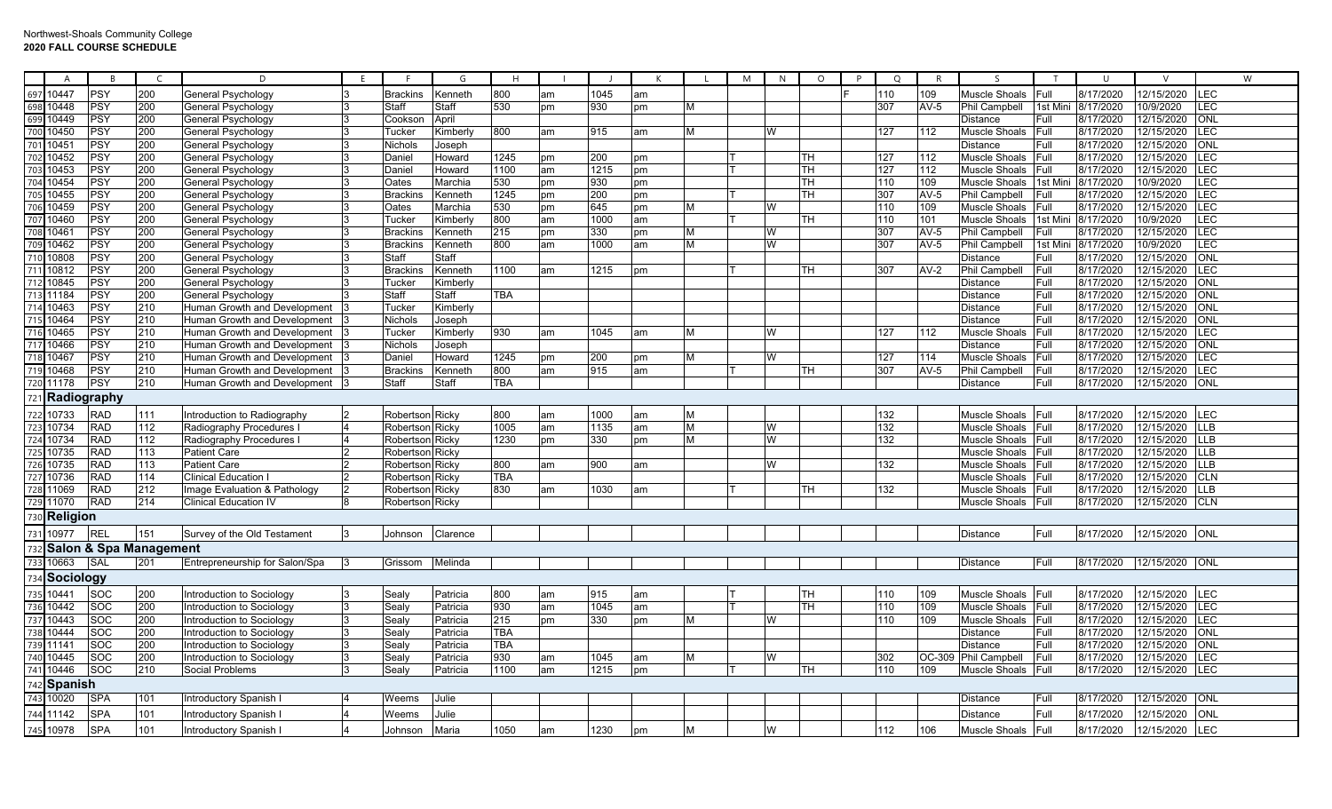| A                                 |            |                        | D                                | F |                   | G        | H          |    |      |    |                | M | N | $\Omega$  | P | $\circ$ |        | $\varsigma$          |         | $\cup$    |            |            | W |
|-----------------------------------|------------|------------------------|----------------------------------|---|-------------------|----------|------------|----|------|----|----------------|---|---|-----------|---|---------|--------|----------------------|---------|-----------|------------|------------|---|
| 0447<br>697                       | <b>PSY</b> | 200                    | General Psychology               |   | <b>Brackins</b>   | Kenneth  | 800        | am | 1045 | am |                |   |   |           |   | 110     | 109    | <b>Muscle Shoals</b> | Full    | 8/17/2020 | 12/15/2020 | <b>LEC</b> |   |
| 0448<br>698                       | PSY        | 200                    | General Psychology               |   | Staff             | Staff    | 530        | pm | 930  | pm | M              |   |   |           |   | 307     | $AV-5$ | <b>Phil Campbell</b> | 1st Min | 8/17/2020 | 10/9/2020  | <b>LEC</b> |   |
| 699<br>10449                      | PSY        | 200                    | General Psychology               |   | Cooksor           | April    |            |    |      |    |                |   |   |           |   |         |        | Distance             | Full    | 8/17/2020 | 12/15/2020 | ONL        |   |
| 700<br>0450                       | PSY        | 200                    | General Psychology               |   | Tucker            | Kimberly | 800        | am | 915  | am | M              |   | W |           |   | 127     | 112    | <b>Muscle Shoals</b> | Full    | 8/17/2020 | 12/15/2020 | <b>LEC</b> |   |
| 701<br>1045                       | PSY        | 200                    | General Psychology               |   | Nichols           | Joseph   |            |    |      |    |                |   |   |           |   |         |        | <b>Distance</b>      | Full    | 8/17/2020 | 12/15/2020 | ONL        |   |
| 10452<br>702                      | PSY        | 200                    | General Psychology               |   | Daniel            | Howard   | 1245       | pm | 200  | pm |                |   |   | <b>TH</b> |   | 127     | 112    | Muscle Shoals        | Full    | 8/17/2020 | 12/15/2020 | <b>LEC</b> |   |
| 703<br>10453                      | PSY        | 200                    | General Psychology               |   | Daniel            | Howard   | 1100       | am | 1215 | pm |                |   |   | TН        |   | 127     | 112    | Muscle Shoals        | Full    | 8/17/2020 | 12/15/2020 | LEC        |   |
| 704<br>10454                      | PSY        | 200                    | General Psychology               |   | Oates             | Marchia  | 530        | pm | 930  | pm |                |   |   | TН        |   | 110     | 109    | Muscle Shoals        | 1st Min | 8/17/2020 | 10/9/2020  | LEC        |   |
| 705<br>10455                      | <b>PSY</b> | 200                    | General Psychology               |   | Brackir           | Kenneth  | 1245       | pm | 200  | pm |                |   |   | TH        |   | 307     | $AV-5$ | Phil Campbell        | Full    | 8/17/2020 | 12/15/2020 | LEC        |   |
| 706<br>10459                      | PSY        | 200                    | General Psychology               |   | Oates             | Marchia  | 530        | pm | 645  | pm | M              |   | W |           |   | 110     | 109    | Muscle Shoals        | Full    | 8/17/2020 | 12/15/2020 | LEC        |   |
| 707<br>10460                      | <b>PSY</b> | 200                    | General Psychology               |   | Tucker            | Kimberly | 800        | am | 1000 | am |                |   |   | TH        |   | 110     | 101    | <b>Muscle Shoals</b> | Ist Min | 8/17/2020 | 10/9/2020  | LEC        |   |
| 1046'<br>708                      | PSY        | 200                    | General Psychology               |   | <b>Brackins</b>   | Kenneth  | 215        | pm | 330  | pm | M              |   | W |           |   | 307     | $AV-5$ | <b>Phil Campbell</b> | Full    | 8/17/2020 | 12/15/2020 | <b>LEC</b> |   |
| 709 10462                         | PSY        | 200                    | General Psychology               |   | <b>Brackins</b>   | Kenneth  | 800        | am | 1000 | am | M              |   | W |           |   | 307     | $AV-5$ | <b>Phil Campbell</b> | 1st Min | 8/17/2020 | 10/9/2020  | LEC        |   |
| 710<br>10808                      | PSY        | 200                    | General Psychology               |   | Staff             | Staff    |            |    |      |    |                |   |   |           |   |         |        | Distance             | Full    | 8/17/2020 | 12/15/2020 | <b>NO</b>  |   |
| 711 10812                         | PSY        | 200                    | General Psychology               |   | <b>Brackins</b>   | Kenneth  | 1100       | am | 1215 | pm |                |   |   | TН        |   | 307     | $AV-2$ | <b>Phil Campbell</b> | Full    | 8/17/2020 | 12/15/2020 | <b>LEC</b> |   |
| 712<br>10845                      | PSY        | 200                    | General Psychology               |   | Tucker            | Kimberly |            |    |      |    |                |   |   |           |   |         |        | Distance             | Full    | 8/17/2020 | 12/15/2020 | ONL        |   |
| 713<br>11184                      | PSY        | 200                    | General Psychology               |   | Staff             | Staff    | TBA        |    |      |    |                |   |   |           |   |         |        | Distance             | Full    | 8/17/2020 | 12/15/2020 | ONL        |   |
| 714<br>10463                      | PSY        | 210                    | Human Growth and Development     |   | Tucker            | Kimberly |            |    |      |    |                |   |   |           |   |         |        | Distance             | Full    | 8/17/2020 | 12/15/2020 | ONL        |   |
| 715 10464                         | PSY        | 210                    | Human Growth and Development     |   | Nichols           | Joseph   |            |    |      |    |                |   |   |           |   |         |        | <b>Distance</b>      | Full    | 8/17/2020 | 12/15/2020 | ONL        |   |
| 716 10465                         | <b>PSY</b> | 210                    | Human Growth and Development     |   | Tucker            | Kimberly | 930        | am | 1045 | am | M              |   | W |           |   | 127     | 112    | Muscle Shoals        | Full    | 8/17/2020 | 12/15/2020 | LEC        |   |
| 10466<br>717                      | PSY        | 210                    | Human Growth and Development     |   | Nichols           | Joseph   |            |    |      |    |                |   |   |           |   |         |        | Distance             | Full    | 8/17/2020 | 12/15/2020 | ONL        |   |
| 718<br>10467                      | PSY        | 210                    | Human Growth and Development     |   | Daniel            | Howard   | 1245       | pm | 200  | pm | M              |   | W |           |   | 127     | 114    | Muscle Shoals        | Full    | 8/17/2020 | 12/15/2020 | <b>LEC</b> |   |
| 719 10468                         | PSY        | 210                    | Human Growth and Development     |   | <b>Brackins</b>   | Kenneth  | 800        | am | 915  | am |                |   |   | TH        |   | 307     | $AV-5$ | <b>Phil Campbell</b> | Full    | 8/17/2020 | 12/15/2020 | LEC        |   |
| 720 11178                         | <b>PSY</b> | 210                    | Human Growth and Development     |   | Staff             | Staff    | <b>TBA</b> |    |      |    |                |   |   |           |   |         |        | Distance             | Full    | 8/17/2020 | 12/15/2020 | <b>ONL</b> |   |
| 1 Radiography<br>72 <sup>1</sup>  |            |                        |                                  |   |                   |          |            |    |      |    |                |   |   |           |   |         |        |                      |         |           |            |            |   |
| 722<br>10733                      | <b>RAD</b> | 111                    | Introduction to Radiography      |   | Robertson Ricky   |          | 800        | am | 1000 | am | M              |   |   |           |   | 132     |        | <b>Muscle Shoals</b> | Full    | 8/17/2020 | 12/15/2020 | LEC        |   |
| 723 10734                         | <b>RAD</b> | 112                    | Radiography Procedures           |   | Robertson Ricky   |          | 1005       | am | 1135 | am | $\overline{M}$ |   | W |           |   | 132     |        | Muscle Shoals        | Full    | 8/17/2020 | 12/15/2020 | <b>LLB</b> |   |
| 724 10734                         | <b>RAD</b> | 112                    | Radiography Procedures           |   | Robertson Ricky   |          | 1230       | pm | 330  | pm | M              |   | W |           |   | 132     |        | <b>Muscle Shoals</b> | Full    | 8/17/2020 | 12/15/2020 | <b>LLB</b> |   |
| 725<br>10735                      | <b>RAD</b> | 113                    | <b>Patient Care</b>              |   | Robertson   Ricky |          |            |    |      |    |                |   |   |           |   |         |        | Muscle Shoals        | Full    | 8/17/2020 | 12/15/2020 | <b>LLB</b> |   |
| 726 10735                         | <b>RAD</b> | 113                    | <b>Patient Care</b>              |   | Robertson         | Ricky    | 800        | am | 900  | am |                |   | W |           |   | 132     |        | Muscle Shoals        | Full    | 8/17/2020 | 12/15/2020 | <b>LLB</b> |   |
| 727 10736                         | <b>RAD</b> | 114                    | <b>Clinical Education I</b>      |   | Robertson Ricky   |          | <b>TBA</b> |    |      |    |                |   |   |           |   |         |        | Muscle Shoals        | Full    | 8/17/2020 | 12/15/2020 | <b>CLN</b> |   |
| 728 11069                         | <b>RAD</b> | 212                    | mage Evaluation & Pathology      |   | Robertson Ricky   |          | 830        | am | 1030 | am |                |   |   | TH        |   | 132     |        | Muscle Shoals        | Full    | 8/17/2020 | 12/15/2020 | <b>LLB</b> |   |
| 729 11070                         | <b>RAD</b> | 214                    | <b>Clinical Education IV</b>     |   | Robertson Ricky   |          |            |    |      |    |                |   |   |           |   |         |        | Muscle Shoals        | Full    | 8/17/2020 | 12/15/2020 | <b>CLN</b> |   |
| Religion<br>730                   |            |                        |                                  |   |                   |          |            |    |      |    |                |   |   |           |   |         |        |                      |         |           |            |            |   |
| 731 10977                         | <b>REL</b> | 151                    | Survey of the Old Testament      |   | Johnson           | Clarence |            |    |      |    |                |   |   |           |   |         |        | <b>Distance</b>      | Full    | 8/17/2020 | 12/15/2020 | ONL        |   |
| 73                                |            | Salon & Spa Management |                                  |   |                   |          |            |    |      |    |                |   |   |           |   |         |        |                      |         |           |            |            |   |
| 10663<br>733                      | SAL        | 201                    | Entrepreneurship for Salon/Spa   |   | Grissom           | Melinda  |            |    |      |    |                |   |   |           |   |         |        | Distance             | Full    | 8/17/2020 | 12/15/2020 | ONL        |   |
| 734<br>Sociology                  |            |                        |                                  |   |                   |          |            |    |      |    |                |   |   |           |   |         |        |                      |         |           |            |            |   |
| 735 10441                         | <b>SOC</b> | 200                    | Introduction to Sociology        |   | Sealy             | Patricia | 800        | am | 915  | am |                |   |   | TН        |   | 110     | 109    | Muscle Shoals        | Full    | 8/17/2020 | 12/15/2020 | LEC        |   |
| 736<br>10442                      | <b>SOC</b> | 200                    | <b>Introduction to Sociology</b> | 3 | Sealy             | Patricia | 930        | am | 1045 | am |                |   |   | TН        |   | 110     | 109    | Muscle Shoals        | Full    | 8/17/2020 | 12/15/2020 | <b>LEC</b> |   |
| 737<br>10443                      | <b>SOC</b> | 200                    | Introduction to Sociology        |   | Sealy             | Patricia | 215        | pm | 330  | pm | M              |   | W |           |   | 110     | 109    | Muscle Shoals        | Full    | 8/17/2020 | 12/15/2020 | LEC        |   |
| 738 10444                         | <b>SOC</b> | 200                    | Introduction to Sociology        |   | Sealy             | Patricia | <b>TBA</b> |    |      |    |                |   |   |           |   |         |        | Distance             | Full    | 8/17/2020 | 12/15/2020 | ONL        |   |
| 739<br>11141                      | <b>SOC</b> | 200                    | Introduction to Sociology        | 3 | Sealy             | Patricia | <b>TBA</b> |    |      |    |                |   |   |           |   |         |        | Distance             | Full    | 8/17/2020 | 12/15/2020 | <b>ONL</b> |   |
| 740<br>10445                      | <b>SOC</b> | 200                    | Introduction to Sociology        | 3 | Seal∖             | Patricia | 930        | am | 1045 | am | M              |   | W |           |   | 302     | OC-309 | <b>Phil Campbell</b> | Full    | 8/17/2020 | 12/15/2020 | <b>LEC</b> |   |
| 741 10446                         | <b>SOC</b> | 210                    | Social Problems                  |   | Sealy             | Patricia | 1100       | am | 1215 | pm |                |   |   | TН        |   | 110     | 109    | Muscle Shoals        | Full    | 8/17/2020 | 12/15/2020 | <b>LEC</b> |   |
| 74 <sub>i</sub><br><b>Spanish</b> |            |                        |                                  |   |                   |          |            |    |      |    |                |   |   |           |   |         |        |                      |         |           |            |            |   |
| 743<br>10020                      | <b>SPA</b> | 101                    | Introductory Spanish I           |   | Weems             | Julie    |            |    |      |    |                |   |   |           |   |         |        | Distance             | Full    | 8/17/2020 | 12/15/2020 | ONL        |   |
|                                   |            |                        |                                  |   |                   |          |            |    |      |    |                |   |   |           |   |         |        |                      |         |           |            |            |   |
| 744 11142                         | <b>SPA</b> | 101                    | Introductory Spanish I           |   | Weems             | Julie    |            |    |      |    |                |   |   |           |   |         |        | Distance             | Full    | 8/17/2020 | 12/15/2020 | <b>ONL</b> |   |
| 745 10978                         | <b>SPA</b> | 101                    | Introductory Spanish I           |   | Johnson           | Maria    | 1050       | am | 1230 | pm | M              |   | W |           |   | 112     | 106    | Muscle Shoals        | Full    | 8/17/2020 | 12/15/2020 | LEC        |   |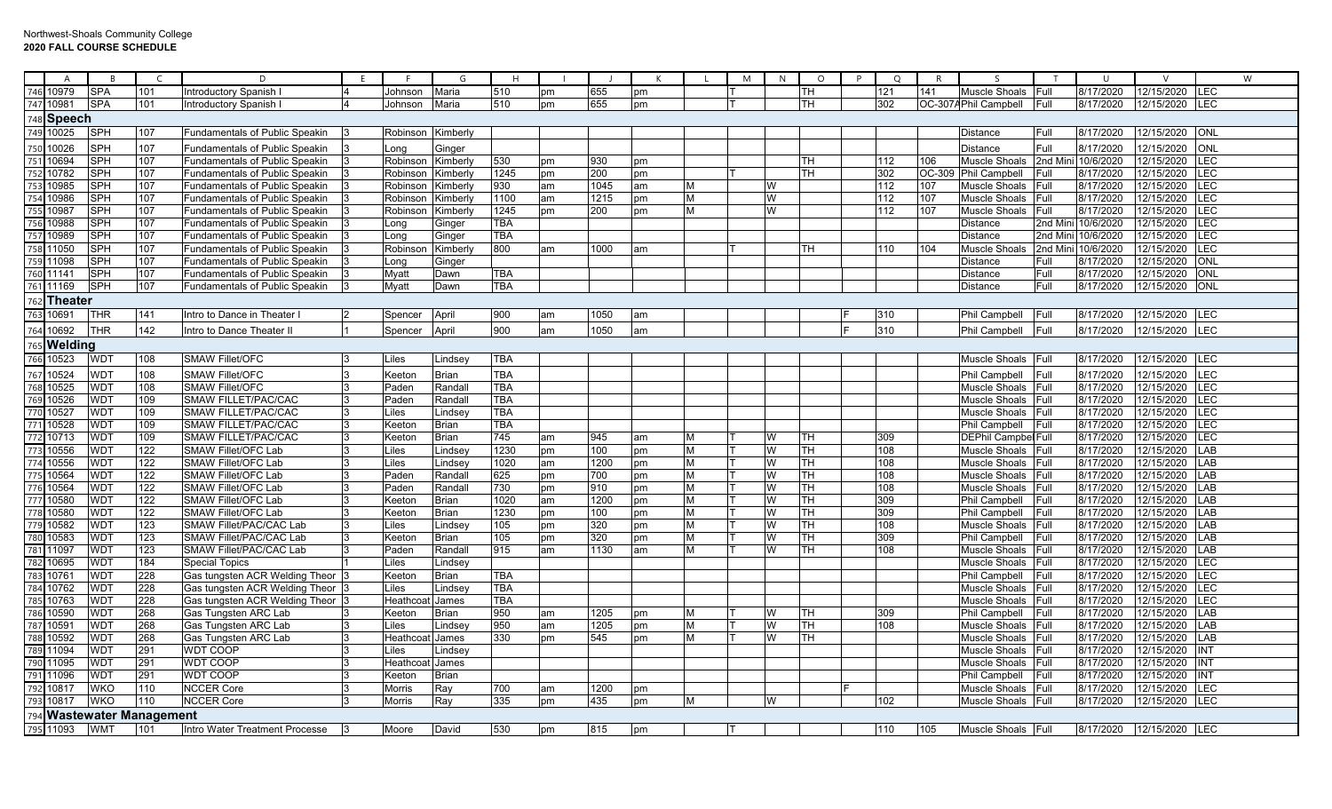|            | A                  | B <sub>1</sub>            | $\epsilon$ | D                                            | -F | - F               | G                       | H          |          |              |          |        | M | N      | $\circ$                 | P | $\Omega$         | R      | $\varsigma$                    |              | U                      | $\mathcal{V}$            |                   | W |
|------------|--------------------|---------------------------|------------|----------------------------------------------|----|-------------------|-------------------------|------------|----------|--------------|----------|--------|---|--------|-------------------------|---|------------------|--------|--------------------------------|--------------|------------------------|--------------------------|-------------------|---|
| 746        | 10979              | SPA                       | 101        | Introductory Spanish I                       |    | Johnson           | Maria                   | 510        | pm       | 655          | pm       |        |   |        | <b>TH</b>               |   | 121              | 141    | Muscle Shoals                  | Full         | 8/17/2020              | 12/15/2020               | LEC               |   |
| 747        | 10981              | <b>SPA</b>                | 101        | Introductory Spanish                         |    | Johnson           | Maria                   | 510        | pm       | 655          | pm       |        |   |        | <b>ITH</b>              |   | 302              |        | OC-307APhil Campbell           | Full         | 8/17/2020              | 12/15/2020               | <b>LEC</b>        |   |
| 748        | Speech             |                           |            |                                              |    |                   |                         |            |          |              |          |        |   |        |                         |   |                  |        |                                |              |                        |                          |                   |   |
|            | 749 10025          | SPH                       | 107        | Fundamentals of Public Speakin               |    | Robinson Kimberly |                         |            |          |              |          |        |   |        |                         |   |                  |        | <b>Distance</b>                | Full         | 8/17/2020              | 12/15/2020               | ONL               |   |
| 750        | 10026              | SPH                       | 107        | <b>Fundamentals of Public Speakin</b>        |    | _ona              | Ginger                  |            |          |              |          |        |   |        |                         |   |                  |        | <b>Distance</b>                | Full         | 8/17/2020              | 12/15/2020               | <b>ONL</b>        |   |
| 751        | 10694              | SPH                       | 107        | Fundamentals of Public Speakin               |    | Robinson          | Kimberly                | 530        | pm       | 930          | pm       |        |   |        | <b>ITH</b>              |   | 112              | 106    | Muscle Shoals                  | 2nd Min      | 10/6/2020              | 12/15/2020               | <b>LEC</b>        |   |
| 752        | 10782              | SPH                       | 107        | <b>Fundamentals of Public Speakin</b>        |    | Robinson          | Kimberly                | 1245       | pm       | 200          | pm       |        |   |        | TН                      |   | $\overline{302}$ | OC-309 | <b>Phil Campbell</b>           | Full         | 8/17/2020              | 12/15/2020               | LEC               |   |
| 753        | 10985              | SPH                       | 107        | <b>Fundamentals of Public Speakin</b>        |    | Robinson          | Kimberly                | 930        | am       | 1045         | am       | М      |   | W      |                         |   | 112              | 107    | <b>Muscle Shoals</b>           | Full         | 8/17/2020              | 12/15/2020               | <b>LEC</b>        |   |
| 754        | 10986              | SPH                       | 107        | <b>Fundamentals of Public Speakin</b>        |    | Robinson          | Kimberly                | 1100       | am       | 1215         | pm       | М      |   | W      |                         |   | 112              | 107    | Muscle Shoals                  | Full         | 8/17/2020              | 12/15/2020               | LEC               |   |
| 755        | 10987              | SPH                       | 107        | <b>Fundamentals of Public Speakin</b>        |    | Robinson          | Kimberly                | 1245       | pm       | 200          | pm       | м      |   | W      |                         |   | 112              | 107    | <b>Muscle Shoals</b>           | Full         | 8/17/2020              | 12/15/2020               | LEC               |   |
| 756        | 10988              | SPH                       | 107        | Fundamentals of Public Speakin               |    | Long              | Ginger                  | TBA        |          |              |          |        |   |        |                         |   |                  |        | <b>Distance</b>                | 2nd Mini     | 10/6/2020              | 12/15/2020               | LEC               |   |
| 757        | 10989              | SPH                       | 107        | Fundamentals of Public Speakin               |    | .ong              | Ginger                  | TBA        |          |              |          |        |   |        |                         |   |                  |        | <b>Distance</b>                | 2nd Min      | 10/6/2020              | 12/15/2020               | LEC               |   |
| '58        | 11050              | SPH                       | 107        | <b>Fundamentals of Public Speakin</b>        |    | Robinsor          | Kimberly                | 800        | am       | 1000         | am       |        |   |        | <b>ITH</b>              |   | 110              | 104    | Muscle Shoals                  | 2nd Min      | 10/6/2020              | 12/15/2020               | LEC               |   |
| 759        | 11098              | SPH                       | 107        | <b>Fundamentals of Public Speakin</b>        |    | Long              | Ginger                  |            |          |              |          |        |   |        |                         |   |                  |        | <b>Distance</b>                | Full         | 8/17/2020              | 12/15/2020               | <b>ONL</b>        |   |
| 760        | 11141              | <b>SPH</b>                | 107        | Fundamentals of Public Speakin               |    | Myatt             | Dawn                    | <b>TBA</b> |          |              |          |        |   |        |                         |   |                  |        | <b>Distance</b>                | Full         | 8/17/2020              | 12/15/2020               | <b>ONL</b>        |   |
| 761        | 11169              | SPH                       | 107        | Fundamentals of Public Speakin               | 13 | Myatt             | Dawn                    | <b>TBA</b> |          |              |          |        |   |        |                         |   |                  |        | <b>Distance</b>                | Full         | 8/17/2020              | 12/15/2020               | ONL               |   |
| 762        | <b>Theater</b>     |                           |            |                                              |    |                   |                         |            |          |              |          |        |   |        |                         |   |                  |        |                                |              |                        |                          |                   |   |
| 763        | 10691              | THR                       | 141        | Intro to Dance in Theater                    |    | Spencer           | April                   | 900        | am       | 1050         | am       |        |   |        |                         |   | 310              |        | <b>Phil Campbell</b>           | Full         | 8/17/2020              | 12/15/2020               | <b>ILEC</b>       |   |
|            | 764 10692          | THR                       | 142        | Intro to Dance Theater II                    |    | Spencer           | April                   | 900        | am       | 1050         | am       |        |   |        |                         |   | 310              |        | Phil Campbell                  | Full         | 8/17/2020              | 12/15/2020               | LEC               |   |
|            | 765 <b>Welding</b> |                           |            |                                              |    |                   |                         |            |          |              |          |        |   |        |                         |   |                  |        |                                |              |                        |                          |                   |   |
| 766        | 10523              | WDT                       | 108        | <b>SMAW Fillet/OFC</b>                       |    | Liles             | Lindsey                 | <b>TBA</b> |          |              |          |        |   |        |                         |   |                  |        | Muscle Shoals                  | Full         | 8/17/2020              | 12/15/2020               | LEC               |   |
| 67         | 10524              | WDT                       | 108        | <b>SMAW Fillet/OFC</b>                       |    | <b>Keeton</b>     | Brian                   | TBA        |          |              |          |        |   |        |                         |   |                  |        | <b>Phil Campbell</b>           | Full         | 8/17/2020              | 12/15/2020               | LEC               |   |
| 768        | 10525              | WDT                       | 108        | <b>SMAW Fillet/OFC</b>                       |    | Paden             | Randall                 | TBA        |          |              |          |        |   |        |                         |   |                  |        | Muscle Shoals                  | Full         | 8/17/2020              | 12/15/2020               | LEC               |   |
| 769        | 10526              | WDT                       | 109        | SMAW FILLET/PAC/CAC                          |    | Paden             | Randall                 | <b>TBA</b> |          |              |          |        |   |        |                         |   |                  |        | <b>Muscle Shoals</b>           | Full         | 8/17/2020              | 12/15/2020               | <b>LEC</b>        |   |
| 770        | 10527              | WDT                       | 109        | <b>SMAW FILLET/PAC/CAC</b>                   |    | .iles             | Lindsey                 | <b>TBA</b> |          |              |          |        |   |        |                         |   |                  |        | Muscle Shoals                  | Full         | 8/17/2020              | 12/15/2020               | LEC               |   |
| 771        | 10528              | WDT                       | 109        | <b>SMAW FILLET/PAC/CAC</b>                   |    | Keeton            | Brian                   | TBA        |          |              |          |        |   |        |                         |   |                  |        | <b>Phil Campbell</b>           | Full         | 8/17/2020              | 12/15/2020               | LEC               |   |
| 772        | 10713              | WDT                       | 109        | <b>SMAW FILLET/PAC/CAC</b>                   |    | Keeton            | Brian                   | 745        | am       | 945          | am       | м      |   |        | <b>TH</b>               |   | 309              |        | <b>DEPhil Campbel Full</b>     |              | 8/17/2020              | 12/15/2020               | LEC               |   |
| 773        | 10556              | WDT                       | 122        | SMAW Fillet/OFC Lab                          |    | .iles             | Lindsey                 | 1230       | pm       | 100          | pm       | М      |   |        | <b>TH</b>               |   | 108              |        | Muscle Shoals                  | Full         | 8/17/2020              | 12/15/2020               | LAB               |   |
| 774        | 10556              | WDT                       | 122        | SMAW Fillet/OFC Lab                          |    | iles              | Lindsey                 | 1020       | am       | 1200         | pm       | М      |   | W      | <b>ITH</b>              |   | 108              |        | <b>Muscle Shoals</b>           | Full         | 8/17/2020              | 12/15/2020               | LAB               |   |
| 775        | 10564              | WDT                       | 122        | SMAW Fillet/OFC Lab                          |    | Paden             | Randall                 | 625        | pm       | 700          | pm       | М      |   | W      | <b>TH</b>               |   | $\overline{108}$ |        | Muscle Shoals                  | Full         | 8/17/2020              | 12/15/2020               | LAB               |   |
| 776        | 10564              | WDT                       | 122        | SMAW Fillet/OFC Lab                          |    | Paden             | Randall                 | 730        | pm       | 910          | pm       | М      |   | W      | TH                      |   | 108              |        | Muscle Shoals                  | Full         | 8/17/2020              | 12/15/2020               | LAB               |   |
| 777        | 10580              | WDT                       | 122        | SMAW Fillet/OFC Lab                          |    | Keeton            | <b>Brian</b>            | 1020       | am       | 1200         | pm       | М      |   | W      | IТH                     |   | 309              |        | Phil Campbell                  | Full         | 8/17/2020              | 12/15/2020               | LAB               |   |
| 778        | 10580              | WDT                       | 122        | <b>SMAW Fillet/OFC Lab</b>                   |    | Keeton            | <b>Brian</b>            | 1230       | pm       | 100          | pm       | M      |   |        | ĪТН                     |   | $\frac{309}{ }$  |        | Phil Campbell                  | Full         | 8/17/2020              | 12/15/2020               | LAB               |   |
| 779        | 10582              | WDT                       | 123        | SMAW Fillet/PAC/CAC Lab                      |    | iles              | Lindsey                 | 105        | pm       | 320          | pm       | М      |   | W      | <b>ITH</b>              |   | 108              |        | <b>Muscle Shoals</b>           | Full         | 8/17/2020              | 12/15/2020               | LAB               |   |
| 780        | 10583              | WDT                       | 123        | SMAW Fillet/PAC/CAC Lab                      |    | Keeton            | Brian                   | 105        | pm       | 320          | pm       | М      |   | W      | <b>TH</b>               |   | 309              |        | <b>Phil Campbell</b>           | Full         | 8/17/2020              | 12/15/2020               | LAB               |   |
| 781        | 11097              | WDT                       | 123        | SMAW Fillet/PAC/CAC Lab                      |    | Paden             | Randall                 | 915        | am       | 1130         | am       | М      |   | W      | <b>TH</b>               |   | 108              |        | <b>Muscle Shoals</b>           | Full         | 8/17/2020              | 12/15/2020               | LAB               |   |
| 782        | 10695              | WDT                       | 184        | <b>Special Topics</b>                        |    | .iles             | Lindsey                 |            |          |              |          |        |   |        |                         |   |                  |        | Muscle Shoals                  | Full         | 8/17/2020              | 12/15/2020               | LEC               |   |
| 783        | 10761              | WDT                       | 228        | Gas tungsten ACR Welding Theor               |    | Keeton            | Brian                   | <b>TBA</b> |          |              |          |        |   |        |                         |   |                  |        | Phil Campbell                  | Full         | 8/17/2020              | 12/15/2020               | LEC               |   |
| 784        | 10762              | WDT                       | 228        | Gas tungsten ACR Welding Theor               |    | iles              | Lindsey                 | <b>TBA</b> |          |              |          |        |   |        |                         |   |                  |        | <b>Muscle Shoals</b>           | Full         | 8/17/2020              | 12/15/2020               | <b>LEC</b>        |   |
| 785        | 10763<br>10590     | WDT                       | 228<br>268 | Gas tungsten ACR Welding Theor               |    | Heathco           | James                   | <b>TBA</b> |          |              |          |        |   |        |                         |   |                  |        | Muscle Shoals                  | Full         | 8/17/2020              | 12/15/2020<br>12/15/2020 | <b>LEC</b><br>LAB |   |
| 786<br>787 | 10591              | WDT<br>WDT                | 268        | Gas Tungsten ARC Lab<br>Gas Tungsten ARC Lab |    | Keeton<br>.iles   | <b>Brian</b><br>Lindsey | 950<br>950 | am<br>am | 1205<br>1205 | pm<br>pm | М<br>М |   | W<br>w | <b>ITH</b><br><b>TH</b> |   | 309<br>108       |        | Phil Campbell<br>Muscle Shoals | Full<br>Full | 8/17/2020<br>8/17/2020 | 12/15/2020               | LAB               |   |
| 788        | 10592              | WDT                       | 268        | Gas Tungsten ARC Lab                         |    | Heathcoat         | James                   | 330        | pm       | 545          | pm       | М      |   |        | <b>ITH</b>              |   |                  |        | Muscle Shoals                  | Full         | 8/17/2020              | 12/15/2020               | LAB               |   |
| 789        | 11094              | WDT                       | 291        | <b>WDT COOP</b>                              |    | iles              | Lindsey                 |            |          |              |          |        |   |        |                         |   |                  |        | <b>Muscle Shoals</b>           | Full         | 8/17/2020              | 12/15/2020               | <b>INT</b>        |   |
| 790        | 11095              | WDT                       | 291        | <b>WDT COOP</b>                              |    | Heathco           | James                   |            |          |              |          |        |   |        |                         |   |                  |        | <b>Muscle Shoals</b>           | Full         | 8/17/2020              | 12/15/2020               | INT               |   |
|            | 79111096           | WDT                       | 291        | <b>WDT COOP</b>                              |    | Keeton            | Brian                   |            |          |              |          |        |   |        |                         |   |                  |        | Phil Campbell                  | Full         | 8/17/2020              | 12/15/2020               | <b>INT</b>        |   |
| 792        | 10817              | WKO                       | 110        | <b>NCCER Core</b>                            |    | Morris            | Ray                     | 700        | am       | 1200         | pm       |        |   |        |                         |   |                  |        | Muscle Shoals                  | <b>IFull</b> | 8/17/2020              | 12/15/2020               | LEC               |   |
| 793        | 10817              | WKO                       | 110        | <b>NCCER Core</b>                            |    | Morris            | Ray                     | 335        | pm       | 435          | pm       | м      |   |        |                         |   | 102              |        | Muscle Shoals                  | Full         | 8/17/2020              | 12/15/2020               | <b>LEC</b>        |   |
|            |                    | 794 Wastewater Management |            |                                              |    |                   |                         |            |          |              |          |        |   |        |                         |   |                  |        |                                |              |                        |                          |                   |   |
|            | 795 11093          | <b>WMT</b>                | 101        | Intro Water Treatment Processe               |    | Moore             | David                   | 530        | pm       | 815          | pm       |        |   |        |                         |   | 110              | 105    | Muscle Shoals                  | <b>IFull</b> | 8/17/2020              | 12/15/2020               | <b>LEC</b>        |   |
|            |                    |                           |            |                                              |    |                   |                         |            |          |              |          |        |   |        |                         |   |                  |        |                                |              |                        |                          |                   |   |